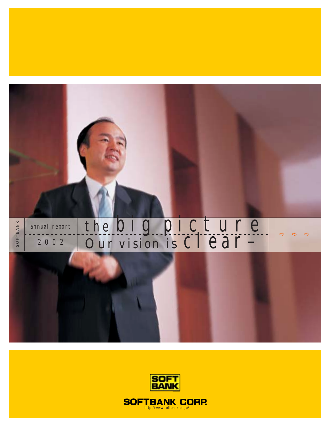

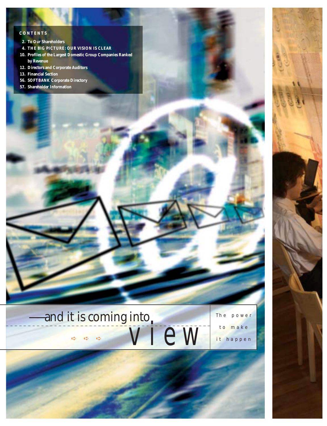## **CONTENTS**

- **2. To Our Shareholders**
- **4. THE BIG PICTURE: OUR VISION IS CLEAR**
- **10. Profiles of the Largest Domestic Group Companies Ranked by Revenue**
- **12. Directors and Corporate Auditors**
- **13. Financial Section**
- **56. SOFTBANK Corporate Directory**
- **57. Shareholder Information**





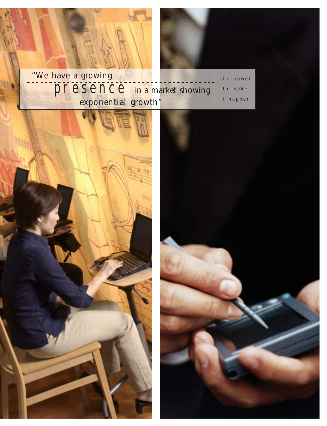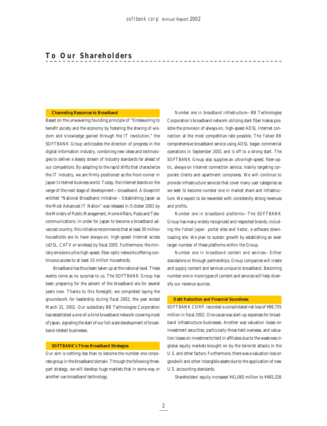### **Channeling Resources to Broadband**

Based on the unwavering founding principle of "Endeavoring to benefit society and the economy by fostering the sharing of wisdom and knowledge gained through the IT revolution," the SOFTBANK Group anticipates the direction of progress in the digital information industry, combining new ideas and technologies to deliver a steady stream of industry standards far ahead of our competitors. By adapting to the rapid shifts that characterize the IT industry, we are firmly positioned as the front-runner in Japan's Internet business world. Today, the Internet stands on the verge of the next stage of development—broadband. A blueprint entitled "National Broadband Initiative – Establishing Japan as the Most Advanced IT Nation" was released in October 2001 by the Ministry of Public Management, Home Affairs, Posts and Telecommunications. In order for Japan to become a broadband advanced country, this initiative recommends that at least 30 million households are to have always-on, high-speed Internet access (xDSL, CATV or wireless) by fiscal 2005. Furthermore, the ministry envisions ultra-high-speed, fiber-optic networks offering continuous access to at least 10 million households.

Broadband has thus been taken up at the national level. These events come as no surprise to us. The SOFTBANK Group has been preparing for the advent of the broadband era for several years now. Thanks to this foresight, we completed laying the groundwork for leadership during fiscal 2002, the year ended March 31, 2002. Our subsidiary BB Technologies Corporation has established a one-of-a-kind broadband network covering most of Japan, signaling the start of our full-scale development of broadband-related businesses.

## **SOFTBANK's Three Broadband Strategies**

Our aim is nothing less than to become the number one corporate group in the broadband domain. Through the following threepart strategy, we will develop huge markets that in some way or another use broadband technology.

*Number one in broadband infrastructure—*BB Technologies Corporation's broadband network utilizing dark fiber makes possible the provision of always-on, high-speed ADSL Internet connection at the most competitive rate possible. The *Yahoo! BB* comprehensive broadband service using ADSL began commercial operations in September 2001 and is off to a strong start. The SOFTBANK Group also supplies an ultra-high-speed, fiber-optic, always-on Internet connection service, mainly targeting corporate clients and apartment complexes. We will continue to provide infrastructure services that cover many user categories as we seek to become number one in market share and infrastructure. We expect to be rewarded with consistently strong revenues and profits.

*Number one in broadband platforms—*The SOFTBANK Group has many widely recognized and respected brands, including the *Yahoo! Japan* portal sites and *Vector*, a software downloading site. We plan to sustain growth by establishing an even larger number of these platforms within the Group.

*Number one in broadband content and services—*Either standalone or through partnerships, Group companies will create and supply content and services unique to broadband. Becoming number one in more types of content and services will help diversify our revenue sources.

#### **Debt Reduction and Financial Soundness**

SOFTBANK CORP. recorded a consolidated net loss of ¥88,755 million in fiscal 2002. One cause was start-up expenses for broadband infrastructure businesses. Another was valuation losses on investment securities, particularly those held overseas, and valuation losses on investments held in affiliates due to the weakness in global equity markets brought on by the terrorist attacks in the U.S. and other factors. Furthermore, there was a valuation loss on goodwill and other intangible assets due to the application of new U.S. accounting standards.

Shareholders' equity increased ¥41,065 million to ¥465,326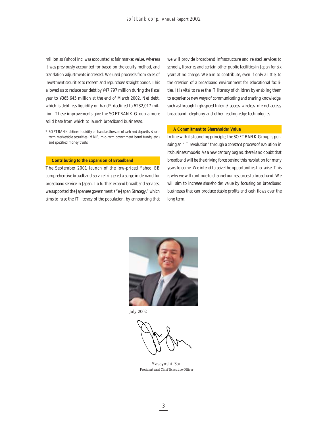million as Yahoo! Inc. was accounted at fair market value, whereas it was previously accounted for based on the equity method, and translation adjustments increased. We used proceeds from sales of investment securities to redeem and repurchase straight bonds. This allowed us to reduce our debt by ¥47,797 million during the fiscal year to ¥365,645 million at the end of March 2002. Net debt, which is debt less liquidity on hand\*, declined to ¥232,017 million. These improvements give the SOFTBANK Group a more solid base from which to launch broadband businesses.

\* SOFTBANK defines liquidity on hand as the sum of cash and deposits, shortterm marketable securities (MMF, mid-term government bond funds, etc.) and specified money trusts.

#### **Contributing to the Expansion of Broadband**

The September 2001 launch of the low-priced *Yahoo! BB* comprehensive broadband service triggered a surge in demand for broadband service in Japan. To further expand broadband services, we supported the Japanese government's "e-Japan Strategy," which aims to raise the IT literacy of the population, by announcing that

we will provide broadband infrastructure and related services to schools, libraries and certain other public facilities in Japan for six years at no charge. We aim to contribute, even if only a little, to the creation of a broadband environment for educational facilities. It is vital to raise the IT literacy of children by enabling them to experience new ways of communicating and sharing knowledge, such as through high-speed Internet access, wireless Internet access, broadband telephony and other leading-edge technologies.

## **A Commitment to Shareholder Value**

In line with its founding principle, the SOFTBANK Group is pursuing an "IT revolution" through a constant process of evolution in its business models. As a new century begins, there is no doubt that broadband will be the driving force behind this revolution for many years to come. We intend to seize the opportunities that arise. This is why we will continue to channel our resources to broadband. We will aim to increase shareholder value by focusing on broadband businesses that can produce stable profits and cash flows over the long term.



July 2002

Masayoshi Son *President and Chief Executive Officer*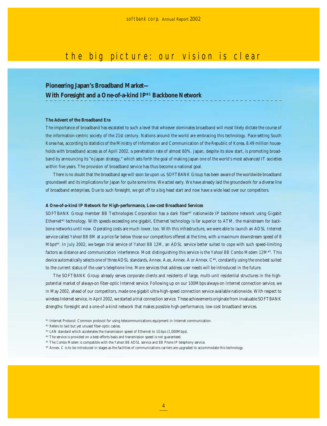# the big picture: our vision is clear

## **Pioneering Japan's Broadband Market— With Foresight and a One-of-a-kind IP\*1 Backbone Network**

## **The Advent of the Broadband Era**

The importance of broadband has escalated to such a level that whoever dominates broadband will most likely dictate the course of the information-centric society of the 21st century. Nations around the world are embracing this technology. Pace-setting South Korea has, according to statistics of the Ministry of Information and Communication of the Republic of Korea, 8.49 million households with broadband access as of April 2002, a penetration rate of almost 60%. Japan, despite its slow start, is promoting broadband by announcing its "e-Japan strategy," which sets forth the goal of making Japan one of the world's most advanced IT societies within five years. The provision of broadband service has thus become a national goal.

There is no doubt that the broadband age will soon be upon us. SOFTBANK Group has been aware of the worldwide broadband groundswell and its implications for Japan for quite some time. We acted early. We have already laid the groundwork for a diverse line of broadband enterprises. Due to such foresight, we got off to a big head start and now have a wide lead over our competitors.

#### **A One-of-a-kind IP Network for High-performance, Low-cost Broadband Services**

SOFTBANK Group member BB Technologies Corporation has a dark fiber\*2 nationwide IP backbone network using Gigabit Ethernet<sup>\*3</sup> technology. With speeds exceeding one gigabit, Ethernet technology is far superior to ATM, the mainstream for backbone networks until now. Operating costs are much lower, too. With this infrastructure, we were able to launch an ADSL Internet service called *Yahoo! BB 8M* at a price far below those our competitors offered at the time, with a maximum downstream speed of 8 Mbps\*4 . In July 2002, we began trial service of *Yahoo! BB 12M*, an ADSL service better suited to cope with such speed-limiting factors as distance and communication interference. Most distinguishing this service is the *Yahoo! BB Combo Modem 12M*\*5 . This device automatically selects one of three ADSL standards, Annex. A.ex, Annex. A or Annex. C\*6 , constantly using the one best suited to the current status of the user's telephone line. More services that address user needs will be introduced in the future.

The SOFTBANK Group already serves corporate clients and residents of large, multi-unit residential structures in the highpotential market of always-on fiber-optic Internet service. Following up on our 100Mbps always-on Internet connection service, we in May 2002, ahead of our competitors, made one gigabit ultra-high-speed connection service available nationwide. With respect to wireless Internet service, in April 2002, we started a trial connection service. These achievements originate from invaluable SOFTBANK strengths: foresight and a one-of-a-kind network that makes possible high-performance, low-cost broadband services.

- \*1 Internet Protocol: Common protocol for using telecommunications equipment in Internet communication.
- \*2 Refers to laid but yet unused fiber-optic cables.
- \*3 LAN standard which accelerates the transmission speed of Ethernet to 1Gbps (1,000Mbps).
- \*4 The service is provided on a best-efforts basis and transmission speed is not guaranteed.
- \*5 The *Combo Modem* is compatible with the *Yahoo! BB* ADSL service and *BB Phone* IP telephony service.

\*6 Annex. C is to be introduced in stages as the facilities of communications carriers are upgraded to accommodate this technology.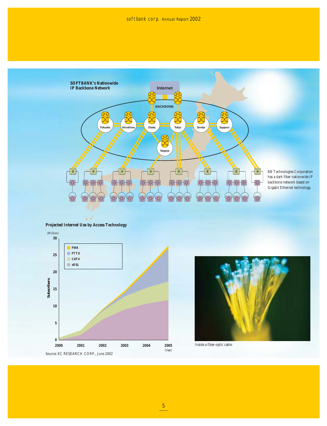

**Projected Internet Use by Access Technology**



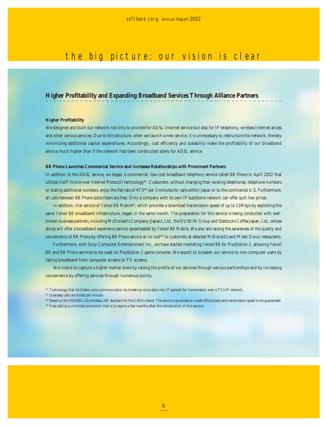# the big picture: our vision is clear

## **Higher Profitability and Expanding Broadband Services Through Alliance Partners**

## **Higher Profitability**

We designed and built our network not only to provide for ADSL Internet service but also for IP telephony, wireless Internet access and other various services. Due to this structure, when we launch a new service, it is unnecessary to restructure the network, thereby minimizing additional capital expenditures. Accordingly, cost efficiency and scalability make the profitability of our broadband service much higher than if the network had been constructed solely for ADSL service.

#### *BB Phone* **Launches Commercial Service and Increases Relationships with Prominent Partners**

In addition to the ADSL service, we began a commercial, low-cost broadband telephony service called *BB Phone* in April 2002 that utilizes VoIP (Voice over Internet Protocol) technology\*1 . Customers, without changing their existing telephones, telephone numbers or dialing additional numbers, enjoy the flat rate of ¥7.5<sup>\*2</sup> per 3 minutes for calls within Japan or to the continental U.S. Furthermore, all calls between *BB Phone* subscribers are free. Only a company with its own IP backbone network can offer such low prices.

In addition, trial service of *Yahoo! BB Mobile*\*3, which provides a download transmission speed of up to 11Mbps by exploiting the same *Yahoo! BB* broadband infrastructure, began in the same month. The preparation for this service is being conducted with wellknown business partners, including McDonald's Company (Japan), Ltd., the DUSKIN Group and Starbucks Coffee Japan, Ltd., whose stores will offer a broadband experience service spearheaded by *Yahoo! BB Mobile*. We also are raising the awareness of the quality and convenience of *BB Phone* by offering *BB Phone* service at no cost\*4 to customers at selected *McDonald's* and *Mister Donut* restaurants.

Furthermore, with Sony Computer Entertainment Inc., we have started marketing *Yahoo! BB for PlayStation 2*, allowing *Yahoo! BB* and *BB Phone* services to be used on *PlayStation 2* game consoles. We expect to broaden our service to non-computer users by taking broadband from computer screens to TV screens.

We intend to capture a higher market share by raising the profile of our services through various partnerships and by increasing convenience by offering services through numerous points.

- \*3 Based on the IEEE802.11b wireless LAN standard for the 2.4GHz band. The service is provided on a best-efforts basis and transmission speed is not guaranteed.
- \*4 Free calling is a limited promotion that is to expire a few months after the introduction of this service.

<sup>\*1</sup> Technology that facilitates voice communication by breaking voice data into IP packets for transmission over a TCI/IP network.

<sup>\*2</sup> Overseas calls are billed per minute.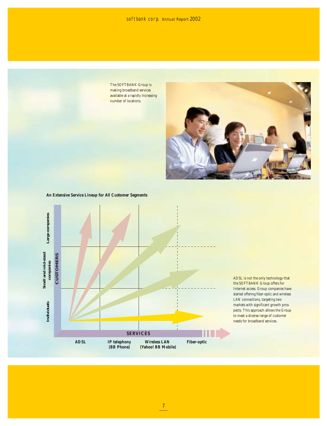The SOFTBANK Group is making broadband services available at a rapidly increasing number of locations.



**An Extensive Service Lineup for All Customer Segments**



ADSL is not the only technology that the SOFTBANK Group offers for Internet access. Group companies have started offering fiber-optic and wireless LAN connections, targeting two markets with significant growth prospects. This approach allows the Group to meet a diverse range of customer needs for broadband services.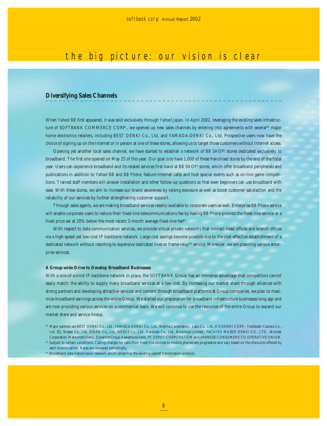# the big picture: our vision is clear

## **Diversifying Sales Channels**

When *Yahoo! BB* first appeared, it was sold exclusively through *Yahoo! Japan*. In April 2002, leveraging the existing sales infrastructure of SOFTBANK COMMERCE CORP., we opened up new sales channels by entering into agreements with several<sup>\*1</sup> major home electronics retailers, including BEST DENKI Co., Ltd. and YAMADA-DENKI Co., Ltd. Prospective users now have the choice of signing up on the Internet or in person at one of these stores, allowing us to target those customers without Internet access.

Opening yet another local sales channel, we have started to establish a network of *BB SHOP!* stores dedicated exclusively to broadband. The first one opened on May 25 of this year. Our goal is to have 1,000 of these franchised stores by the end of the fiscal year. Users can experience broadband and its related services first-hand at *BB SHOP!* stores, which offer broadband peripherals and publications in addition to *Yahoo! BB* and *BB Phone*, feature Internet cafés and host special events such as on-line game competitions. Trained staff members will answer installation and other follow-up questions so that even beginners can use broadband with ease. With these stores, we aim to increase our brand awareness by raising exposure as well as boost customer satisfaction and the reliability of our services by further strengthening customer support.

Through sales agents, we are making broadband services readily available to corporate users as well. Enterprise *BB Phone* service will enable corporate users to reduce their fixed-line telecommunications fee by having *BB Phone* provide the fixed-line service at a fixed price set at 20% below the most recent 3-month average fixed-line fee\*2 .

With respect to data communication services, we provide virtual private networks that connect head offices and branch offices via a high-speed yet low-cost IP backbone network. Large cost savings become possible due to the cost-effective establishment of a dedicated network without resorting to expensive dedicated lines or frame-relay\*3 service. Moreover, we are planning various enterprise services.

## **A Group-wide Drive to Develop Broadband Businesses**

With a one-of-a-kind IP backbone network in place, the SOFTBANK Group has an immense advantage that competitors cannot easily match: the ability to supply many broadband services at a low cost. By increasing our market share through alliances with strong partners and developing attractive services and content through broadband platforms at Group companies, we plan to maximize broadband earnings across the entire Group. We started our preparation for broadband infrastructure businesses long ago and are now providing various services on a commercial basis. We will continue to use the resources of the entire Group to expand our market share and service lineup.

<sup>\*1</sup> Major partners are BEST DENKI Co., Ltd., YAMADA-DENKI Co., Ltd., Nojima Corporation., Laox Co., Ltd., K'S DENKI CORP., Yodobashi Camera Co., Ltd. 3Q, Nissen Co., Ltd., EIDEN Co., Ltd., NEXUS Co., Ltd., Denkodo Co., Ltd., Ninomiya Limited., YACHIYO MUSEN DENKI CO., LTD., Wonder Corporation, Matsumoto Denki, Dynamite Group, Kawamura Denki, PC DEPOT CORPORATION and JAPANESE CONSUMERS' CO-OPERATIVE UNION.

<sup>\*2</sup> Subject to certain conditions. Calling charges for calls from fixed-line phones to mobile phones are progressive and vary based on the discounts offered by each mobile carrier. Rates are reviewed periodically.

<sup>\*3</sup> Broadband data transmission network which simplifies the existing packet transmission protocol.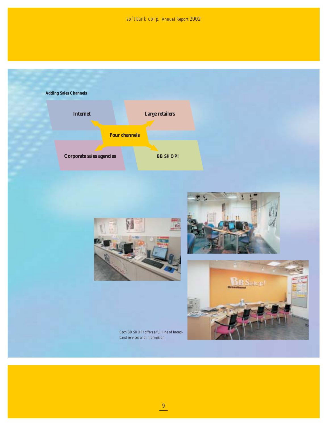softbank corp. *Annual Report 2002*









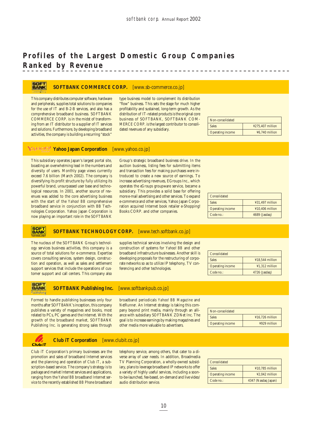## **Profiles of the Largest Domestic Group Companies Ranked by Revenue**

#### **HANK SOFTBANK COMMERCE CORP.** [www.sb-commerce.co.jp]

This company distributes computer software, hardware and peripherals, supplies total solutions to companies for the use of IT and B-2-B services, and also has a comprehensive broadband business. SOFTBANK COMMERCE CORP. is in the midst of transforming from an IT distributor to a supplier of IT services and solutions. Furthermore, by developing broadband activities, the company is building a recurring "stock"

type business model to complement its distribution "flow" business. This sets the stage for much higher profitability and sustained, long-term growth. As the distribution of IT-related products is the original core business of SOFTBANK, SOFTBANK COM-MERCE CORP. is the largest contributor to consolidated revenues of any subsidiary.

| Non-consolidated        |                  |
|-------------------------|------------------|
| <b>Sales</b>            | ¥275,407 million |
| <b>Operating income</b> | ¥6.740 million   |

## **YAHOO!** Yahoo Japan Corporation [www.yahoo.co.jp]

This subsidiary operates Japan's largest portal site, boasting an overwhelming lead in the numbers and diversity of users. Monthly page views currently exceed 7.6 billion (March 2002). The company is diversifying its profit structure by fully utilizing its powerful brand, unsurpassed user base and technological resources. In 2001, another source of revenues was added to the core advertising business with the start of the *Yahoo! BB* comprehensive broadband service in conjunction with BB Technologies Corporation. Yahoo Japan Corporation is now playing an important role in the SOFTBANK

Group's strategic broadband business drive. In the auction business, listing fees for submitting items and transaction fees for making purchases were introduced to create a new source of earnings. To increase advertising revenues, EGroups Inc., which operates the *eGroups* groupware service, became a subsidiary. This provides a solid base for offering more e-mail advertising and other services. To expand e-commerce and other services, Yahoo Japan Corporation acquired Internet book retailer e-Shopping! Books CORP. and other companies.

| Consolidated            |                   |  |  |
|-------------------------|-------------------|--|--|
| <b>Sales</b>            | $431.497$ million |  |  |
| <b>Operating income</b> | $¥10.406$ million |  |  |
| Code no.:               | 4689 (Jasdaq)     |  |  |

#### **SOFT**<br>BANK **SOFTBANK TECHNOLOGY CORP.** [www.tech.softbank.co.jp]

The nucleus of the SOFTBANK Group's technology services business activities, this company is a source of total solutions for e-commerce. Expertise covers consulting services, system design, construction and operation, as well as sales and settlement support services that include the operations of customer support and call centers. This company also

supplies technical services involving the design and construction of systems for *Yahoo! BB* and other broadband infrastructure businesses. Another skill is developing proposals for the restructuring of corporate networks so as to utilize IP telephony, TV conferencing and other technologies.

| Consolidated            |                   |
|-------------------------|-------------------|
| <b>Sales</b>            | $418.544$ million |
| <b>Operating income</b> | ¥1,312 million    |
| Code no.:               | 4726 (Jasdaq)     |

# BANK

 $C<sub>I</sub>Ub<sub>i</sub>T$ 

## **SOFTBANK Publishing Inc.** [www.softbankpub.co.jp]

Formed to handle publishing businesses only four months after SOFTBANK's inception, this company publishes a variety of magazines and books, most related to PCs, PC games and the Internet. With the growth of the broadband market, SOFTBANK Publishing Inc. is generating strong sales through

broadband periodicals *Yahoo! BB Magazine* and *NetRunner*. An Internet strategy is taking this company beyond print media, mainly through an alliance with subsidiary SOFTBANK ZDNet Inc. The goal is to increase earnings by making magazines and other media more valuable to advertisers.

| Non-consolidated        |                 |
|-------------------------|-----------------|
| <b>Sales</b>            | ¥16.726 million |
| <b>Operating income</b> | ¥929 million    |

## **Club iT Corporation** [www.clubit.co.jp]

Club iT Corporation's primary businesses are the promotion and sales of broadband Internet services and the planning and operation of *Club iT*, a subscription-based service. The company's strategy is to package and market Internet services and applications, ranging from the *Yahoo! BB* broadband Internet service to the recently established *BB Phone* broadband

telephony service, among others, that cater to a diverse array of user needs. In addition, Broadmedia TV Planning Corporation, a wholly-owned subsidiary, plans to leverage broadband IP networks to offer a variety of highly useful services, including a soonto-be-launched, fee-based, on-demand and live video/ audio distribution service.

| Consolidated            |                     |  |  |
|-------------------------|---------------------|--|--|
| <b>Sales</b>            | $¥10.785$ million   |  |  |
| <b>Operating income</b> | $42.042$ million    |  |  |
| Code no.:               | 4347 (Nasdaq Japan) |  |  |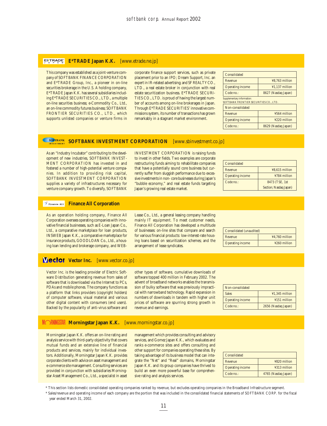## **E\*TRADE Japan K.K.** [www.etrade.ne.jp]

This company was established as a joint-venture company of SOFTBANK FINANCE CORPORATION and E\*TRADE Group, Inc., a pioneer in on-line securities brokerage in the U.S. A holding company, E\*TRADE Japan K.K. has several subsidiaries including E\*TRADE SECURITIES CO., LTD., a multiple on-line securities business; e-Commodity Co., Ltd., an on-line commodity futures business; SOFTBANK FRONTIER SECURITIES CO., LTD., which supports unlisted companies or venture firms in corporate finance support services, such as private placement prior to an IPO; Dream Support, Inc. an expert in IR-related advertising; and SF REALTY CO., LTD., a real estate broker in conjunction with real estate securitization business. E\*TRADE SECURI-TIES CO., LTD. is proud of having the largest number of accounts among on-line brokerages in Japan. Through E\*TRADE SECURITIES' innovative commissions system, its number of transactions has grown remarkably in a stagnant market environment.

| Consolidated               |                     |
|----------------------------|---------------------|
| Revenue                    | ¥8.763 million      |
| <b>Operating income</b>    | $41.137$ million    |
| Code no.:                  | 8627 (Nasdaq Japan) |
| Supplementary information: |                     |

SOFTBANK FRONTIER SECURITIES CO., LTD.

| Non-consolidated        |                     |  |  |
|-------------------------|---------------------|--|--|
| Revenue                 | ¥564 million        |  |  |
| <b>Operating income</b> | ¥220 million        |  |  |
| Code no.:               | 8629 (Nasdaq Japan) |  |  |

#### SOFTBANK **SOFTBANK INVESTMENT CORPORATION** [www.sbinvestment.co.jp]

As an "Industry Incubator" contributing to the development of new industries, SOFTBANK INVEST-MENT CORPORATION has invested in and fostered a number of high-potential venture companies. In addition to providing risk capital, SOFTBANK INVESTMENT CORPORATION supplies a variety of infrastructures necessary for venture company growth. To diversify, SOFTBANK

INVESTMENT CORPORATION is raising funds to invest in other fields. Two examples are corporate restructuring funds aiming to rehabilitate companies that have a potentially sound core business but currently suffer from sluggish performance due to excessive investments in non- core businesses during Japan's "bubble economy," and real estate funds targeting Japan's growing real estate market.

| Consolidated            |                        |
|-------------------------|------------------------|
| Revenue                 | ¥8,615 million         |
| <b>Operating income</b> | ¥784 million           |
| Code no.:               | 8473 (TSE, 1st         |
|                         | Section; Nasdaq Japan) |

## **Finance All Corporation**

As an operation holding company, Finance All Corporation oversees operating companies with innovative financial businesses, such as E-Loan Japan Co., Ltd., a comparative marketplace for loan products, INSWEB Japan K.K., a comparative marketplace for insurance products, GOODLOAN Co., Ltd., a housing loan lending and brokerage company, and WEB- Lease Co., Ltd., a general leasing company handling mainly IT equipment. To meet customer needs, Finance All Corporation has developed a multitude of businesses: on-line sites that compare and search for various financial products: low-interest-rate housing loans based on securitization schemes; and the arrangement of lease syndicates.

| Consolidated (unaudited) |                |  |  |  |
|--------------------------|----------------|--|--|--|
| Revenue                  | ¥4.760 million |  |  |  |
| <b>Operating income</b>  | ¥260 million   |  |  |  |

## **Viector Vector Inc.** [www.vector.co.jp]

Vector Inc. is the leading provider of Electric Software Distribution generating revenue from sales of software that is downloaded via the Internet to PCs, PDAs and mobile phones. The company functions as a platform that links providers (copyright holders) of computer software, visual material and various other digital content with consumers (end users). Backed by the popularity of anti-virus software and

other types of software, cumulative downloads of software topped 400 million in February 2002. The advent of broadband networks enables the transmission of bulky software that was previously impractical with narrowband technology. Rapid expansion in numbers of downloads in tandem with higher unit prices of software are spurring strong growth in revenue and earnings.

| Non-consolidated        |                     |
|-------------------------|---------------------|
| <b>Sales</b>            | ¥1,345 million      |
| <b>Operating income</b> | ¥151 million        |
| Code no.:               | 2656 (Nasdaq Japan) |

## MORNINGSTAR **Morningstar Japan K.K.** [www.morningstar.co.jp]

Morningstar Japan K.K. offers an on-line rating and analysis service with third-party objectivity that covers mutual funds and an extensive line of financial products and services, mainly for individual investors. Additionally, Morningstar Japan K.K. provides corporate clients with advice on asset management and e-commerce site management. Consulting services are provided in conjunction with subsidiaries Morningstar Asset Management Co., Ltd., a specialist in asset

management which provides consulting and advisory services, and Gomez Japan K.K., which evaluates and ranks e-commerce sites and offers consulting and other support for companies operating these sites. By taking advantage of its business model that can integrate the "Net" and "Real" domains, Morningstar Japan K.K. and its group companies have thrived to build an even more powerful base for comprehensive rating and analysis services.

| Consolidated            |                     |
|-------------------------|---------------------|
| Revenue                 | ¥820 million        |
| <b>Operating income</b> | ¥313 million        |
| Code no.:               | 4765 (Nasdaq Japan) |

<sup>\*</sup> This section lists domestic consolidated operating companies ranked by revenue, but excludes operating companies in the Broadband Infrastructure segment.

\* Sales/revenue and operating income of each company are the portion that was included in the consolidated financial statements of SOFTBANK CORP. for the fiscal year ended March 31, 2002.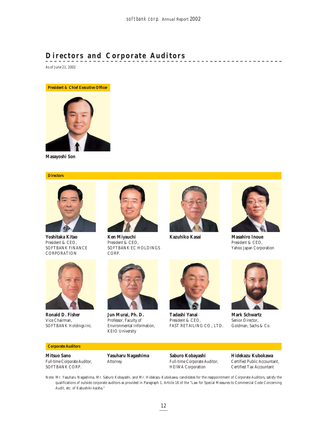## **Directors and Corporate Auditors**

As of June 21, 2002

**President & Chief Executive Officer**



**Masayoshi Son**

#### **Directors**



**Yoshitaka Kitao** President & CEO, SOFTBANK FINANCE **CORPORATION** 



**Ronald D. Fisher** Vice Chairman, SOFTBANK Holdings Inc.

#### **Corporate Auditors**

**Mitsuo Sano** Full-time Corporate Auditor, SOFTBANK CORP.



**Ken Miyauchi** President & CEO, SOFTBANK EC HOLDINGS CORP.



**Kazuhiko Kasai Masahiro Inoue**



\_\_\_\_\_\_\_\_\_\_\_\_\_\_\_\_\_\_\_

President & CEO, Yahoo Japan Corporation



**Jun Murai, Ph. D.** Professor, Faculty of Environmental Information, KEIO University

**Yasuharu Nagashima**

Attorney



**Tadashi Yanai** President & CEO, FAST RETAILING CO., LTD.

**Saburo Kobayashi**



**Mark Schwartz** Senior Director, Goldman, Sachs & Co.

Full-time Corporate Auditor, HEIWA Corporation

**Hidekazu Kubokawa** Certified Public Accountant, Certified Tax Accountant

Note: Mr. Yasuharu Nagashima, Mr. Saburo Kobayashi, and Mr. Hidekazu Kubokawa, candidates for the reappointment of Corporate Auditors, satisfy the qualifications of outside corporate auditors as provided in Paragraph 1, Article 18 of the "Law for Special Measures to Commercial Code Concerning Audit, etc. of Kabushiki-kaisha."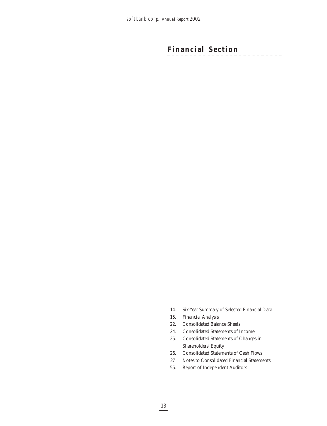## **Financial Section** $\frac{1}{2} \frac{1}{2} \frac{1}{2} \frac{1}{2} \frac{1}{2} \frac{1}{2}$

- 14. Six-Year Summary of Selected Financial Data
- 15. Financial Analysis
- 22. Consolidated Balance Sheets
- 24. Consolidated Statements of Income
- 25. Consolidated Statements of Changes in Shareholders' Equity
- 26. Consolidated Statements of Cash Flows
- 27. Notes to Consolidated Financial Statements
- 55. Report of Independent Auditors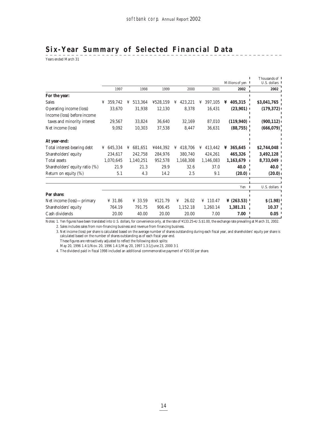## **Six-Year Summary of Selected Financial Data**

 $\frac{2}{3}$  Years ended March 31

|                                |              |              |          |              |              | Millions of yen I     | Thousands of 1<br>U.S. dollars 1 |
|--------------------------------|--------------|--------------|----------|--------------|--------------|-----------------------|----------------------------------|
|                                | 1997         | 1998         | 1999     | 2000         | 2001         | 2002                  | 2002                             |
| For the year:                  |              |              |          |              |              |                       |                                  |
| <b>Sales</b>                   | 359,742<br>¥ | 513,364<br>¥ | 4528,159 | 423,221<br>¥ | 397,105<br>¥ | 405,315<br>¥          | \$3,041,765                      |
| Operating income (loss)        | 33,670       | 31,938       | 12,130   | 8,378        | 16,431       | $(23,901)$            | (179, 372)                       |
| Income (loss) before income    |              |              |          |              |              |                       |                                  |
| taxes and minority interest    | 29,567       | 33,824       | 36,640   | 32,169       | 87,010       | (119, 940)            | (900, 112)                       |
| Net income (loss)              | 9,092        | 10,303       | 37,538   | 8,447        | 36,631       | (88, 755)             | (666, 079)                       |
| At year-end:                   |              |              |          |              |              |                       |                                  |
| Total interest-bearing debt    | 645,334<br>¥ | 681,651<br>¥ | ¥444,392 | 418,706<br>¥ | 413,442<br>¥ | 365,645<br>¥          | \$2,744,048                      |
| Shareholders' equity           | 234,617      | 242,758      | 284,976  | 380,740      | 424,261      | 465,326               | 3,492,128                        |
| <b>Total assets</b>            | 1,070,645    | 1,140,251    | 952,578  | 1,168,308    | 1,146,083    | 1,163,679             | 8,733,049                        |
| Shareholders' equity ratio (%) | 21.9         | 21.3         | 29.9     | 32.6         | 37.0         | 40.0                  | 40.0                             |
| Return on equity (%)           | 5.1          | 4.3          | 14.2     | 2.5          | 9.1          | (20.0)                | (20.0)                           |
|                                |              |              |          |              |              | Yen<br>$\blacksquare$ | U.S. dollars 1                   |
| Per share:                     |              |              |          |              |              |                       |                                  |
| Net income (loss)—primary      | ¥ 31.86      | ¥ 33.59      | ¥121.79  | 26.02<br>¥   | ¥ 110.47     | ¥ $(263.53)$          | \$(1.98)                         |
| Shareholders' equity           | 764.19       | 791.75       | 906.45   | 1,152.18     | 1,260.14     | 1,381.31              | 10.37 <sub>1</sub>               |
| Cash dividends                 | 20.00        | 40.00        | 20.00    | 20.00        | 7.00         | 7.00                  | 0.05                             |

Notes: 1. Yen figures have been translated into U.S. dollars, for convenience only, at the rate of ¥133.25=U.S.\$1.00, the exchange rate prevailing at March 31, 2002. 2. Sales includes sales from non-financing business and revenue from financing business.

3. Net income (loss) per share is calculated based on the average number of shares outstanding during each fiscal year, and shareholders' equity per share is calculated based on the number of shares outstanding as of each fiscal year-end.

These figures are retroactively adjusted to reflect the following stock splits:

May 20, 1996 1.4:1/Nov. 20, 1996 1.4:1/May 20, 1997 1.3:1/June 23, 2000 3:1

4. The dividend paid in fiscal 1998 included an additional commemorative payment of ¥20.00 per share.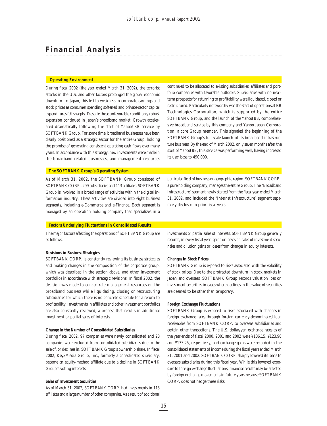## **Financial Analysis**

#### **Operating Environment**

During fiscal 2002 (the year ended March 31, 2002), the terrorist attacks in the U.S. and other factors prolonged the global economic downturn. In Japan, this led to weakness in corporate earnings and stock prices as consumer spending softened and private-sector capital expenditures fell sharply. Despite these unfavorable conditions, robust expansion continued in Japan's broadband market. Growth accelerated dramatically following the start of *Yahoo! BB* service by SOFTBANK Group. For some time, broadband businesses have been clearly positioned as a strategic sector for the entire Group, holding the promise of generating consistent operating cash flows over many years. In accordance with this strategy, new investments were made in the broadband-related businesses, and management resources

continued to be allocated to existing subsidiaries, affiliates and portfolio companies with favorable outlooks. Subsidiaries with no nearterm prospects for returning to profitability were liquidated, closed or restructured. Particularly noteworthy was the start of operations at BB Technologies Corporation, which is supported by the entire SOFTBANK Group, and the launch of the *Yahoo! BB*, comprehensive broadband service by this company and Yahoo Japan Corporation, a core Group member. This signaled the beginning of the SOFTBANK Group's full-scale launch of its broadband infrastructure business. By the end of March 2002, only seven months after the start of *Yahoo! BB*, this service was performing well, having increased its user base to 490,000.

### **The SOFTBANK Group's Operating System**

As of March 31, 2002, the SOFTBANK Group consisted of SOFTBANK CORP., 299 subsidiaries and 113 affiliates. SOFTBANK Group is involved in a broad range of activities within the digital information industry. These activities are divided into eight business segments, including e-Commerce and e-Finance. Each segment is managed by an operation holding company that specializes in a

particular field of business or geographic region. SOFTBANK CORP., a pure holding company, manages the entire Group. The "Broadband Infrastructure" segment newly started from the fiscal year ended March 31, 2002, and included the "Internet Infrastructure" segment separately disclosed in prior fiscal years.

#### **Factors Underlying Fluctuations in Consolidated Results**

The major factors affecting the operations of SOFTBANK Group are as follows.

#### **Revisions in Business Strategies**

SOFTBANK CORP. is constantly reviewing its business strategies and making changes in the composition of the corporate group, which was described in the section above, and other investment portfolios in accordance with strategic revisions. In fiscal 2002, the decision was made to concentrate management resources on the broadband business while liquidating, closing or restructuring subsidiaries for which there is no concrete schedule for a return to profitability. Investments in affiliates and other investment portfolios are also constantly reviewed, a process that results in additional investment or partial sales of interests.

#### **Change in the Number of Consolidated Subsidiaries**

During fiscal 2002, 97 companies were newly consolidated and 28 companies were excluded from consolidated subsidiaries due to the sale of, or declines in, SOFTBANK Group's ownership share. In fiscal 2002, Key3Media Group, Inc., formerly a consolidated subsidiary, became an equity-method affiliate due to a decline in SOFTBANK Group's voting interests.

#### **Sales of Investment Securities**

As of March 31, 2002, SOFTBANK CORP. had investments in 113 affiliates and a large number of other companies. As a result of additional investments or partial sales of interests, SOFTBANK Group generally records, in every fiscal year, gains or losses on sales of investment securities and dilution gains or losses from changes in equity interests.

#### **Changes in Stock Prices**

SOFTBANK Group is exposed to risks associated with the volatility of stock prices. Due to the protracted downturn in stock markets in Japan and overseas, SOFTBANK Group records valuation loss on investment securities in cases where declines in the value of securities are deemed to be other than temporary.

#### **Foreign Exchange Fluctuations**

SOFTBANK Group is exposed to risks associated with changes in foreign exchange rates through foreign currency-denominated loan receivables from SOFTBANK CORP. to overseas subsidiaries and certain other transactions. The U.S. dollar/yen exchange rates as of the year-ends of fiscal 2000, 2001 and 2002 were ¥106.15, ¥123.90 and ¥133.25, respectively, and exchange gains were recorded in the consolidated statements of income during the fiscal years ended March 31, 2001 and 2002. SOFTBANK CORP. sharply lowered its loans to overseas subsidiaries during this fiscal year. While this lowered exposure to foreign exchange fluctuations, financial results may be affected by foreign exchange movements in future years because SOFTBANK CORP. does not hedge these risks.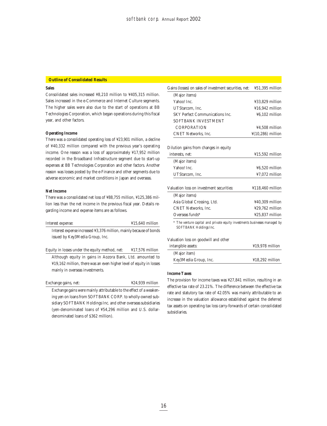## **Outline of Consolidated Results**

## **Sales**

Consolidated sales increased ¥8,210 million to ¥405,315 million. Sales increased in the e-Commerce and Internet Culture segments. The higher sales were also due to the start of operations at BB Technologies Corporation, which began operations during this fiscal year, and other factors.

#### **Operating Income**

There was a consolidated operating loss of ¥23,901 million, a decline of ¥40,332 million compared with the previous year's operating income. One reason was a loss of approximately ¥17,952 million recorded in the Broadband Infrastructure segment due to start-up expenses at BB Technologies Corporation and other factors. Another reason was losses posted by the e-Finance and other segments due to adverse economic and market conditions in Japan and overseas.

#### **Net Income**

There was a consolidated net loss of ¥88,755 million, ¥125,386 million less than the net income in the previous fiscal year. Details regarding income and expense items are as follows.

| Interest expense:                                                  | $415,640$ million |
|--------------------------------------------------------------------|-------------------|
| Interest expense increased ¥3,376 million, mainly because of bonds |                   |
| issued by Key3Media Group, Inc.                                    |                   |

Equity in losses under the equity method, net:  $\text{\#17,576}$  million Although equity in gains in Aozora Bank, Ltd. amounted to ¥19,162 million, there was an even higher level of equity in losses mainly in overseas investments.

Exchange gains, net:  $\text{\textless}\,424,939$  million

Exchange gains were mainly attributable to the effect of a weakening yen on loans from SOFTBANK CORP. to wholly-owned subsidiary SOFTBANK Holdings Inc. and other overseas subsidiaries (yen-denominated loans of ¥54,296 million and U.S. dollardenominated loans of \$362 million).

| Gains (losses) on sales of investment securities, net:                                               | ¥51,395 million                      |
|------------------------------------------------------------------------------------------------------|--------------------------------------|
| (Major items)                                                                                        |                                      |
| Yahoo! Inc.                                                                                          | ¥33,829 million                      |
| UTStarcom. Inc.                                                                                      | $416.942$ million                    |
| <b>SKY Perfect Communications Inc.</b>                                                               | $46,102$ million                     |
| SOFTBANK INVESTMENT                                                                                  |                                      |
| <b>CORPORATION</b>                                                                                   | ¥4.508 million                       |
| <b>CNET Networks, Inc.</b>                                                                           | $\frac{1}{2}(10, 286)$ million       |
|                                                                                                      |                                      |
| Dilution gains from changes in equity                                                                |                                      |
| interests, net:                                                                                      | $\text{\textsterling}15,592$ million |
| (Major items)                                                                                        |                                      |
| Yahoo! Inc.                                                                                          | ¥6,520 million                       |
| UTStarcom. Inc.                                                                                      | ¥7,072 million                       |
| Valuation loss on investment securities:                                                             | ¥118,460 million                     |
| (Major items)                                                                                        |                                      |
| Asia Global Crossing, Ltd.                                                                           | ¥40,309 million                      |
| <b>CNET Networks. Inc.</b>                                                                           | ¥29,762 million                      |
| Overseas funds*                                                                                      | $425.837$ million                    |
| * The venture capital and private equity investments businesses managed by<br>SOFTBANK Holdings Inc. |                                      |
| Valuation loss on goodwill and other                                                                 |                                      |

intangible assets: ¥19,978 million (Major item) Key3Media Group, Inc.  $\text{\$18,292}$  million

#### **Income Taxes**

The provision for income taxes was ¥27,841 million, resulting in an effective tax rate of 23.21%. The difference between the effective tax rate and statutory tax rate of 42.05% was mainly attributable to an increase in the valuation allowance established against the deferred tax assets on operating tax loss carry-forwards of certain consolidated subsidiaries.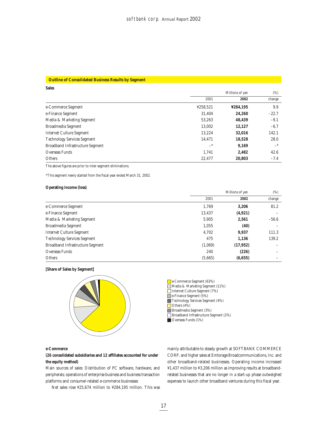#### **Outline of Consolidated Business Results by Segment**

| <b>Sales</b>                       |                 |          |         |
|------------------------------------|-----------------|----------|---------|
|                                    | Millions of yen |          |         |
|                                    | 2001            | 2002     | change  |
| e-Commerce Segment                 | ¥258,521        | ¥284,195 | 9.9     |
| e-Finance Segment                  | 31.404          | 24,260   | $-22.7$ |
| Media & Marketing Segment          | 53,263          | 48,439   | $-9.1$  |
| Broadmedia Segment                 | 13.002          | 12,127   | $-6.7$  |
| <b>Internet Culture Segment</b>    | 13.224          | 32,016   | 142.1   |
| <b>Technology Services Segment</b> | 14,471          | 18,528   | 28.0    |
| Broadband Infrastructure Segment   | $-$ *           | 9,169    | $-*$    |
| Overseas Funds                     | 1.741           | 2.482    | 42.6    |
| Others                             | 22.477          | 20.803   | $-7.4$  |

The above figures are prior to inter-segment eliminations.

\*This segment newly started from the fiscal year ended March 31, 2002.

## **Operating income (loss)**

|                                         | Millions of yen |           |         |
|-----------------------------------------|-----------------|-----------|---------|
|                                         | 2001            | 2002      | change  |
| e-Commerce Segment                      | 1.769           | 3,206     | 81.2    |
| e-Finance Segment                       | 13,437          | (4, 921)  |         |
| Media & Marketing Segment               | 5,905           | 2,561     | $-56.6$ |
| Broadmedia Segment                      | 1,055           | (40)      |         |
| <b>Internet Culture Segment</b>         | 4,702           | 9,937     | 111.3   |
| <b>Technology Services Segment</b>      | 475             | 1,136     | 139.2   |
| <b>Broadband Infrastructure Segment</b> | (1,069)         | (17, 952) |         |
| Overseas Funds                          | 240             | (226)     |         |
| <b>Others</b>                           | (5,665)         | (6, 655)  |         |





e-Commerce Segment (63%)

- Media & Marketing Segment (11%) Internet Culture Segment (7%)
- 
- e-Finance Segment (5%) Technology Services Segment (4%)
- Others  $(4\%)$
- Broadmedia Segment (3%)
- Broadband Infrastructure Segment (2%)
- Overseas Funds (1%)

#### **e-Commerce**

**(26 consolidated subsidiaries and 12 affiliates accounted for under the equity method)**

Main sources of sales: Distribution of PC software, hardware, and peripherals; operations of enterprise business and business transaction platforms and consumer-related e-commerce businesses

Net sales rose ¥25,674 million to ¥284,195 million. This was

mainly attributable to steady growth at SOFTBANK COMMERCE CORP. and higher sales at Emtorage Broadcommunications, Inc. and other broadband-related businesses. Operating income increased ¥1,437 million to ¥3,206 million as improving results at broadbandrelated businesses that are no longer in a start-up phase outweighed expenses to launch other broadband ventures during this fiscal year.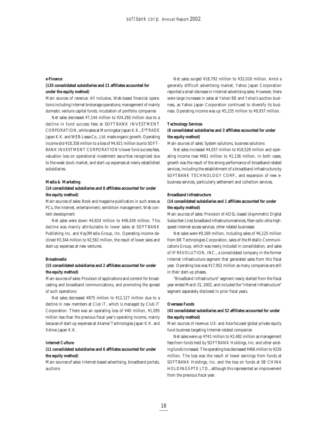#### **e-Finance**

## **(135 consolidated subsidiaries and 21 affiliates accounted for under the equity method)**

Main sources of revenue: All inclusive, Web-based financial operations including Internet brokerage operations; management of mainly domestic venture capital funds; incubation of portfolio companies

Net sales decreased ¥7,144 million to ¥24,260 million due to a decline in fund success fees at SOFTBANK INVESTMENT CORPORATION, while sales at Morningstar Japan K.K., E\*TRADE Japan K.K. and WEB-Lease Co., Ltd. made organic growth. Operating income slid ¥18,358 million to a loss of ¥4,921 million due to SOFT-BANK INVESTMENT CORPORATION's lower fund success fees, valuation loss on operational investment securities recognized due to the weak stock market, and start-up expenses at newly established subsidiaries.

#### **Media & Marketing**

## **(14 consolidated subsidiaries and 8 affiliates accounted for under the equity method)**

Main sources of sales: Book and magazine publication in such areas as PCs, the Internet, entertainment; exhibition management; Web content development

Net sales were down ¥4,824 million to ¥48,439 million. This decline was mainly attributable to lower sales at SOFTBANK Publishing Inc. and Key3Media Group, Inc. Operating income declined ¥3,344 million to ¥2,561 million, the result of lower sales and start-up expenses at new ventures.

#### **Broadmedia**

## **(15 consolidated subsidiaries and 2 affiliates accounted for under the equity method)**

Main sources of sales: Provision of applications and content for broadcasting and broadband communications, and promoting the spread of such operations

Net sales decreased ¥875 million to ¥12,127 million due to a decline in new members at *Club iT*, which is managed by Club iT Corporation. There was an operating loss of ¥40 million, ¥1,095 million less than the previous fiscal year's operating income, mainly because of start-up expenses at Akamai Technologies Japan K.K. and Xdrive Japan K.K.

## **Internet Culture**

## **(11 consolidated subsidiaries and 6 affiliates accounted for under the equity method)**

Main sources of sales: Internet-based advertising, broadband portals, auctions

Net sales surged ¥18,792 million to ¥32,016 million. Amid a generally difficult advertising market, Yahoo Japan Corporation reported a small decrease in Internet advertising sales. However, there were large increases in sales at *Yahoo! BB* and *Yahoo*'s auction business, as Yahoo Japan Corporation continued to diversify its business. Operating income was up ¥5,235 million to ¥9,937 million.

## **Technology Services**

## **(8 consolidated subsidiaries and 3 affiliates accounted for under the equity method)**

Main sources of sales: System solutions, business solutions

Net sales increased ¥4,057 million to ¥18,528 million and operating income rose ¥661 million to ¥1,136 million. In both cases, growth was the result of the strong performance of broadband-related services, including the establishment of a broadband infrastructure by SOFTBANK TECHNOLOGY CORP., and expansion of new ebusiness services, particularly settlement and collection services.

#### **Broadband Infrastructure**

## **(14 consolidated subsidiaries and 1 affiliate accounted for under the equity method)**

Main sources of sales: Provision of ADSL-based (Asymmetric Digital Subscriber Line) broadband infrastructure services, fiber-optic ultra-highspeed Internet access services, other related businesses

Net sales were ¥9,169 million, including sales of ¥6,125 million from BB Technologies Corporation, sales of the Metallic Communications Group, which was newly included in consolidation, and sales of IP REVOLUTION, INC., a consolidated company in the former Internet Infrastructure segment that generated sales from this fiscal year. Operating loss was ¥17,952 million as many companies are still in their start-up phases.

"Broadband Infrastructure" segment newly started from the fiscal year ended March 31, 2002, and included the "Internet Infrastructure" segment separately disclosed in prior fiscal years.

## **Overseas Funds**

## **(43 consolidated subsidiaries and 52 affiliates accounted for under the equity method)**

Main sources of revenue: US- and Asia-focused global private equity fund business targeting Internet-related companies

Net sales were up ¥741 million to ¥2,482 million as management fees from funds held by SOFTBANK Holdings, Inc. and other existing funds increased. The operating loss decreased ¥466 million to ¥226 million. The loss was the result of lower earnings from funds at SOFTBANK Holdings, Inc. and the loss on funds at SB CHINA HOLDINGS PTE LTD., although this represented an improvement from the previous fiscal year.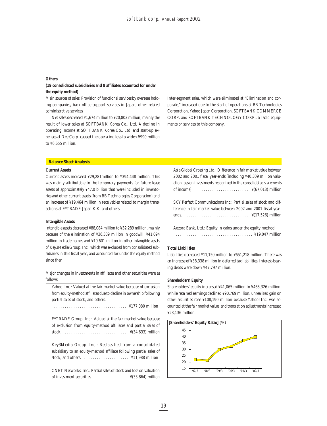#### **Others**

## **(19 consolidated subsidiaries and 8 affiliates accounted for under the equity method)**

Main sources of sales: Provision of functional services by overseas holding companies, back-office support services in Japan, other related administrative services

Net sales decreased ¥1,674 million to ¥20,803 million, mainly the result of lower sales at SOFTBANK Korea Co., Ltd. A decline in operating income at SOFTBANK Korea Co., Ltd. and start-up expenses at Dee Corp. caused the operating loss to widen ¥990 million to ¥6,655 million.

Inter-segment sales, which were eliminated at "Elimination and corporate," increased due to the start of operations at BB Technologies Corporation, Yahoo Japan Corporation, SOFTBANK COMMERCE CORP. and SOFTBANK TECHNOLOGY CORP., all sold equipments or services to this company.

#### **Balance Sheet Analysis**

#### **Current Assets**

Current assets increased ¥29,281million to ¥394,448 million. This was mainly attributable to the temporary payments for future lease assets of approximately ¥47.0 billion that were included in inventories and other current assets (from BB Technologies Corporation) and an increase of ¥19,464 million in receivables related to margin transactions at E\*TRADE Japan K.K. and others.

#### **Intangible Assets**

Intangible assets decreased ¥88,084 million to ¥32,289 million, mainly because of the elimination of ¥36,389 million in goodwill, ¥41,094 million in trade names and ¥10,601 million in other intangible assets of Key3Media Group, Inc., which was excluded from consolidated subsidiaries in this fiscal year, and accounted for under the equity method since then.

Major changes in investments in affiliates and other securities were as follows.

Yahoo! Inc.: Valued at the fair market value because of exclusion from equity-method affiliates due to decline in ownership following partial sales of stock, and others.

. . . . . . . . . . . . . . . . . . . . . . . . . . . . . . . . . . ¥177,080 million

E\*TRADE Group, Inc.: Valued at the fair market value because of exclusion from equity-method affiliates and partial sales of stock. . . . . . . . . . . . . . . . . . . . . . . . . . . . . . ¥(34,633) million

Key3Media Group, Inc.: Reclassified from a consolidated subsidiary to an equity-method affiliate following partial sales of stock, and others.  $\dots \dots \dots \dots \dots \dots$  ¥11.988 million

CNET Networks, Inc.: Partial sales of stock and loss on valuation of investment securities. . . . . . . . . . . . . . . . ¥(33,864) million Asia Global Crossing Ltd.: Difference in fair market value between 2002 and 2001 fiscal year-ends (including ¥40,309 million valuation loss on investments recognized in the consolidated statements of income). . . . . . . . . . . . . . . . . . . . . . . . . ¥(67,013) million

SKY Perfect Communications Inc.: Partial sales of stock and difference in fair market value between 2002 and 2001 fiscal yearends. . . . . . . . . . . . . . . . . . . . . . . . . . . . . . ¥(17,526) million

Aozora Bank, Ltd.: Equity in gains under the equity method. . . . . . . . . . . . . . . . . . . . . . . . . . . . . . . . . . . . . ¥19,047 million

#### **Total Liabilities**

Liabilities decreased ¥11,150 million to ¥651,218 million. There was an increase of ¥38,338 million in deferred tax liabilities. Interest-bearing debts were down ¥47,797 million.

#### **Shareholders' Equity**

Shareholders' equity increased ¥41,065 million to ¥465,326 million. While retained earnings declined ¥90,769 million, unrealized gain on other securities rose ¥108,190 million because Yahoo! Inc. was accounted at the fair market value, and translation adjustments increased ¥23,136 million.

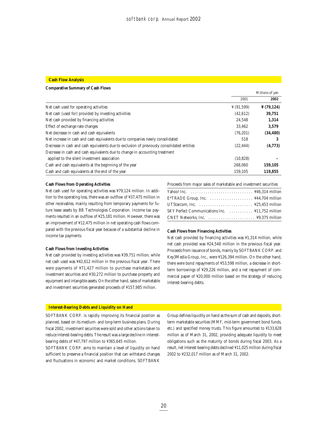#### **Cash Flow Analysis**

#### **Comparative Summary of Cash Flows**

|                                                                                            |                        | Millions of yen        |
|--------------------------------------------------------------------------------------------|------------------------|------------------------|
|                                                                                            | 2001                   | 2002                   |
| Net cash used for operating activities                                                     | $\frac{1}{2}$ (91,599) | $\frac{1}{2}$ (79,124) |
| Net cash (used for) provided by investing activities                                       | (42, 612)              | 39,751                 |
| Net cash provided by financing activities                                                  | 24.548                 | 1,314                  |
| Effect of exchange rate changes                                                            | 33,462                 | 3,579                  |
| Net decrease in cash and cash equivalents                                                  | (76, 201)              | (34, 480)              |
| Net increase in cash and cash equivalents due to companies newly consolidated              | 518                    | 3                      |
| Decrease in cash and cash equivalents due to exclusion of previously consolidated entities | (22, 444)              | (4,773)                |
| Decrease in cash and cash equivalents due to change in accounting treatment                |                        |                        |
| applied to the silent investment association                                               | (10, 828)              |                        |
| Cash and cash equivalents at the beginning of the year                                     | 268.060                | 159,105                |
| Cash and cash equivalents at the end of the year                                           | 159.105                | 119,855                |

#### **Cash Flows from Operating Activities**

Net cash used for operating activities was ¥79,124 million. In addition to the operating loss, there was an outflow of ¥37,475 million in other receivables, mainly resulting from temporary payments for future lease assets by BB Technologies Corporation. Income tax payments resulted in an outflow of ¥25,181 million. However, there was an improvement of ¥12,475 million in net operating cash flows compared with the previous fiscal year because of a substantial decline in income tax payments.

#### **Cash Flows from Investing Activities**

Net cash provided by investing activities was ¥39,751 million, while net cash used was ¥42,612 million in the previous fiscal year. There were payments of ¥71,427 million to purchase marketable and investment securities and ¥30,272 million to purchase property and equipment and intangible assets. On the other hand, sales of marketable and investment securities generated proceeds of ¥157,985 million.

## Proceeds from major sales of marketable and investment securities Yahoo! Inc. . . . . . . . . . . . . . . . . . . . . . . . . . . . . . ¥46,314 million  $E^*$ TRADE Group, Inc.  $\dots \dots \dots \dots \dots \dots$  ¥44,704 million UTStarcom, Inc.  $\ldots, \ldots, \ldots, \ldots, \ldots, \quad \text{425.453 million}$ SKY Perfect Communications Inc. . . . . . . . . . . . . ¥11,752 million CNET Networks, Inc. . . . . . . . . . . . . . . . . . . . . . . ¥9,375 million

#### **Cash Flows from Financing Activities**

Net cash provided by financing activities was ¥1,314 million, while net cash provided was ¥24,548 million in the previous fiscal year. Proceeds from issuance of bonds, mainly by SOFTBANK CORP. and Key3Media Group, Inc., were ¥126,394 million. On the other hand, there were bond repayments of ¥53,598 million, a decrease in shortterm borrowings of ¥29,226 million, and a net repayment of commercial paper of ¥20,000 million based on the strategy of reducing interest-bearing debts.

#### **Interest-Bearing Debts and Liquidity on Hand**

SOFTBANK CORP. is rapidly improving its financial position as planned, based on its medium- and long-term business plans. During fiscal 2002, investment securities were sold and other actions taken to reduce interest-bearing debts. The result was a large decline in interestbearing debts of ¥47,797 million to ¥365,645 million.

SOFTBANK CORP. aims to maintain a level of liquidity on hand sufficient to preserve a financial position that can withstand changes and fluctuations in economic and market conditions. SOFTBANK

Group defines liquidity on hand as the sum of cash and deposits, shortterm marketable securities (MMF, mid-term government bond funds, etc.) and specified money trusts. This figure amounted to ¥133,628 million as of March 31, 2002, providing adequate liquidity to meet obligations such as the maturity of bonds during fiscal 2003. As a result, net interest-bearing debts declined ¥11,025 million during fiscal 2002 to ¥232,017 million as of March 31, 2002.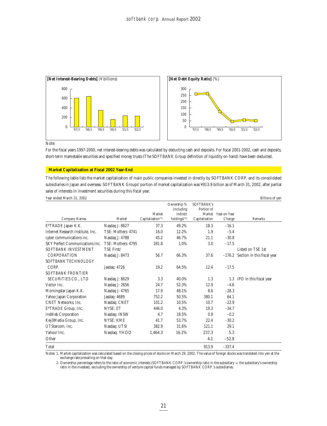

Note:

For the fiscal years 1997-2000, net interest-bearing debts was calculated by deducting cash and deposits. For fiscal 2001-2002, cash and deposits, short-term marketable securities and specified money trusts (The SOFTBANK Group definition of liquidity on hand) have been deducted.

### **Market Capitalization at Fiscal 2002 Year-End**

The following table lists the market capitalization of main public companies invested in directly by SOFTBANK CORP. and its consolidated subsidiaries in Japan and overseas. SOFTBANK Groups' portion of market capitalization was ¥913.9 billion as of March 31, 2002, after partial sales of interests in investment securities during this fiscal year.

| Year ended March 31, 2002              |                    |                                          |                            |                |                     | Billions of yen             |
|----------------------------------------|--------------------|------------------------------------------|----------------------------|----------------|---------------------|-----------------------------|
|                                        |                    |                                          | Ownership %                | SOFTBANK's     |                     |                             |
|                                        |                    |                                          | (including<br>indirect     | Portion of     | Market Year-on-Year |                             |
| <b>Company Names</b>                   | Market             | Market<br>Capitalization <sup>(*1)</sup> | $holdings$ <sup>(*2)</sup> | Capitalization | Change              | Remarks                     |
| E*TRADE Japan K.K.                     | Nasdaq J: 8627     | 37.3                                     | 49.2%                      | 18.3           | $-16.1$             |                             |
| Internet Research Institute. Inc.      | TSE: Mothers: 4741 | 16.0                                     | 12.2%                      | 1.9            | $-5.4$              |                             |
| cyber communications inc.              | Nasdaq J: 4788     | 45.2                                     | 46.7%                      | 21.1           | $-30.8$             |                             |
| <b>SKY Perfect Communications Inc.</b> | TSE: Mothers: 4795 | 281.8                                    | 1.0%                       | 3.0            | $-17.5$             |                             |
| SOFTBANK INVESTMENT                    | TSE First/         |                                          |                            |                |                     | Listed on TSE 1st           |
| <b>CORPORATION</b>                     | Nasdaq J: 8473     | 56.7                                     | 66.3%                      | 37.6           | $-176.2$            | Section in this fiscal year |
| SOFTBANK TECHNOLOGY                    |                    |                                          |                            |                |                     |                             |
| CORP.                                  | Jasdaq: 4726       | 19.2                                     | 64.5%                      | 12.4           | $-17.5$             |                             |
| <b>SOFTBANK FRONTIER</b>               |                    |                                          |                            |                |                     |                             |
| SECURITIES CO., LTD                    | Nasdaq J: 8629     | 3.3                                      | 40.0%                      | 1.3            |                     | 1.3 IPO in this fiscal year |
| Vector Inc.                            | Nasdaq J: 2656     | 24.7                                     | 52.3%                      | 12.9           | $-4.6$              |                             |
| Morningstar Japan K.K.                 | Nasdaq J: 4765     | 17.9                                     | 48.1%                      | 8.6            | $-28.3$             |                             |
| Yahoo Japan Corporation                | Jasdaq: 4689       | 752.2                                    | 50.5%                      | 380.1          | 64.1                |                             |
| <b>CNET Networks. Inc.</b>             | Nasdaq: CNET       | 101.2                                    | 10.5%                      | 10.7           | $-22.9$             |                             |
| E*TRADE Group, Inc.                    | <b>NYSE: ET</b>    | 446.0                                    | 4.3%                       | 19.3           | $-34.7$             |                             |
| InsWeb Corporation                     | Nasdaq: INSW       | 4.7                                      | 18.5%                      | 0.8            | $-0.2$              |                             |
| Key3Media Group, Inc.                  | <b>NYSE: KME</b>   | 41.7                                     | 53.7%                      | 22.4           | $-30.2$             |                             |
| UTStarcom, Inc.                        | Nasdaq: UTSI       | 382.9                                    | 31.6%                      | 121.1          | 29.1                |                             |
| Yahoo! Inc.                            | Nasdaq: YHOO       | 1,464.3                                  | 16.2%                      | 237.3          | 5.3                 |                             |
| Other                                  |                    |                                          |                            | 4.1            | $-52.8$             |                             |
| Total                                  |                    |                                          |                            | 913.9          | $-337.4$            |                             |

Notes: 1. Market capitalization was calculated based on the closing prices of stocks on March 29, 2002. The value of foreign stocks was translated into yen at the exchange rate prevailing on that day.

2. Ownership percentage refers to the ratio of economic interests (SOFTBANK CORP.'s ownership ratio in the subsidiary  $\times$  the subsidiary's ownership ratio in the investee), excluding the ownership of venture capital funds managed by SOFTBANK CORP.'s subsidiaries.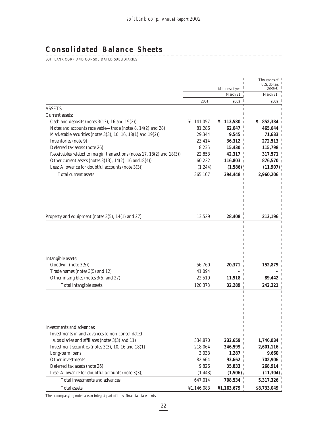-----------------------

## **Consolidated Balance Sheets**

 $\begin{array}{c} \mathsf{S} \mathsf{S} \mathsf{S} \mathsf{S} \mathsf{S} \mathsf{S} \mathsf{S} \mathsf{S} \mathsf{S} \mathsf{S} \mathsf{S} \mathsf{S} \mathsf{S} \mathsf{S} \mathsf{S} \mathsf{S} \mathsf{S} \mathsf{S} \mathsf{S} \mathsf{S} \mathsf{S} \mathsf{S} \mathsf{S} \mathsf{S} \mathsf{S} \mathsf{S} \mathsf{S} \mathsf{S} \mathsf{S} \mathsf{S} \mathsf{S} \mathsf{S} \mathsf{S} \mathsf{S} \mathsf{S} \mathsf$ 

|                                                                               |                  | Millions of yen         | Thousands of<br>U.S. dollars<br>(note 4) |
|-------------------------------------------------------------------------------|------------------|-------------------------|------------------------------------------|
|                                                                               |                  | March 31                | March 31,                                |
|                                                                               | 2001             | 2002                    | 2002                                     |
| <b>ASSETS</b>                                                                 |                  |                         |                                          |
| Current assets:                                                               |                  |                         |                                          |
| Cash and deposits (notes $3(13)$ , 16 and $19(2)$ )                           | ¥ 141,057        | $\frac{1}{2}$ 113,580 + | 852,384<br>S.                            |
| Notes and accounts receivable-trade (notes 8, 14(2) and 28)                   | 81,286           | 62,047                  | 465,644                                  |
| Marketable securities (notes 3(3), 10, 16, 18(1) and 19(2))                   | 29,344           | 9,545                   | 71,633                                   |
| Inventories (note 9)                                                          | 23,414           | 36,312                  | 272,513                                  |
| Deferred tax assets (note 26)                                                 | 8,235            | 15,430                  | 115,798                                  |
| Receivables related to margin transactions (notes 17, 18(2) and 18(3))        | 22,853           | 42,317                  | 317,571                                  |
| Other current assets (notes $3(13)$ , $14(2)$ , $16$ and $18(4)$ )            | 60,222           | 116,803                 | 876,570                                  |
| Less: Allowance for doubtful accounts (note 3(3))                             | (1,244)          | (1,586)                 | (11, 907)                                |
| Total current assets                                                          | 365,167          | 394,448                 | 2,960,206                                |
| Property and equipment (notes 3(5), 14(1) and 27)                             | 13,529           | 28,408                  | 213,196                                  |
| Intangible assets:<br>Goodwill (note 3(5))<br>Trade names (notes 3(5) and 12) | 56,760<br>41,094 | 20,371                  | 152,879                                  |
| Other intangibles (notes 3(5) and 27)                                         | 22,519           | 11,918                  | 89,442                                   |
| Total intangible assets                                                       | 120,373          | 32,289                  | 242,321                                  |
|                                                                               |                  |                         |                                          |
| Investments and advances:<br>Investments in and advances to non-consolidated  |                  |                         |                                          |
| subsidiaries and affiliates (notes 3(3) and 11)                               | 334,870          | 232,659                 | 1,746,034                                |
| Investment securities (notes $3(3)$ , 10, 16 and $18(1)$ )                    | 218,064          | 346,599                 | 2,601,116                                |
| Long-term loans                                                               | 3,033            | 1,287                   | 9,660                                    |
| Other investments                                                             | 82,664           | 93,662                  | 702,906                                  |
| Deferred tax assets (note 26)                                                 | 9,826            | 35,833                  | 268,914                                  |
| Less: Allowance for doubtful accounts (note 3(3))                             | (1, 443)         | (1,506)                 | (11, 304)                                |
| Total investments and advances                                                |                  |                         | 5,317,326                                |
|                                                                               | 647,014          | 708,534                 |                                          |
| <b>Total assets</b>                                                           | ¥1,146,083       | ¥1,163,679              | \$8,733,049                              |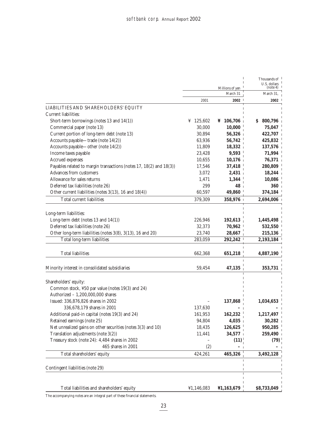|                                                                     |             |                 | Thousands of             |
|---------------------------------------------------------------------|-------------|-----------------|--------------------------|
|                                                                     |             | Millions of yen | U.S. dollars<br>(note 4) |
|                                                                     |             | March 31        | March 31,                |
|                                                                     | 2001        | 2002            | 2002                     |
| LIABILITIES AND SHAREHOLDERS' EQUITY                                |             |                 |                          |
| Current liabilities:                                                |             |                 |                          |
| Short-term borrowings (notes 13 and 14(1))                          | ¥ $125,602$ | ¥ $106,706$     | \$800,796                |
| Commercial paper (note 13)                                          | 30,000      | 10,000          | 75,047                   |
| Current portion of long-term debt (note 13)                         | 30,894      | 56,326          | 422,707                  |
| Accounts payable—trade (note 14(2))                                 | 63,936      | 56,742          | 425,832                  |
| Accounts payable—other (note 14(2))                                 | 11,809      | 18,332          | 137,576                  |
| Income taxes payable                                                | 23,428      | 9,593           | 71,994                   |
| Accrued expenses                                                    | $10,\!655$  | 10,176          | 76,371                   |
| Payables related to margin transactions (notes 17, 18(2) and 18(3)) | 17,546      | 37,418          | 280,809                  |
| Advances from customers                                             | 3,072       | 2,431           | 18,244                   |
| Allowance for sales returns                                         | 1,471       | 1,344           | 10,086                   |
| Deferred tax liabilities (note 26)                                  | 299         | 48              | 360 <sub>1</sub>         |
| Other current liabilities (notes 3(13), 16 and 18(4))               | 60,597      | 49,860          | 374,184                  |
| Total current liabilities                                           | 379,309     | 358,976         | 2,694,006                |
|                                                                     |             |                 |                          |
| Long-term liabilities:                                              |             |                 |                          |
| Long-term debt (notes $13$ and $14(1)$ )                            | 226,946     | 192,613         | 1,445,498                |
| Deferred tax liabilities (note 26)                                  | 32,373      | 70,962          | 532,550                  |
| Other long-term liabilities (notes 3(8), 3(13), 16 and 20)          | 23,740      | 28,667          | 215,136                  |
| Total long-term liabilities                                         | 283,059     | 292,242         | 2,193,184                |
|                                                                     |             |                 |                          |
| <b>Total liabilities</b>                                            | 662,368     | 651,218         | 4,887,190                |
|                                                                     |             |                 |                          |
| Minority interest in consolidated subsidiaries                      | 59,454      | 47,135          | 353,731                  |
| Shareholders' equity:                                               |             |                 |                          |
| Common stock, ¥50 par value (notes 19(3) and 24)                    |             |                 |                          |
| Authorized - 1,200,000,000 shares                                   |             |                 |                          |
| Issued: 336,876,826 shares in 2002                                  |             | 137,868         | 1,034,653                |
| 336,678,179 shares in 2001                                          | 137,630     |                 |                          |
| Additional paid-in capital (notes 19(3) and 24)                     | 161,953     | 162,232         | 1,217,497                |
| Retained earnings (note 25)                                         | 94,804      | 4,035           | 30,282                   |
| Net unrealized gains on other securities (notes 3(3) and 10)        | 18,435      | 126,625         | 950,285                  |
| Translation adjustments (note 3(2))                                 | 11,441      | 34,577          | 259,490                  |
| Treasury stock (note 24): 4,484 shares in 2002                      |             | (11)            | (79)                     |
| 465 shares in 2001                                                  | (2)         | - 1             |                          |
| Total shareholders' equity                                          | 424,261     | 465,326         | 3,492,128                |
|                                                                     |             | I               |                          |
| Contingent liabilities (note 29)                                    |             | ı<br>п          |                          |
|                                                                     |             | п               |                          |
| Total liabilities and shareholders' equity                          | ¥1,146,083  | ¥1,163,679      | \$8,733,049              |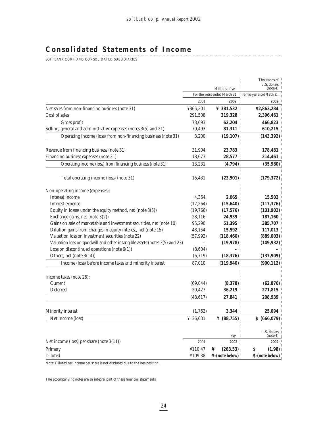\_\_\_\_\_\_\_\_\_\_\_\_\_\_\_\_\_

# **Consolidated Statements of Income**

 $\begin{array}{c} \mathsf{S} \mathsf{S} \mathsf{S} \mathsf{S} \mathsf{S} \mathsf{S} \mathsf{S} \mathsf{S} \mathsf{S} \mathsf{S} \mathsf{S} \mathsf{S} \mathsf{S} \mathsf{S} \mathsf{S} \mathsf{S} \mathsf{S} \mathsf{S} \mathsf{S} \mathsf{S} \mathsf{S} \mathsf{S} \mathsf{S} \mathsf{S} \mathsf{S} \mathsf{S} \mathsf{S} \mathsf{S} \mathsf{S} \mathsf{S} \mathsf{S} \mathsf{S} \mathsf{S} \mathsf{S} \mathsf{S} \mathsf$ 

| For the years ended March 31<br>2001<br>Net sales from non-financing business (note 31)<br>¥365,201<br>Cost of sales<br>291,508<br>Gross profit<br>73,693<br>Selling, general and administrative expenses (notes 3(5) and 21)<br>70,493<br>Operating income (loss) from non-financing business (note 31)<br>3,200 | 2002<br>¥ 381,532 +<br>319,328<br>62,204<br>81,311<br>(19, 107)<br>23,783<br>28,577<br>(4,794)<br>(23,901) | For the year ended March 31,<br>2002<br>\$2,863,284<br>2,396,461<br>466,823<br>610,215<br>(143, 392)<br>178,481<br>214,461<br>(35, 980) |
|-------------------------------------------------------------------------------------------------------------------------------------------------------------------------------------------------------------------------------------------------------------------------------------------------------------------|------------------------------------------------------------------------------------------------------------|-----------------------------------------------------------------------------------------------------------------------------------------|
|                                                                                                                                                                                                                                                                                                                   |                                                                                                            |                                                                                                                                         |
|                                                                                                                                                                                                                                                                                                                   |                                                                                                            |                                                                                                                                         |
|                                                                                                                                                                                                                                                                                                                   |                                                                                                            |                                                                                                                                         |
|                                                                                                                                                                                                                                                                                                                   |                                                                                                            |                                                                                                                                         |
|                                                                                                                                                                                                                                                                                                                   |                                                                                                            |                                                                                                                                         |
|                                                                                                                                                                                                                                                                                                                   |                                                                                                            |                                                                                                                                         |
|                                                                                                                                                                                                                                                                                                                   |                                                                                                            |                                                                                                                                         |
| Revenue from financing business (note 31)<br>31,904                                                                                                                                                                                                                                                               |                                                                                                            |                                                                                                                                         |
| Financing business expenses (note 21)<br>18,673                                                                                                                                                                                                                                                                   |                                                                                                            |                                                                                                                                         |
| Operating income (loss) from financing business (note 31)<br>13,231                                                                                                                                                                                                                                               |                                                                                                            |                                                                                                                                         |
| Total operating income (loss) (note 31)<br>16,431                                                                                                                                                                                                                                                                 |                                                                                                            | (179, 372)                                                                                                                              |
| Non-operating income (expenses):                                                                                                                                                                                                                                                                                  |                                                                                                            |                                                                                                                                         |
| Interest income<br>4,364                                                                                                                                                                                                                                                                                          | 2,065                                                                                                      | 15,502                                                                                                                                  |
| (12, 264)<br>Interest expense                                                                                                                                                                                                                                                                                     | (15,640)                                                                                                   | (117, 376)                                                                                                                              |
| Equity in losses under the equity method, net (note $3(5)$ )<br>(19,766)                                                                                                                                                                                                                                          | (17,576)                                                                                                   | (131, 902)                                                                                                                              |
| Exchange gains, net (note 3(2))<br>28,116                                                                                                                                                                                                                                                                         | 24,939                                                                                                     | 187,160                                                                                                                                 |
| Gains on sale of marketable and investment securities, net (note 10)<br>95,290                                                                                                                                                                                                                                    | 51,395                                                                                                     | 385,707                                                                                                                                 |
| Dilution gains from changes in equity interest, net (note 15)<br>48,154                                                                                                                                                                                                                                           | 15,592                                                                                                     | 117,013                                                                                                                                 |
| Valuation loss on investment securities (note 22)<br>(57, 992)                                                                                                                                                                                                                                                    | (118, 460)                                                                                                 | (889,003)                                                                                                                               |
| Valuation loss on goodwill and other intangible assets (notes 3(5) and 23)                                                                                                                                                                                                                                        | (19,978)                                                                                                   | (149, 932)                                                                                                                              |
| Loss on discontinued operations (note $6(1)$ )<br>(8,604)                                                                                                                                                                                                                                                         |                                                                                                            |                                                                                                                                         |
| Others, net (note 3(14))<br>(6, 719)                                                                                                                                                                                                                                                                              | (18, 376)                                                                                                  | (137,909)                                                                                                                               |
| Income (loss) before income taxes and minority interest<br>87,010                                                                                                                                                                                                                                                 | (119, 940)                                                                                                 | (900, 112)                                                                                                                              |
| Income taxes (note 26):                                                                                                                                                                                                                                                                                           |                                                                                                            |                                                                                                                                         |
| Current<br>(69, 044)                                                                                                                                                                                                                                                                                              | (8,378)                                                                                                    | (62, 876)                                                                                                                               |
| Deferred<br>20,427                                                                                                                                                                                                                                                                                                | 36,219                                                                                                     | 271,815                                                                                                                                 |
| (48, 617)                                                                                                                                                                                                                                                                                                         | 27,841                                                                                                     | 208,939                                                                                                                                 |
| Minority interest<br>(1,762)                                                                                                                                                                                                                                                                                      | 3,344                                                                                                      | 25,094                                                                                                                                  |
| Net income (loss)<br>¥ 36,631                                                                                                                                                                                                                                                                                     | $\frac{1}{2}$ (88,755)                                                                                     | \$ (666,079)                                                                                                                            |
|                                                                                                                                                                                                                                                                                                                   |                                                                                                            | U.S. dollars                                                                                                                            |
| Net income (loss) per share (note $3(11)$ )<br>2001                                                                                                                                                                                                                                                               | Yen 1<br>$2002$ <sup>1</sup>                                                                               | (note 4)<br>2002                                                                                                                        |
| Primary<br>¥110.47<br>¥                                                                                                                                                                                                                                                                                           | (263.53)                                                                                                   | \$<br>(1.98)                                                                                                                            |
| Diluted<br>¥109.38                                                                                                                                                                                                                                                                                                | $\frac{1}{2}$ -(note below) <sup>1</sup>                                                                   | $S$ -(note below) $^{\perp}$                                                                                                            |

Note: Diluted net income per share is not disclosed due to the loss position.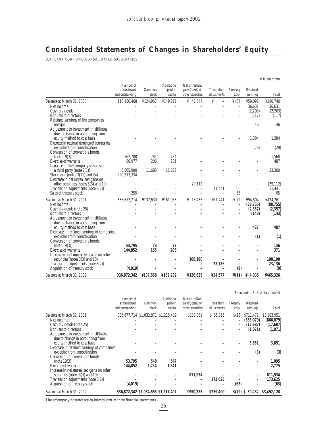# **Consolidated Statements of Changes in Shareholders' Equity**

SOFTBANK CORP. AND CONSOLIDATED SUBSIDIARIES

|                                                                           |                                  |                            |                            |                                       |                                  |                                                |                          | Millions of yen |
|---------------------------------------------------------------------------|----------------------------------|----------------------------|----------------------------|---------------------------------------|----------------------------------|------------------------------------------------|--------------------------|-----------------|
|                                                                           | Number of                        |                            | Additional                 | Net unrealized                        |                                  |                                                |                          |                 |
|                                                                           | shares issued<br>and outstanding | Common<br>stock            | paid-in<br>capital         | gains (losses) on<br>other securities | Translation<br>adjustments       | Treasury<br>stock                              | Retained<br>earnings     | Total           |
|                                                                           |                                  |                            |                            |                                       | ¥                                |                                                |                          | ¥380,740        |
| Balance at March 31, 2000:<br>Net income                                  | 110,150,468                      | ¥124,957<br>$\overline{a}$ | ¥149,211<br>$\overline{a}$ | ¥ $47,547$<br>$\overline{a}$          | $\overline{a}$<br>$\overline{a}$ | $\frac{1}{2}$ (67)<br>$\overline{\phantom{a}}$ | ¥59,092<br>36,631        | 36,631          |
| Cash dividends                                                            |                                  |                            |                            |                                       |                                  | $\overline{a}$                                 | (2,203)                  | (2,203)         |
| Bonuses to directors                                                      |                                  |                            |                            |                                       |                                  |                                                | (117)                    | (117)           |
| Retained earnings of the companies                                        |                                  |                            |                            |                                       |                                  |                                                |                          |                 |
| merged                                                                    |                                  |                            |                            |                                       |                                  |                                                | 46                       | 46              |
| Adjustment to investment in affiliates                                    |                                  |                            |                            |                                       |                                  |                                                |                          |                 |
| due to change in accounting from                                          |                                  |                            |                            |                                       |                                  |                                                |                          |                 |
| equity method to cost basis                                               |                                  |                            |                            |                                       |                                  |                                                | 1,384                    | 1,384           |
| Decrease in retained earnings of companies                                |                                  |                            |                            |                                       |                                  |                                                |                          |                 |
| excluded from consolidation                                               |                                  |                            |                            |                                       |                                  | $\overline{\phantom{0}}$                       | (29)                     | (29)            |
| Conversion of convertible bonds                                           | 562,780                          | 784                        | 784                        |                                       |                                  |                                                |                          | 1,568           |
| (note 19(3))<br>Exercise of warrants                                      | 80,977                           | 206                        | 281                        |                                       |                                  |                                                | $\overline{a}$           | 487             |
| Issuance of the Company's shares to                                       |                                  |                            |                            |                                       |                                  |                                                |                          |                 |
| a third party (note $7(1)$ )                                              | 5,565,900                        | 11.683                     | 11.677                     |                                       |                                  |                                                |                          | 23,360          |
| Stock split (notes 3(11) and 24)                                          | 220, 317, 334                    |                            |                            |                                       |                                  |                                                | $\overline{\phantom{a}}$ |                 |
| Decrease in net unrealized gains on                                       |                                  |                            |                            |                                       |                                  |                                                |                          |                 |
| other securities (notes $3(3)$ and $10$ )                                 |                                  |                            |                            | (29, 112)                             |                                  |                                                |                          | (29, 112)       |
| Translation adjustments (note 3(2))                                       | $\overline{a}$                   |                            | $\overline{\phantom{0}}$   | $\overline{a}$                        | 11,441                           | $\overline{a}$                                 | $\overline{a}$           | 11,441          |
| Sales of treasury stock                                                   | 255                              |                            |                            | $\overline{a}$                        |                                  | 65                                             |                          | 65              |
| Balance at March 31, 2001                                                 | 336,677,714                      | ¥137,630                   | ¥161,953                   | ¥ 18,435                              | ¥11,441                          | $\frac{y}{2}$ (2)                              | ¥94,804                  | ¥424,261        |
| Net income                                                                |                                  | $\overline{a}$             | $\overline{\phantom{0}}$   | $\overline{\phantom{a}}$              | $\overline{a}$                   | $\overline{\phantom{a}}$                       | (88, 755)                | (88, 755)       |
| Cash dividends (note 25)                                                  |                                  |                            |                            |                                       |                                  |                                                | (2, 357)                 | (2, 357)        |
| Bonuses to directors                                                      |                                  |                            |                            |                                       |                                  |                                                | (143)                    | (143)           |
| Adjustment to investment in affiliates                                    |                                  |                            |                            |                                       |                                  |                                                |                          |                 |
| due to change in accounting from                                          |                                  |                            |                            |                                       |                                  |                                                | 487                      | 487             |
| equity method to cost basis<br>Decrease in retained earnings of companies |                                  |                            |                            |                                       |                                  |                                                |                          |                 |
| excluded from consolidation                                               |                                  |                            |                            |                                       |                                  |                                                | (1)                      | (1)             |
| Conversion of convertible bonds                                           |                                  |                            |                            |                                       |                                  |                                                |                          |                 |
| (note 19(3))                                                              | 53.795                           | 73                         | 73                         |                                       |                                  |                                                | $\overline{\phantom{0}}$ | 146             |
| Exercise of warrants                                                      | 144.852                          | 165                        | 206                        |                                       |                                  |                                                |                          | 371             |
| Increase in net unrealized gains on other                                 |                                  |                            |                            |                                       |                                  |                                                |                          |                 |
| securities (notes 3(3) and 10)                                            |                                  |                            | L                          | 108,190                               |                                  |                                                |                          | 108,190         |
| Translation adjustments (note 3(2))                                       |                                  |                            | ۳                          | $\overline{\phantom{a}}$              | 23,136                           |                                                |                          | 23,136          |
| Acquisition of treasury stock                                             | (4,019)                          |                            |                            | $\overline{\phantom{a}}$              |                                  | (9)                                            |                          | (9)             |
| Balance at March 31, 2002                                                 | 336,872,342                      | ¥137,868                   | ¥162,232                   | ¥126,625                              | ¥34,577                          | $\frac{\gamma(11)}{2}$                         | ¥ 4,035                  | ¥465,326        |

|                                            |                                     |        |            |                   |             |                 |                | Thousands of U.S. dollars (note 4) |
|--------------------------------------------|-------------------------------------|--------|------------|-------------------|-------------|-----------------|----------------|------------------------------------|
|                                            | Number of                           |        | Additional | Net unrealized    |             |                 |                |                                    |
|                                            | shares issued                       | Common | paid-in    | gains (losses) on | Translation | <b>Treasury</b> | Retained       |                                    |
|                                            | and outstanding                     | stock  | capital    | other securities  | adjustments | stock           | earnings       | Total                              |
| Balance at March 31, 2001:                 | 336,677,714 \$1,032,871 \$1,215,409 |        |            | \$138,351         | \$85,865    | S(16)           | \$711.471      | \$3,183,951                        |
| Net income                                 |                                     |        |            |                   |             |                 | (666,079)      | (666, 079)                         |
| Cash dividends (note 25)                   |                                     |        |            |                   |             |                 | (17,687)       | (17,687)                           |
| Bonuses to directors                       |                                     |        |            |                   |             |                 | (1,071)        | (1,071)                            |
| Adjustment to investment in affiliates     |                                     |        |            |                   |             |                 |                |                                    |
| due to change in accounting from           |                                     |        |            |                   |             |                 |                |                                    |
| equity method to cost basis                |                                     |        |            |                   |             |                 | 3,651          | 3,651                              |
| Decrease in retained earnings of companies |                                     |        |            |                   |             |                 |                |                                    |
| excluded from consolidation                |                                     |        |            |                   |             |                 | (3)            | (3)                                |
| Conversion of convertible bonds            |                                     |        |            |                   |             |                 |                |                                    |
| (note 19(3))                               | 53.795                              | 548    | 547        |                   |             |                 |                | 1,095                              |
| Exercise of warrants                       | 144.852                             | 1,234  | 1,541      |                   |             |                 |                | 2,775                              |
| Increase in net unrealized gains on other  |                                     |        |            |                   |             |                 |                |                                    |
| securities (notes 3(3) and 10)             |                                     |        |            | 811,934           |             |                 |                | 811,934                            |
| Translation adjustments (note 3(2))        |                                     |        |            |                   | 173,625     |                 |                | 173,625                            |
| Acquisition of treasury stock              | (4,019)                             |        |            |                   |             | (63)            |                | (63)                               |
| Balance at March 31, 2002                  | 336,872,342 \$1,034,653 \$1,217,497 |        |            | \$950,285         | \$259,490   |                 | S(79) S 30,282 | \$3,492,128                        |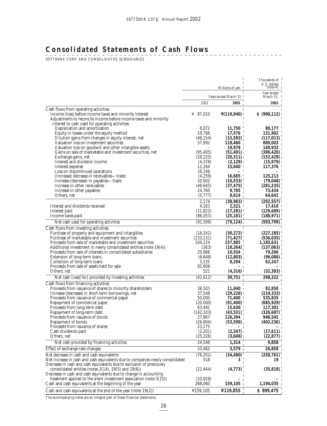<u> - - - - - - - - - - -</u>

# **Consolidated Statements of Cash Flows**

SOFTBANK CORP. AND CONSOLIDATED SUBSIDIARIES

| Year ended<br>Years ended March 31 1<br>March 31,<br>2002<br>2001<br>2002<br>Cash flows from operating activities:<br>Income (loss) before income taxes and minority interest<br>¥ 87,010<br>\$ (900, 112)<br>$\frac{1}{4}(119.940)$<br>Adjustments to reconcile income before income taxes and minority<br>interest to cash used for operating activities:<br>8,072<br>11,750<br>Depreciation and amortization<br>88,177<br>17,576<br>Equity in losses under the equity method<br>19,766<br>131,902<br>Dilution gains from changes in equity interest, net<br>(117, 013)<br>(48, 154)<br>(15,592)<br>Valuation loss on investment securities<br>57.992<br>118,460<br>889,003<br>Valuation loss on goodwill and other intangible assets<br>19,978<br>149,932<br>Gains on sale of marketable and investment securities, net<br>(95, 405)<br>(51, 491)<br>(386, 420)<br>Exchange gains, net<br>(28, 220)<br>(20,311)<br>(152, 429)<br>Interest and dividend income<br>(4,378)<br>$(2,129)$  <br>(15,979)<br>12,264<br>15,640<br>Interest expense<br>Loss on discontinued operations<br>16,246<br>16,685<br>125,213<br>(Increase) decrease in receivables-trade<br>(4,259)<br>10,902<br>(10,533)<br>Increase (decrease) in payables—trade<br>(79, 048)<br>Increase in other receivables<br>(48, 645)<br>(37, 475)<br>(281, 235)<br>24,760<br>9,785<br>Increase in other payables<br>73,434<br>(5,777)<br>8,614<br>64,642<br>Others, net<br>2.174<br>(38,983)<br>(292, 557)<br>Interest and dividends received<br>4,103<br>2,321<br>17,418<br>Interest paid<br>(11, 823)<br>(17,281)<br>(129, 689)<br>(86, 053)<br>(25, 181)<br>(188, 971)<br>Income taxes paid<br>(91, 599)<br>(79, 124)<br>Net cash used for operating activities<br>(593,799)<br>Cash flows from investing activities:<br>Purchase of property and equipment and intangibles<br>(30, 272)<br>(16, 242)<br>Purchase of marketable and investment securities<br>(71, 427)<br>(233, 131)<br>(536, 035)<br>Proceeds from sale of marketable and investment securities<br>104,224<br>157,985<br>1,185,631<br>Additional investment in newly consolidated entities (note 19(4))<br>(18,264)<br>(363)<br>(137,063)<br>Proceeds from sale of interests in consolidated subsidiaries<br>20,966<br>10,554<br>79,206<br>Extension of long-term loans<br>(6,648)<br>(12,803)<br>(96,086)<br>Collection of long-term loans<br>5,155<br>8,294<br>Proceeds from sale of assets held for sale<br>82,906<br>$-1$<br>Others, net<br>521<br>(32, 393)<br>(4,316)<br>(42, 612)<br>39,751<br>298,322<br>Net cash (used for) provided by investing activities<br>Cash flows from financing activities:<br>п<br>Proceeds from issuance of shares to minority shareholders<br>38.503<br>$11,040$ +<br>$82,850$ i<br>Increase (decrease) in short-term borrowings, net<br>37,548<br>(29, 226)<br>(219, 333)<br>535,835<br>Proceeds from issuance of commercial paper<br>50.000<br>71,400<br>Repayment of commercial paper<br>(20,000)<br>(91,400)<br>15,630<br>Proceeds from long-term debt<br>63,491<br>117,301<br>(43,531)<br>(326, 687)<br>Repayment of long-term debt<br>(142, 103)<br>126,394<br>Proceeds from issuance of bonds<br>27,867<br>948,545<br>Repayment of bonds<br>(53,598)<br>(402, 236)<br>(26, 604)<br>Proceeds from issuance of shares<br>23,275<br>(2, 347)<br>(17, 611)<br>Cash dividends paid<br>(2,201)<br>(25, 228)<br>Others, net<br>(22, 877)<br>$(3,048)$ i<br>24,548<br>1,314<br>9,858<br>Net cash provided by financing activities<br>$3,579$  <br>33,462<br>Effect of exchange rate changes<br>Net decrease in cash and cash equivalents<br>(76, 201)<br>(34, 480)<br>Net increase in cash and cash equivalents due to companies newly consolidated<br>518<br>19<br>3<br>Decrease in cash and cash equivalents due to exclusion of previously<br>(4,773)<br>(35, 818)<br>consolidated entities (notes $3(14)$ , $19(5)$ and $19(6)$ )<br>(22, 444)<br>Decrease in cash and cash equivalents due to change in accounting<br>treatment applied to the silent investment association (note $3(15)$ )<br>(10, 828)<br>Cash and cash equivalents at the beginning of the year<br>268,060<br>159,105<br>1,194,035 |                                                                  |          | T<br>т<br>Millions of yen | Thousands of <sup>1</sup><br>U.S. dollars<br>(note 4) |
|-----------------------------------------------------------------------------------------------------------------------------------------------------------------------------------------------------------------------------------------------------------------------------------------------------------------------------------------------------------------------------------------------------------------------------------------------------------------------------------------------------------------------------------------------------------------------------------------------------------------------------------------------------------------------------------------------------------------------------------------------------------------------------------------------------------------------------------------------------------------------------------------------------------------------------------------------------------------------------------------------------------------------------------------------------------------------------------------------------------------------------------------------------------------------------------------------------------------------------------------------------------------------------------------------------------------------------------------------------------------------------------------------------------------------------------------------------------------------------------------------------------------------------------------------------------------------------------------------------------------------------------------------------------------------------------------------------------------------------------------------------------------------------------------------------------------------------------------------------------------------------------------------------------------------------------------------------------------------------------------------------------------------------------------------------------------------------------------------------------------------------------------------------------------------------------------------------------------------------------------------------------------------------------------------------------------------------------------------------------------------------------------------------------------------------------------------------------------------------------------------------------------------------------------------------------------------------------------------------------------------------------------------------------------------------------------------------------------------------------------------------------------------------------------------------------------------------------------------------------------------------------------------------------------------------------------------------------------------------------------------------------------------------------------------------------------------------------------------------------------------------------------------------------------------------------------------------------------------------------------------------------------------------------------------------------------------------------------------------------------------------------------------------------------------------------------------------------------------------------------------------------------------------------------------------------------------------------------------------------------------------------------------------------------------------------------------------------------------------------------------------------------------------------------------------------------------------------------------------------------------------------------------------------------------------------------------------------------------------------------------------------------------------------------------------------------------------------------------------------------------------------------------------------------------------------|------------------------------------------------------------------|----------|---------------------------|-------------------------------------------------------|
|                                                                                                                                                                                                                                                                                                                                                                                                                                                                                                                                                                                                                                                                                                                                                                                                                                                                                                                                                                                                                                                                                                                                                                                                                                                                                                                                                                                                                                                                                                                                                                                                                                                                                                                                                                                                                                                                                                                                                                                                                                                                                                                                                                                                                                                                                                                                                                                                                                                                                                                                                                                                                                                                                                                                                                                                                                                                                                                                                                                                                                                                                                                                                                                                                                                                                                                                                                                                                                                                                                                                                                                                                                                                                                                                                                                                                                                                                                                                                                                                                                                                                                                                                                                   |                                                                  |          |                           |                                                       |
|                                                                                                                                                                                                                                                                                                                                                                                                                                                                                                                                                                                                                                                                                                                                                                                                                                                                                                                                                                                                                                                                                                                                                                                                                                                                                                                                                                                                                                                                                                                                                                                                                                                                                                                                                                                                                                                                                                                                                                                                                                                                                                                                                                                                                                                                                                                                                                                                                                                                                                                                                                                                                                                                                                                                                                                                                                                                                                                                                                                                                                                                                                                                                                                                                                                                                                                                                                                                                                                                                                                                                                                                                                                                                                                                                                                                                                                                                                                                                                                                                                                                                                                                                                                   |                                                                  |          |                           |                                                       |
|                                                                                                                                                                                                                                                                                                                                                                                                                                                                                                                                                                                                                                                                                                                                                                                                                                                                                                                                                                                                                                                                                                                                                                                                                                                                                                                                                                                                                                                                                                                                                                                                                                                                                                                                                                                                                                                                                                                                                                                                                                                                                                                                                                                                                                                                                                                                                                                                                                                                                                                                                                                                                                                                                                                                                                                                                                                                                                                                                                                                                                                                                                                                                                                                                                                                                                                                                                                                                                                                                                                                                                                                                                                                                                                                                                                                                                                                                                                                                                                                                                                                                                                                                                                   |                                                                  |          |                           |                                                       |
|                                                                                                                                                                                                                                                                                                                                                                                                                                                                                                                                                                                                                                                                                                                                                                                                                                                                                                                                                                                                                                                                                                                                                                                                                                                                                                                                                                                                                                                                                                                                                                                                                                                                                                                                                                                                                                                                                                                                                                                                                                                                                                                                                                                                                                                                                                                                                                                                                                                                                                                                                                                                                                                                                                                                                                                                                                                                                                                                                                                                                                                                                                                                                                                                                                                                                                                                                                                                                                                                                                                                                                                                                                                                                                                                                                                                                                                                                                                                                                                                                                                                                                                                                                                   |                                                                  |          |                           |                                                       |
|                                                                                                                                                                                                                                                                                                                                                                                                                                                                                                                                                                                                                                                                                                                                                                                                                                                                                                                                                                                                                                                                                                                                                                                                                                                                                                                                                                                                                                                                                                                                                                                                                                                                                                                                                                                                                                                                                                                                                                                                                                                                                                                                                                                                                                                                                                                                                                                                                                                                                                                                                                                                                                                                                                                                                                                                                                                                                                                                                                                                                                                                                                                                                                                                                                                                                                                                                                                                                                                                                                                                                                                                                                                                                                                                                                                                                                                                                                                                                                                                                                                                                                                                                                                   |                                                                  |          |                           |                                                       |
|                                                                                                                                                                                                                                                                                                                                                                                                                                                                                                                                                                                                                                                                                                                                                                                                                                                                                                                                                                                                                                                                                                                                                                                                                                                                                                                                                                                                                                                                                                                                                                                                                                                                                                                                                                                                                                                                                                                                                                                                                                                                                                                                                                                                                                                                                                                                                                                                                                                                                                                                                                                                                                                                                                                                                                                                                                                                                                                                                                                                                                                                                                                                                                                                                                                                                                                                                                                                                                                                                                                                                                                                                                                                                                                                                                                                                                                                                                                                                                                                                                                                                                                                                                                   |                                                                  |          |                           |                                                       |
|                                                                                                                                                                                                                                                                                                                                                                                                                                                                                                                                                                                                                                                                                                                                                                                                                                                                                                                                                                                                                                                                                                                                                                                                                                                                                                                                                                                                                                                                                                                                                                                                                                                                                                                                                                                                                                                                                                                                                                                                                                                                                                                                                                                                                                                                                                                                                                                                                                                                                                                                                                                                                                                                                                                                                                                                                                                                                                                                                                                                                                                                                                                                                                                                                                                                                                                                                                                                                                                                                                                                                                                                                                                                                                                                                                                                                                                                                                                                                                                                                                                                                                                                                                                   |                                                                  |          |                           |                                                       |
|                                                                                                                                                                                                                                                                                                                                                                                                                                                                                                                                                                                                                                                                                                                                                                                                                                                                                                                                                                                                                                                                                                                                                                                                                                                                                                                                                                                                                                                                                                                                                                                                                                                                                                                                                                                                                                                                                                                                                                                                                                                                                                                                                                                                                                                                                                                                                                                                                                                                                                                                                                                                                                                                                                                                                                                                                                                                                                                                                                                                                                                                                                                                                                                                                                                                                                                                                                                                                                                                                                                                                                                                                                                                                                                                                                                                                                                                                                                                                                                                                                                                                                                                                                                   |                                                                  |          |                           |                                                       |
|                                                                                                                                                                                                                                                                                                                                                                                                                                                                                                                                                                                                                                                                                                                                                                                                                                                                                                                                                                                                                                                                                                                                                                                                                                                                                                                                                                                                                                                                                                                                                                                                                                                                                                                                                                                                                                                                                                                                                                                                                                                                                                                                                                                                                                                                                                                                                                                                                                                                                                                                                                                                                                                                                                                                                                                                                                                                                                                                                                                                                                                                                                                                                                                                                                                                                                                                                                                                                                                                                                                                                                                                                                                                                                                                                                                                                                                                                                                                                                                                                                                                                                                                                                                   |                                                                  |          |                           |                                                       |
|                                                                                                                                                                                                                                                                                                                                                                                                                                                                                                                                                                                                                                                                                                                                                                                                                                                                                                                                                                                                                                                                                                                                                                                                                                                                                                                                                                                                                                                                                                                                                                                                                                                                                                                                                                                                                                                                                                                                                                                                                                                                                                                                                                                                                                                                                                                                                                                                                                                                                                                                                                                                                                                                                                                                                                                                                                                                                                                                                                                                                                                                                                                                                                                                                                                                                                                                                                                                                                                                                                                                                                                                                                                                                                                                                                                                                                                                                                                                                                                                                                                                                                                                                                                   |                                                                  |          |                           |                                                       |
|                                                                                                                                                                                                                                                                                                                                                                                                                                                                                                                                                                                                                                                                                                                                                                                                                                                                                                                                                                                                                                                                                                                                                                                                                                                                                                                                                                                                                                                                                                                                                                                                                                                                                                                                                                                                                                                                                                                                                                                                                                                                                                                                                                                                                                                                                                                                                                                                                                                                                                                                                                                                                                                                                                                                                                                                                                                                                                                                                                                                                                                                                                                                                                                                                                                                                                                                                                                                                                                                                                                                                                                                                                                                                                                                                                                                                                                                                                                                                                                                                                                                                                                                                                                   |                                                                  |          |                           |                                                       |
|                                                                                                                                                                                                                                                                                                                                                                                                                                                                                                                                                                                                                                                                                                                                                                                                                                                                                                                                                                                                                                                                                                                                                                                                                                                                                                                                                                                                                                                                                                                                                                                                                                                                                                                                                                                                                                                                                                                                                                                                                                                                                                                                                                                                                                                                                                                                                                                                                                                                                                                                                                                                                                                                                                                                                                                                                                                                                                                                                                                                                                                                                                                                                                                                                                                                                                                                                                                                                                                                                                                                                                                                                                                                                                                                                                                                                                                                                                                                                                                                                                                                                                                                                                                   |                                                                  |          |                           |                                                       |
|                                                                                                                                                                                                                                                                                                                                                                                                                                                                                                                                                                                                                                                                                                                                                                                                                                                                                                                                                                                                                                                                                                                                                                                                                                                                                                                                                                                                                                                                                                                                                                                                                                                                                                                                                                                                                                                                                                                                                                                                                                                                                                                                                                                                                                                                                                                                                                                                                                                                                                                                                                                                                                                                                                                                                                                                                                                                                                                                                                                                                                                                                                                                                                                                                                                                                                                                                                                                                                                                                                                                                                                                                                                                                                                                                                                                                                                                                                                                                                                                                                                                                                                                                                                   |                                                                  |          |                           | 117,376                                               |
|                                                                                                                                                                                                                                                                                                                                                                                                                                                                                                                                                                                                                                                                                                                                                                                                                                                                                                                                                                                                                                                                                                                                                                                                                                                                                                                                                                                                                                                                                                                                                                                                                                                                                                                                                                                                                                                                                                                                                                                                                                                                                                                                                                                                                                                                                                                                                                                                                                                                                                                                                                                                                                                                                                                                                                                                                                                                                                                                                                                                                                                                                                                                                                                                                                                                                                                                                                                                                                                                                                                                                                                                                                                                                                                                                                                                                                                                                                                                                                                                                                                                                                                                                                                   |                                                                  |          |                           |                                                       |
|                                                                                                                                                                                                                                                                                                                                                                                                                                                                                                                                                                                                                                                                                                                                                                                                                                                                                                                                                                                                                                                                                                                                                                                                                                                                                                                                                                                                                                                                                                                                                                                                                                                                                                                                                                                                                                                                                                                                                                                                                                                                                                                                                                                                                                                                                                                                                                                                                                                                                                                                                                                                                                                                                                                                                                                                                                                                                                                                                                                                                                                                                                                                                                                                                                                                                                                                                                                                                                                                                                                                                                                                                                                                                                                                                                                                                                                                                                                                                                                                                                                                                                                                                                                   |                                                                  |          |                           |                                                       |
|                                                                                                                                                                                                                                                                                                                                                                                                                                                                                                                                                                                                                                                                                                                                                                                                                                                                                                                                                                                                                                                                                                                                                                                                                                                                                                                                                                                                                                                                                                                                                                                                                                                                                                                                                                                                                                                                                                                                                                                                                                                                                                                                                                                                                                                                                                                                                                                                                                                                                                                                                                                                                                                                                                                                                                                                                                                                                                                                                                                                                                                                                                                                                                                                                                                                                                                                                                                                                                                                                                                                                                                                                                                                                                                                                                                                                                                                                                                                                                                                                                                                                                                                                                                   |                                                                  |          |                           |                                                       |
|                                                                                                                                                                                                                                                                                                                                                                                                                                                                                                                                                                                                                                                                                                                                                                                                                                                                                                                                                                                                                                                                                                                                                                                                                                                                                                                                                                                                                                                                                                                                                                                                                                                                                                                                                                                                                                                                                                                                                                                                                                                                                                                                                                                                                                                                                                                                                                                                                                                                                                                                                                                                                                                                                                                                                                                                                                                                                                                                                                                                                                                                                                                                                                                                                                                                                                                                                                                                                                                                                                                                                                                                                                                                                                                                                                                                                                                                                                                                                                                                                                                                                                                                                                                   |                                                                  |          |                           |                                                       |
|                                                                                                                                                                                                                                                                                                                                                                                                                                                                                                                                                                                                                                                                                                                                                                                                                                                                                                                                                                                                                                                                                                                                                                                                                                                                                                                                                                                                                                                                                                                                                                                                                                                                                                                                                                                                                                                                                                                                                                                                                                                                                                                                                                                                                                                                                                                                                                                                                                                                                                                                                                                                                                                                                                                                                                                                                                                                                                                                                                                                                                                                                                                                                                                                                                                                                                                                                                                                                                                                                                                                                                                                                                                                                                                                                                                                                                                                                                                                                                                                                                                                                                                                                                                   |                                                                  |          |                           |                                                       |
|                                                                                                                                                                                                                                                                                                                                                                                                                                                                                                                                                                                                                                                                                                                                                                                                                                                                                                                                                                                                                                                                                                                                                                                                                                                                                                                                                                                                                                                                                                                                                                                                                                                                                                                                                                                                                                                                                                                                                                                                                                                                                                                                                                                                                                                                                                                                                                                                                                                                                                                                                                                                                                                                                                                                                                                                                                                                                                                                                                                                                                                                                                                                                                                                                                                                                                                                                                                                                                                                                                                                                                                                                                                                                                                                                                                                                                                                                                                                                                                                                                                                                                                                                                                   |                                                                  |          |                           |                                                       |
|                                                                                                                                                                                                                                                                                                                                                                                                                                                                                                                                                                                                                                                                                                                                                                                                                                                                                                                                                                                                                                                                                                                                                                                                                                                                                                                                                                                                                                                                                                                                                                                                                                                                                                                                                                                                                                                                                                                                                                                                                                                                                                                                                                                                                                                                                                                                                                                                                                                                                                                                                                                                                                                                                                                                                                                                                                                                                                                                                                                                                                                                                                                                                                                                                                                                                                                                                                                                                                                                                                                                                                                                                                                                                                                                                                                                                                                                                                                                                                                                                                                                                                                                                                                   |                                                                  |          |                           |                                                       |
|                                                                                                                                                                                                                                                                                                                                                                                                                                                                                                                                                                                                                                                                                                                                                                                                                                                                                                                                                                                                                                                                                                                                                                                                                                                                                                                                                                                                                                                                                                                                                                                                                                                                                                                                                                                                                                                                                                                                                                                                                                                                                                                                                                                                                                                                                                                                                                                                                                                                                                                                                                                                                                                                                                                                                                                                                                                                                                                                                                                                                                                                                                                                                                                                                                                                                                                                                                                                                                                                                                                                                                                                                                                                                                                                                                                                                                                                                                                                                                                                                                                                                                                                                                                   |                                                                  |          |                           |                                                       |
|                                                                                                                                                                                                                                                                                                                                                                                                                                                                                                                                                                                                                                                                                                                                                                                                                                                                                                                                                                                                                                                                                                                                                                                                                                                                                                                                                                                                                                                                                                                                                                                                                                                                                                                                                                                                                                                                                                                                                                                                                                                                                                                                                                                                                                                                                                                                                                                                                                                                                                                                                                                                                                                                                                                                                                                                                                                                                                                                                                                                                                                                                                                                                                                                                                                                                                                                                                                                                                                                                                                                                                                                                                                                                                                                                                                                                                                                                                                                                                                                                                                                                                                                                                                   |                                                                  |          |                           |                                                       |
|                                                                                                                                                                                                                                                                                                                                                                                                                                                                                                                                                                                                                                                                                                                                                                                                                                                                                                                                                                                                                                                                                                                                                                                                                                                                                                                                                                                                                                                                                                                                                                                                                                                                                                                                                                                                                                                                                                                                                                                                                                                                                                                                                                                                                                                                                                                                                                                                                                                                                                                                                                                                                                                                                                                                                                                                                                                                                                                                                                                                                                                                                                                                                                                                                                                                                                                                                                                                                                                                                                                                                                                                                                                                                                                                                                                                                                                                                                                                                                                                                                                                                                                                                                                   |                                                                  |          |                           |                                                       |
|                                                                                                                                                                                                                                                                                                                                                                                                                                                                                                                                                                                                                                                                                                                                                                                                                                                                                                                                                                                                                                                                                                                                                                                                                                                                                                                                                                                                                                                                                                                                                                                                                                                                                                                                                                                                                                                                                                                                                                                                                                                                                                                                                                                                                                                                                                                                                                                                                                                                                                                                                                                                                                                                                                                                                                                                                                                                                                                                                                                                                                                                                                                                                                                                                                                                                                                                                                                                                                                                                                                                                                                                                                                                                                                                                                                                                                                                                                                                                                                                                                                                                                                                                                                   |                                                                  |          |                           |                                                       |
|                                                                                                                                                                                                                                                                                                                                                                                                                                                                                                                                                                                                                                                                                                                                                                                                                                                                                                                                                                                                                                                                                                                                                                                                                                                                                                                                                                                                                                                                                                                                                                                                                                                                                                                                                                                                                                                                                                                                                                                                                                                                                                                                                                                                                                                                                                                                                                                                                                                                                                                                                                                                                                                                                                                                                                                                                                                                                                                                                                                                                                                                                                                                                                                                                                                                                                                                                                                                                                                                                                                                                                                                                                                                                                                                                                                                                                                                                                                                                                                                                                                                                                                                                                                   |                                                                  |          |                           | (227, 185)                                            |
|                                                                                                                                                                                                                                                                                                                                                                                                                                                                                                                                                                                                                                                                                                                                                                                                                                                                                                                                                                                                                                                                                                                                                                                                                                                                                                                                                                                                                                                                                                                                                                                                                                                                                                                                                                                                                                                                                                                                                                                                                                                                                                                                                                                                                                                                                                                                                                                                                                                                                                                                                                                                                                                                                                                                                                                                                                                                                                                                                                                                                                                                                                                                                                                                                                                                                                                                                                                                                                                                                                                                                                                                                                                                                                                                                                                                                                                                                                                                                                                                                                                                                                                                                                                   |                                                                  |          |                           |                                                       |
|                                                                                                                                                                                                                                                                                                                                                                                                                                                                                                                                                                                                                                                                                                                                                                                                                                                                                                                                                                                                                                                                                                                                                                                                                                                                                                                                                                                                                                                                                                                                                                                                                                                                                                                                                                                                                                                                                                                                                                                                                                                                                                                                                                                                                                                                                                                                                                                                                                                                                                                                                                                                                                                                                                                                                                                                                                                                                                                                                                                                                                                                                                                                                                                                                                                                                                                                                                                                                                                                                                                                                                                                                                                                                                                                                                                                                                                                                                                                                                                                                                                                                                                                                                                   |                                                                  |          |                           |                                                       |
|                                                                                                                                                                                                                                                                                                                                                                                                                                                                                                                                                                                                                                                                                                                                                                                                                                                                                                                                                                                                                                                                                                                                                                                                                                                                                                                                                                                                                                                                                                                                                                                                                                                                                                                                                                                                                                                                                                                                                                                                                                                                                                                                                                                                                                                                                                                                                                                                                                                                                                                                                                                                                                                                                                                                                                                                                                                                                                                                                                                                                                                                                                                                                                                                                                                                                                                                                                                                                                                                                                                                                                                                                                                                                                                                                                                                                                                                                                                                                                                                                                                                                                                                                                                   |                                                                  |          |                           |                                                       |
|                                                                                                                                                                                                                                                                                                                                                                                                                                                                                                                                                                                                                                                                                                                                                                                                                                                                                                                                                                                                                                                                                                                                                                                                                                                                                                                                                                                                                                                                                                                                                                                                                                                                                                                                                                                                                                                                                                                                                                                                                                                                                                                                                                                                                                                                                                                                                                                                                                                                                                                                                                                                                                                                                                                                                                                                                                                                                                                                                                                                                                                                                                                                                                                                                                                                                                                                                                                                                                                                                                                                                                                                                                                                                                                                                                                                                                                                                                                                                                                                                                                                                                                                                                                   |                                                                  |          |                           |                                                       |
|                                                                                                                                                                                                                                                                                                                                                                                                                                                                                                                                                                                                                                                                                                                                                                                                                                                                                                                                                                                                                                                                                                                                                                                                                                                                                                                                                                                                                                                                                                                                                                                                                                                                                                                                                                                                                                                                                                                                                                                                                                                                                                                                                                                                                                                                                                                                                                                                                                                                                                                                                                                                                                                                                                                                                                                                                                                                                                                                                                                                                                                                                                                                                                                                                                                                                                                                                                                                                                                                                                                                                                                                                                                                                                                                                                                                                                                                                                                                                                                                                                                                                                                                                                                   |                                                                  |          |                           | 62,247                                                |
|                                                                                                                                                                                                                                                                                                                                                                                                                                                                                                                                                                                                                                                                                                                                                                                                                                                                                                                                                                                                                                                                                                                                                                                                                                                                                                                                                                                                                                                                                                                                                                                                                                                                                                                                                                                                                                                                                                                                                                                                                                                                                                                                                                                                                                                                                                                                                                                                                                                                                                                                                                                                                                                                                                                                                                                                                                                                                                                                                                                                                                                                                                                                                                                                                                                                                                                                                                                                                                                                                                                                                                                                                                                                                                                                                                                                                                                                                                                                                                                                                                                                                                                                                                                   |                                                                  |          |                           |                                                       |
|                                                                                                                                                                                                                                                                                                                                                                                                                                                                                                                                                                                                                                                                                                                                                                                                                                                                                                                                                                                                                                                                                                                                                                                                                                                                                                                                                                                                                                                                                                                                                                                                                                                                                                                                                                                                                                                                                                                                                                                                                                                                                                                                                                                                                                                                                                                                                                                                                                                                                                                                                                                                                                                                                                                                                                                                                                                                                                                                                                                                                                                                                                                                                                                                                                                                                                                                                                                                                                                                                                                                                                                                                                                                                                                                                                                                                                                                                                                                                                                                                                                                                                                                                                                   |                                                                  |          |                           |                                                       |
|                                                                                                                                                                                                                                                                                                                                                                                                                                                                                                                                                                                                                                                                                                                                                                                                                                                                                                                                                                                                                                                                                                                                                                                                                                                                                                                                                                                                                                                                                                                                                                                                                                                                                                                                                                                                                                                                                                                                                                                                                                                                                                                                                                                                                                                                                                                                                                                                                                                                                                                                                                                                                                                                                                                                                                                                                                                                                                                                                                                                                                                                                                                                                                                                                                                                                                                                                                                                                                                                                                                                                                                                                                                                                                                                                                                                                                                                                                                                                                                                                                                                                                                                                                                   |                                                                  |          |                           |                                                       |
|                                                                                                                                                                                                                                                                                                                                                                                                                                                                                                                                                                                                                                                                                                                                                                                                                                                                                                                                                                                                                                                                                                                                                                                                                                                                                                                                                                                                                                                                                                                                                                                                                                                                                                                                                                                                                                                                                                                                                                                                                                                                                                                                                                                                                                                                                                                                                                                                                                                                                                                                                                                                                                                                                                                                                                                                                                                                                                                                                                                                                                                                                                                                                                                                                                                                                                                                                                                                                                                                                                                                                                                                                                                                                                                                                                                                                                                                                                                                                                                                                                                                                                                                                                                   |                                                                  |          |                           |                                                       |
|                                                                                                                                                                                                                                                                                                                                                                                                                                                                                                                                                                                                                                                                                                                                                                                                                                                                                                                                                                                                                                                                                                                                                                                                                                                                                                                                                                                                                                                                                                                                                                                                                                                                                                                                                                                                                                                                                                                                                                                                                                                                                                                                                                                                                                                                                                                                                                                                                                                                                                                                                                                                                                                                                                                                                                                                                                                                                                                                                                                                                                                                                                                                                                                                                                                                                                                                                                                                                                                                                                                                                                                                                                                                                                                                                                                                                                                                                                                                                                                                                                                                                                                                                                                   |                                                                  |          |                           |                                                       |
|                                                                                                                                                                                                                                                                                                                                                                                                                                                                                                                                                                                                                                                                                                                                                                                                                                                                                                                                                                                                                                                                                                                                                                                                                                                                                                                                                                                                                                                                                                                                                                                                                                                                                                                                                                                                                                                                                                                                                                                                                                                                                                                                                                                                                                                                                                                                                                                                                                                                                                                                                                                                                                                                                                                                                                                                                                                                                                                                                                                                                                                                                                                                                                                                                                                                                                                                                                                                                                                                                                                                                                                                                                                                                                                                                                                                                                                                                                                                                                                                                                                                                                                                                                                   |                                                                  |          |                           |                                                       |
|                                                                                                                                                                                                                                                                                                                                                                                                                                                                                                                                                                                                                                                                                                                                                                                                                                                                                                                                                                                                                                                                                                                                                                                                                                                                                                                                                                                                                                                                                                                                                                                                                                                                                                                                                                                                                                                                                                                                                                                                                                                                                                                                                                                                                                                                                                                                                                                                                                                                                                                                                                                                                                                                                                                                                                                                                                                                                                                                                                                                                                                                                                                                                                                                                                                                                                                                                                                                                                                                                                                                                                                                                                                                                                                                                                                                                                                                                                                                                                                                                                                                                                                                                                                   |                                                                  |          |                           | (685, 929)                                            |
|                                                                                                                                                                                                                                                                                                                                                                                                                                                                                                                                                                                                                                                                                                                                                                                                                                                                                                                                                                                                                                                                                                                                                                                                                                                                                                                                                                                                                                                                                                                                                                                                                                                                                                                                                                                                                                                                                                                                                                                                                                                                                                                                                                                                                                                                                                                                                                                                                                                                                                                                                                                                                                                                                                                                                                                                                                                                                                                                                                                                                                                                                                                                                                                                                                                                                                                                                                                                                                                                                                                                                                                                                                                                                                                                                                                                                                                                                                                                                                                                                                                                                                                                                                                   |                                                                  |          |                           |                                                       |
|                                                                                                                                                                                                                                                                                                                                                                                                                                                                                                                                                                                                                                                                                                                                                                                                                                                                                                                                                                                                                                                                                                                                                                                                                                                                                                                                                                                                                                                                                                                                                                                                                                                                                                                                                                                                                                                                                                                                                                                                                                                                                                                                                                                                                                                                                                                                                                                                                                                                                                                                                                                                                                                                                                                                                                                                                                                                                                                                                                                                                                                                                                                                                                                                                                                                                                                                                                                                                                                                                                                                                                                                                                                                                                                                                                                                                                                                                                                                                                                                                                                                                                                                                                                   |                                                                  |          |                           |                                                       |
|                                                                                                                                                                                                                                                                                                                                                                                                                                                                                                                                                                                                                                                                                                                                                                                                                                                                                                                                                                                                                                                                                                                                                                                                                                                                                                                                                                                                                                                                                                                                                                                                                                                                                                                                                                                                                                                                                                                                                                                                                                                                                                                                                                                                                                                                                                                                                                                                                                                                                                                                                                                                                                                                                                                                                                                                                                                                                                                                                                                                                                                                                                                                                                                                                                                                                                                                                                                                                                                                                                                                                                                                                                                                                                                                                                                                                                                                                                                                                                                                                                                                                                                                                                                   |                                                                  |          |                           |                                                       |
|                                                                                                                                                                                                                                                                                                                                                                                                                                                                                                                                                                                                                                                                                                                                                                                                                                                                                                                                                                                                                                                                                                                                                                                                                                                                                                                                                                                                                                                                                                                                                                                                                                                                                                                                                                                                                                                                                                                                                                                                                                                                                                                                                                                                                                                                                                                                                                                                                                                                                                                                                                                                                                                                                                                                                                                                                                                                                                                                                                                                                                                                                                                                                                                                                                                                                                                                                                                                                                                                                                                                                                                                                                                                                                                                                                                                                                                                                                                                                                                                                                                                                                                                                                                   |                                                                  |          |                           |                                                       |
|                                                                                                                                                                                                                                                                                                                                                                                                                                                                                                                                                                                                                                                                                                                                                                                                                                                                                                                                                                                                                                                                                                                                                                                                                                                                                                                                                                                                                                                                                                                                                                                                                                                                                                                                                                                                                                                                                                                                                                                                                                                                                                                                                                                                                                                                                                                                                                                                                                                                                                                                                                                                                                                                                                                                                                                                                                                                                                                                                                                                                                                                                                                                                                                                                                                                                                                                                                                                                                                                                                                                                                                                                                                                                                                                                                                                                                                                                                                                                                                                                                                                                                                                                                                   |                                                                  |          |                           |                                                       |
|                                                                                                                                                                                                                                                                                                                                                                                                                                                                                                                                                                                                                                                                                                                                                                                                                                                                                                                                                                                                                                                                                                                                                                                                                                                                                                                                                                                                                                                                                                                                                                                                                                                                                                                                                                                                                                                                                                                                                                                                                                                                                                                                                                                                                                                                                                                                                                                                                                                                                                                                                                                                                                                                                                                                                                                                                                                                                                                                                                                                                                                                                                                                                                                                                                                                                                                                                                                                                                                                                                                                                                                                                                                                                                                                                                                                                                                                                                                                                                                                                                                                                                                                                                                   |                                                                  |          |                           |                                                       |
|                                                                                                                                                                                                                                                                                                                                                                                                                                                                                                                                                                                                                                                                                                                                                                                                                                                                                                                                                                                                                                                                                                                                                                                                                                                                                                                                                                                                                                                                                                                                                                                                                                                                                                                                                                                                                                                                                                                                                                                                                                                                                                                                                                                                                                                                                                                                                                                                                                                                                                                                                                                                                                                                                                                                                                                                                                                                                                                                                                                                                                                                                                                                                                                                                                                                                                                                                                                                                                                                                                                                                                                                                                                                                                                                                                                                                                                                                                                                                                                                                                                                                                                                                                                   |                                                                  |          |                           |                                                       |
|                                                                                                                                                                                                                                                                                                                                                                                                                                                                                                                                                                                                                                                                                                                                                                                                                                                                                                                                                                                                                                                                                                                                                                                                                                                                                                                                                                                                                                                                                                                                                                                                                                                                                                                                                                                                                                                                                                                                                                                                                                                                                                                                                                                                                                                                                                                                                                                                                                                                                                                                                                                                                                                                                                                                                                                                                                                                                                                                                                                                                                                                                                                                                                                                                                                                                                                                                                                                                                                                                                                                                                                                                                                                                                                                                                                                                                                                                                                                                                                                                                                                                                                                                                                   |                                                                  |          |                           | 26,858                                                |
|                                                                                                                                                                                                                                                                                                                                                                                                                                                                                                                                                                                                                                                                                                                                                                                                                                                                                                                                                                                                                                                                                                                                                                                                                                                                                                                                                                                                                                                                                                                                                                                                                                                                                                                                                                                                                                                                                                                                                                                                                                                                                                                                                                                                                                                                                                                                                                                                                                                                                                                                                                                                                                                                                                                                                                                                                                                                                                                                                                                                                                                                                                                                                                                                                                                                                                                                                                                                                                                                                                                                                                                                                                                                                                                                                                                                                                                                                                                                                                                                                                                                                                                                                                                   |                                                                  |          |                           | (258,761)                                             |
|                                                                                                                                                                                                                                                                                                                                                                                                                                                                                                                                                                                                                                                                                                                                                                                                                                                                                                                                                                                                                                                                                                                                                                                                                                                                                                                                                                                                                                                                                                                                                                                                                                                                                                                                                                                                                                                                                                                                                                                                                                                                                                                                                                                                                                                                                                                                                                                                                                                                                                                                                                                                                                                                                                                                                                                                                                                                                                                                                                                                                                                                                                                                                                                                                                                                                                                                                                                                                                                                                                                                                                                                                                                                                                                                                                                                                                                                                                                                                                                                                                                                                                                                                                                   |                                                                  |          |                           |                                                       |
|                                                                                                                                                                                                                                                                                                                                                                                                                                                                                                                                                                                                                                                                                                                                                                                                                                                                                                                                                                                                                                                                                                                                                                                                                                                                                                                                                                                                                                                                                                                                                                                                                                                                                                                                                                                                                                                                                                                                                                                                                                                                                                                                                                                                                                                                                                                                                                                                                                                                                                                                                                                                                                                                                                                                                                                                                                                                                                                                                                                                                                                                                                                                                                                                                                                                                                                                                                                                                                                                                                                                                                                                                                                                                                                                                                                                                                                                                                                                                                                                                                                                                                                                                                                   |                                                                  |          |                           |                                                       |
|                                                                                                                                                                                                                                                                                                                                                                                                                                                                                                                                                                                                                                                                                                                                                                                                                                                                                                                                                                                                                                                                                                                                                                                                                                                                                                                                                                                                                                                                                                                                                                                                                                                                                                                                                                                                                                                                                                                                                                                                                                                                                                                                                                                                                                                                                                                                                                                                                                                                                                                                                                                                                                                                                                                                                                                                                                                                                                                                                                                                                                                                                                                                                                                                                                                                                                                                                                                                                                                                                                                                                                                                                                                                                                                                                                                                                                                                                                                                                                                                                                                                                                                                                                                   |                                                                  |          |                           |                                                       |
|                                                                                                                                                                                                                                                                                                                                                                                                                                                                                                                                                                                                                                                                                                                                                                                                                                                                                                                                                                                                                                                                                                                                                                                                                                                                                                                                                                                                                                                                                                                                                                                                                                                                                                                                                                                                                                                                                                                                                                                                                                                                                                                                                                                                                                                                                                                                                                                                                                                                                                                                                                                                                                                                                                                                                                                                                                                                                                                                                                                                                                                                                                                                                                                                                                                                                                                                                                                                                                                                                                                                                                                                                                                                                                                                                                                                                                                                                                                                                                                                                                                                                                                                                                                   |                                                                  |          |                           |                                                       |
|                                                                                                                                                                                                                                                                                                                                                                                                                                                                                                                                                                                                                                                                                                                                                                                                                                                                                                                                                                                                                                                                                                                                                                                                                                                                                                                                                                                                                                                                                                                                                                                                                                                                                                                                                                                                                                                                                                                                                                                                                                                                                                                                                                                                                                                                                                                                                                                                                                                                                                                                                                                                                                                                                                                                                                                                                                                                                                                                                                                                                                                                                                                                                                                                                                                                                                                                                                                                                                                                                                                                                                                                                                                                                                                                                                                                                                                                                                                                                                                                                                                                                                                                                                                   |                                                                  |          |                           |                                                       |
|                                                                                                                                                                                                                                                                                                                                                                                                                                                                                                                                                                                                                                                                                                                                                                                                                                                                                                                                                                                                                                                                                                                                                                                                                                                                                                                                                                                                                                                                                                                                                                                                                                                                                                                                                                                                                                                                                                                                                                                                                                                                                                                                                                                                                                                                                                                                                                                                                                                                                                                                                                                                                                                                                                                                                                                                                                                                                                                                                                                                                                                                                                                                                                                                                                                                                                                                                                                                                                                                                                                                                                                                                                                                                                                                                                                                                                                                                                                                                                                                                                                                                                                                                                                   | Cash and cash equivalents at the end of the year (note $19(2)$ ) | ¥159,105 | ¥119,855                  | \$899,475                                             |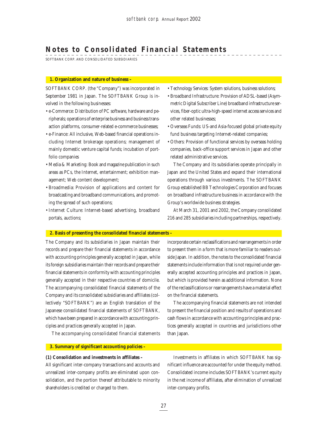## **Notes to Consolidated Financial Statements**

SOFTBANK CORP. AND CONSOLIDATED SUBSIDIARIES

#### **1. Organization and nature of business –**

SOFTBANK CORP. (the "Company") was incorporated in September 1981 in Japan. The SOFTBANK Group is involved in the following businesses:

- e-Commerce: Distribution of PC software, hardware and peripherals; operations of enterprise business and business transaction platforms, consumer-related e-commerce businesses;
- e-Finance: All inclusive, Web-based financial operations including Internet brokerage operations; management of mainly domestic venture capital funds; incubation of portfolio companies
- Media & Marketing: Book and magazine publication in such areas as PCs, the Internet, entertainment; exhibition management; Web content development;
- Broadmedia: Provision of applications and content for broadcasting and broadband communications, and promoting the spread of such operations;
- Internet Culture: Internet-based advertising, broadband portals, auctions;
- Technology Services: System solutions, business solutions;
- Broadband Infrastructure: Provision of ADSL-based (Asymmetric Digital Subscriber Line) broadband infrastructure services, fiber-optic ultra-high-speed internet access services and other related businesses;
- Overseas Funds: US-and Asia-focused global private equity fund business targeting Internet-related companies;
- Others: Provision of functional services by overseas holding companies, back-office support services in Japan and other related administrative services.

The Company and its subsidiaries operate principally in Japan and the United States and expand their international operations through various investments. The SOFTBANK Group established BB Technologies Corporation and focuses on broadband infrastructure business in accordance with the Group's worldwide business strategies.

At March 31, 2001 and 2002, the Company consolidated 216 and 285 subsidiaries including partnerships, respectively.

### **2. Basis of presenting the consolidated financial statements –**

The Company and its subsidiaries in Japan maintain their records and prepare their financial statements in accordance with accounting principles generally accepted in Japan, while its foreign subsidiaries maintain their records and prepare their financial statements in conformity with accounting principles generally accepted in their respective countries of domicile. The accompanying consolidated financial statements of the Company and its consolidated subsidiaries and affiliates (collectively "SOFTBANK") are an English translation of the Japanese consolidated financial statements of SOFTBANK, which have been prepared in accordance with accounting principles and practices generally accepted in Japan.

incorporate certain reclassifications and rearrangements in order to present them in a form that is more familiar to readers outside Japan. In addition, the notes to the consolidated financial statements include information that is not required under generally accepted accounting principles and practices in Japan, but which is provided herein as additional information. None of the reclassifications or rearrangements have a material effect on the financial statements.

The accompanying financial statements are not intended to present the financial position and results of operations and cash flows in accordance with accounting principles and practices generally accepted in countries and jurisdictions other than Japan.

The accompanying consolidated financial statements

**3. Summary of significant accounting policies –**

#### **(1) Consolidation and investments in affiliates –**

All significant inter-company transactions and accounts and unrealized inter-company profits are eliminated upon consolidation, and the portion thereof attributable to minority shareholders is credited or charged to them.

Investments in affiliates in which SOFTBANK has significant influence are accounted for under the equity method. Consolidated income includes SOFTBANK's current equity in the net income of affiliates, after elimination of unrealized inter-company profits.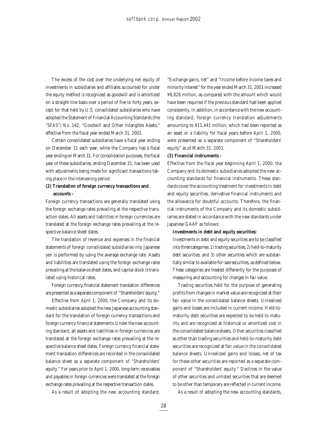The excess of the cost over the underlying net equity of investments in subsidiaries and affiliates accounted for under the equity method is recognized as goodwill and is amortized on a straight-line basis over a period of five to forty years, except for that held by U.S. consolidated subsidiaries who have adopted the Statement of Financial Accounting Standards (the "SFAS") No. 142, "Goodwill and Other Intangible Assets," effective from the fiscal year ended March 31, 2002.

Certain consolidated subsidiaries have a fiscal year ending on December 31 each year, while the Company has a fiscal year ending on March 31. For consolidation purposes, the fiscal year of these subsidiaries, ending December 31, has been used with adjustments being made for significant transactions taking place in the intervening period.

## **(2) Translation of foreign currency transactions and accounts –**

Foreign currency transactions are generally translated using the foreign exchange rates prevailing at the respective transaction dates. All assets and liabilities in foreign currencies are translated at the foreign exchange rates prevailing at the respective balance sheet dates.

The translation of revenue and expenses in the financial statements of foreign consolidated subsidiaries into Japanese yen is performed by using the average exchange rate. Assets and liabilities are translated using the foreign exchange rates prevailing at the balance sheet dates, and capital stock is translated using historical rates.

Foreign currency financial statement translation differences are presented as a separate component of "Shareholders' equity."

Effective from April 1, 2000, the Company and its domestic subsidiaries adopted the new Japanese accounting standard for the translation of foreign currency transactions and foreign currency financial statements. Under the new accounting standard, all assets and liabilities in foreign currencies are translated at the foreign exchange rates prevailing at the respective balance sheet dates. Foreign currency financial statement translation differences are recorded in the consolidated balance sheet as a separate component of "Shareholders' equity." For years prior to April 1, 2000, long-term receivables and payables in foreign currencies were translated at the foreign exchange rates prevailing at the respective transaction dates.

As a result of adopting the new accounting standard,

"Exchange gains, net" and "Income before income taxes and minority interest" for the year ended March 31, 2001 increased ¥8,826 million, as compared with the amount which would have been required if the previous standard had been applied consistently. In addition, in accordance with the new accounting standard, foreign currency translation adjustments amounting to ¥11,441 million, which had been reported as an asset or a liability for fiscal years before April 1, 2000, were presented as a separate component of "Shareholders' equity" as of March 31, 2001.

## **(3) Financial instruments –**

Effective from the fiscal year beginning April 1, 2000, the Company and its domestic subsidiaries adopted the new accounting standards for financial instruments. These standards cover the accounting treatment for investments in debt and equity securities, derivative financial instruments and the allowance for doubtful accounts. Therefore, the financial instruments of the Company and its domestic subsidiaries are stated in accordance with the new standards under Japanese GAAP as follows:

### **Investments in debt and equity securities:**

Investments in debt and equity securities are to be classified into three categories: 1) trading securities; 2) held-to-maturity debt securities; and 3) other securities which are substantially similar to available-for-sale securities, as defined below. These categories are treated differently for the purposes of measuring and accounting for changes in fair value.

Trading securities held for the purpose of generating profits from changes in market value are recognized at their fair value in the consolidated balance sheets. Unrealized gains and losses are included in current income. Held-tomaturity debt securities are expected to be held to maturity and are recognized at historical or amortized cost in the consolidated balance sheets. Other securities classified as other than trading securities and held-to-maturity debt securities are recognized at fair value in the consolidated balance sheets. Unrealized gains and losses, net of tax for these other securities are reported as a separate component of "Shareholders' equity." Declines in the value of other securities and unlisted securities that are deemed to be other than temporary are reflected in current income.

As a result of adopting the new accounting standards,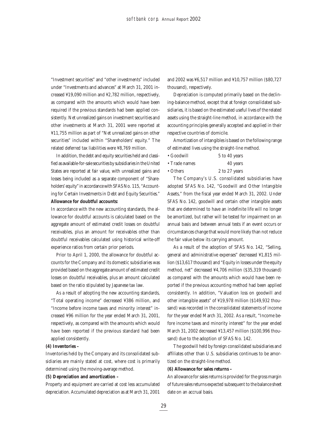"Investment securities" and "other investments" included under "Investments and advances" at March 31, 2001 increased ¥19,090 million and ¥2,782 million, respectively, as compared with the amounts which would have been required if the previous standards had been applied consistently. Net unrealized gains on investment securities and other investments at March 31, 2001 were reported at ¥11,755 million as part of "Net unrealized gains on other securities" included within "Shareholders' equity." The related deferred tax liabilities were ¥8,769 million.

In addition, the debt and equity securities held and classified as available-for-sale securities by subsidiaries in the United States are reported at fair value, with unrealized gains and losses being included as a separate component of "Shareholders' equity" in accordance with SFAS No. 115, "Accounting for Certain Investments in Debt and Equity Securities." **Allowance for doubtful accounts:**

In accordance with the new accounting standards, the allowance for doubtful accounts is calculated based on the aggregate amount of estimated credit losses on doubtful receivables, plus an amount for receivables other than doubtful receivables calculated using historical write-off experience ratios from certain prior periods.

Prior to April 1, 2000, the allowance for doubtful accounts for the Company and its domestic subsidiaries was provided based on the aggregate amount of estimated credit losses on doubtful receivables, plus an amount calculated based on the ratio stipulated by Japanese tax law.

As a result of adopting the new accounting standards, "Total operating income" decreased ¥386 million, and "Income before income taxes and minority interest" increased ¥96 million for the year ended March 31, 2001, respectively, as compared with the amounts which would have been reported if the previous standard had been applied consistently.

#### **(4) Inventories –**

Inventories held by the Company and its consolidated subsidiaries are mainly stated at cost, where cost is primarily determined using the moving-average method.

## **(5) Depreciation and amortization –**

Property and equipment are carried at cost less accumulated depreciation. Accumulated depreciation as at March 31, 2001

and 2002 was ¥6,517 million and ¥10,757 million (\$80,727 thousand), respectively.

Depreciation is computed primarily based on the declining-balance method, except that at foreign consolidated subsidiaries, it is based on the estimated useful lives of the related assets using the straight-line method, in accordance with the accounting principles generally accepted and applied in their respective countries of domicile.

Amortization of intangibles is based on the following range of estimated lives using the straight-line method.

- Goodwill 5 to 40 years
- Trade names 40 years

• Others 2 to 27 years

The Company's U.S. consolidated subsidiaries have adopted SFAS No. 142, "Goodwill and Other Intangible Assets," from the fiscal year ended March 31, 2002. Under SFAS No. 142, goodwill and certain other intangible assets that are determined to have an indefinite life will no longer be amortized, but rather will be tested for impairment on an annual basis and between annual tests if an event occurs or circumstances change that would more likely than not reduce the fair value below its carrying amount.

As a result of the adoption of SFAS No. 142, "Selling, general and administrative expenses" decreased ¥1,815 million (\$13,617 thousand) and "Equity in losses under the equity method, net" decreased ¥4,706 million (\$35,319 thousand) as compared with the amounts which would have been reported if the previous accounting method had been applied consistently. In addition, "Valuation loss on goodwill and other intangible assets" of ¥19,978 million (\$149,932 thousand) was recorded in the consolidated statements of income for the year ended March 31, 2002. As a result, "Income before income taxes and minority interest" for the year ended March 31, 2002 decreased ¥13,457 million (\$100,996 thousand) due to the adoption of SFAS No. 142.

The goodwill held by foreign consolidated subsidiaries and affiliates other than U.S. subsidiaries continues to be amortized on the straight-line method.

## **(6) Allowance for sales returns –**

An allowance for sales returns is provided for the gross margin of future sales returns expected subsequent to the balance sheet date on an accrual basis.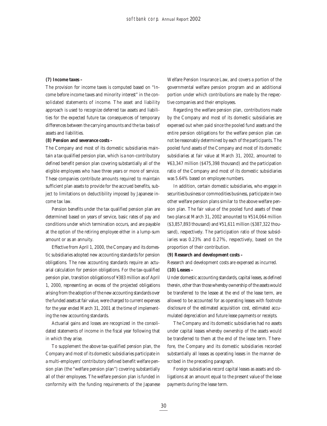## **(7) Income taxes –**

The provision for income taxes is computed based on "Income before income taxes and minority interest" in the consolidated statements of income. The asset and liability approach is used to recognize deferred tax assets and liabilities for the expected future tax consequences of temporary differences between the carrying amounts and the tax basis of assets and liabilities.

### **(8) Pension and severance costs –**

The Company and most of its domestic subsidiaries maintain a tax qualified pension plan, which is a non-contributory defined benefit pension plan covering substantially all of the eligible employees who have three years or more of service. These companies contribute amounts required to maintain sufficient plan assets to provide for the accrued benefits, subject to limitations on deductibility imposed by Japanese income tax law.

Pension benefits under the tax qualified pension plan are determined based on years of service, basic rates of pay and conditions under which termination occurs, and are payable at the option of the retiring employee either in a lump-sum amount or as an annuity.

Effective from April 1, 2000, the Company and its domestic subsidiaries adopted new accounting standards for pension obligations. The new accounting standards require an actuarial calculation for pension obligations. For the tax-qualified pension plan, transition obligations of ¥383 million as of April 1, 2000, representing an excess of the projected obligations arising from the adoption of the new accounting standards over the funded assets at fair value, were charged to current expenses for the year ended March 31, 2001 at the time of implementing the new accounting standards.

Actuarial gains and losses are recognized in the consolidated statements of income in the fiscal year following that in which they arise.

To supplement the above tax-qualified pension plan, the Company and most of its domestic subsidiaries participate in a multi-employers' contributory defined benefit welfare pension plan (the "welfare pension plan") covering substantially all of their employees. The welfare pension plan is funded in conformity with the funding requirements of the Japanese

Welfare Pension Insurance Law, and covers a portion of the governmental welfare pension program and an additional portion under which contributions are made by the respective companies and their employees.

Regarding the welfare pension plan, contributions made by the Company and most of its domestic subsidiaries are expensed out when paid since the pooled fund assets and the entire pension obligations for the welfare pension plan can not be reasonably determined by each of the participants. The pooled fund assets of the Company and most of its domestic subsidiaries at fair value at March 31, 2002, amounted to ¥63,347 million (\$475,398 thousand) and the participation ratio of the Company and most of its domestic subsidiaries was 5.64% based on employee numbers.

In addition, certain domestic subsidiaries, who engage in securities business or commodities business, participate in two other welfare pension plans similar to the above welfare pension plan. The fair value of the pooled fund assets of these two plans at March 31, 2002 amounted to ¥514,064 million (\$3,857,893 thousand) and ¥51,611 million (\$387,322 thousand), respectively. The participation ratio of those subsidiaries was 0.23% and 0.27%, respectively, based on the proportion of their contribution.

## **(9) Research and development costs –**

Research and development costs are expensed as incurred. **(10) Leases –**

Under domestic accounting standards, capital leases, as defined therein, other than those whereby ownership of the assets would be transferred to the lessee at the end of the lease term, are allowed to be accounted for as operating leases with footnote disclosure of the estimated acquisition cost, estimated accumulated depreciation and future lease payments or receipts.

The Company and its domestic subsidiaries had no assets under capital leases whereby ownership of the assets would be transferred to them at the end of the lease term. Therefore, the Company and its domestic subsidiaries recorded substantially all leases as operating leases in the manner described in the preceding paragraph.

Foreign subsidiaries record capital leases as assets and obligations at an amount equal to the present value of the lease payments during the lease term.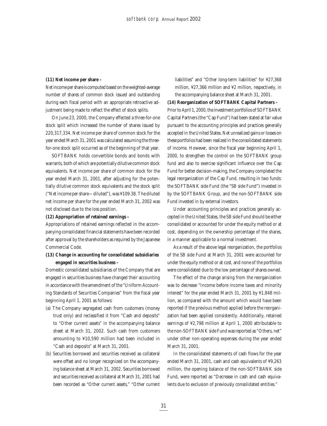## **(11) Net income per share –**

Net income per share is computed based on the weighted-average number of shares of common stock issued and outstanding during each fiscal period with an appropriate retroactive adjustment being made to reflect the effect of stock splits.

On June 23, 2000, the Company effected a three-for-one stock split which increased the number of shares issued by 220,317,334. Net income per share of common stock for the year ended March 31, 2001 was calculated assuming the threefor-one stock split occurred as of the beginning of that year.

SOFTBANK holds convertible bonds and bonds with warrants, both of which are potentially dilutive common stock equivalents. Net income per share of common stock for the year ended March 31, 2001, after adjusting for the potentially dilutive common stock equivalents and the stock split ("Net income per share—diluted"), was ¥109.38. The diluted net income per share for the year ended March 31, 2002 was not disclosed due to the loss position.

## **(12) Appropriation of retained earnings –**

Appropriations of retained earnings reflected in the accompanying consolidated financial statements have been recorded after approval by the shareholders as required by the Japanese Commercial Code.

## **(13) Change in accounting for consolidated subsidiaries engaged in securities business –**

Domestic consolidated subsidiaries of the Company that are engaged in securities business have changed their accounting in accordance with the amendment of the "Uniform Accounting Standards of Securities Companies" from the fiscal year beginning April 1, 2001 as follows:

- (a) The Company segregated cash from customers (money trust only) and reclassified it from "Cash and deposits" to "Other current assets" in the accompanying balance sheet at March 31, 2002. Such cash from customers amounting to ¥10,590 million had been included in "Cash and deposits" at March 31, 2001.
- (b) Securities borrowed and securities received as collateral were offset and no longer recognized on the accompanying balance sheet at March 31, 2002. Securities borrowed and securities received as collateral at March 31, 2001 had been recorded as "Other current assets," "Other current

liabilities" and "Other long-term liabilities" for ¥27,368 million, ¥27,366 million and ¥2 million, respectively, in the accompanying balance sheet at March 31, 2001.

## **(14) Reorganization of SOFTBANK Capital Partners –**

Prior to April 1, 2000, the investment portfolios of SOFTBANK Capital Partners (the "Cap Fund") had been stated at fair value pursuant to the accounting principles and practices generally accepted in the United States. Net unrealized gains or losses on these portfolios had been realized in the consolidated statements of income. However, since the fiscal year beginning April 1, 2000, to strengthen the control on the SOFTBANK group fund and also to exercise significant influence over the Cap Fund for better decision-making, the Company completed the legal reorganization of the Cap Fund, resulting in two funds: the SOFTBANK side Fund (the "SB side Fund") invested in by the SOFTBANK Group, and the non-SOFTBANK side Fund invested in by external investors.

Under accounting principles and practices generally accepted in the United States, the SB side Fund should be either consolidated or accounted for under the equity method or at cost, depending on the ownership percentage of the shares, in a manner applicable to a normal investment.

As a result of the above legal reorganization, the portfolios of the SB side Fund at March 31, 2001 were accounted for under the equity method or at cost, and none of the portfolios were consolidated due to the low percentage of shares owned.

The effect of the change arising from the reorganization was to decrease "Income before income taxes and minority interest" for the year ended March 31, 2001 by ¥1,848 million, as compared with the amount which would have been reported if the previous method applied before the reorganization had been applied consistently. Additionally, retained earnings of ¥2,798 million at April 1, 2000 attributable to the non-SOFTBANK side Fund was reported as "Others, net" under other non-operating expenses during the year ended March 31, 2001.

In the consolidated statements of cash flows for the year ended March 31, 2001, cash and cash equivalents of ¥9,263 million, the opening balance of the non-SOFTBANK side Fund, were reported as "Decrease in cash and cash equivalents due to exclusion of previously consolidated entities."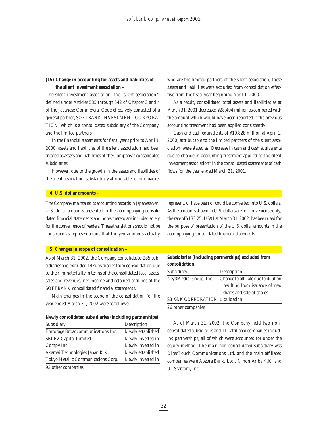## **(15) Change in accounting for assets and liabilities of the silent investment association –**

The silent investment association (the "silent association") defined under Articles 535 through 542 of Chapter 3 and 4 of the Japanese Commercial Code effectively consisted of a general partner, SOFTBANK INVESTMENT CORPORA-TION, which is a consolidated subsidiary of the Company, and the limited partners.

In the financial statements for fiscal years prior to April 1, 2000, assets and liabilities of the silent association had been treated as assets and liabilities of the Company's consolidated subsidiaries.

However, due to the growth in the assets and liabilities of the silent association, substantially attributable to third parties who are the limited partners of the silent association, these assets and liabilities were excluded from consolidation effective from the fiscal year beginning April 1, 2000.

As a result, consolidated total assets and liabilities as at March 31, 2001 decreased ¥28,404 million as compared with the amount which would have been reported if the previous accounting treatment had been applied consistently.

Cash and cash equivalents of ¥10,828 million at April 1, 2000, attributable to the limited partners of the silent association, were stated as "Decrease in cash and cash equivalents due to change in accounting treatment applied to the silent investment association" in the consolidated statements of cash flows for the year ended March 31, 2001.

### **4. U.S. dollar amounts –**

The Company maintains its accounting records in Japanese yen. U.S. dollar amounts presented in the accompanying consolidated financial statements and notes thereto are included solely for the convenience of readers. These translations should not be construed as representations that the yen amounts actually

## **5. Changes in scope of consolidation –**

As of March 31, 2002, the Company consolidated 285 subsidiaries and excluded 14 subsidiaries from consolidation due to their immateriality in terms of the consolidated total assets, sales and revenues, net income and retained earnings of the SOFTBANK consolidated financial statements.

Main changes in the scope of the consolidation for the year ended March 31, 2002 were as follows:

| Subsidiary                          | Description       |
|-------------------------------------|-------------------|
| Emtorage Broadcommunications Inc.   | Newly established |
| SBI E2-Capital Limited              | Newly invested in |
| Compy Inc.                          | Newly invested in |
| Akamai Technologies Japan K.K.      | Newly established |
| Tokyo Metallic Communications Corp. | Newly invested in |
| 92 other companies                  |                   |

represent, or have been or could be converted into U.S. dollars. As the amounts shown in U.S. dollars are for convenience only, the rate of ¥133.25=US\$1 at March 31, 2002, has been used for the purpose of presentation of the U.S. dollar amounts in the accompanying consolidated financial statements.

## **Subsidiaries (including partnerships) excluded from consolidation**

| Subsidiary                     | Description                         |
|--------------------------------|-------------------------------------|
| Key3Media Group, Inc.          | Change to affiliate due to dilution |
|                                | resulting from issuance of new      |
|                                | shares and sale of shares           |
| SB K&K CORPORATION Liquidation |                                     |
| 26 other companies             |                                     |

As of March 31, 2002, the Company held two nonconsolidated subsidiaries and 111 affiliated companies including partnerships, all of which were accounted for under the equity method. The main non-consolidated subsidiary was DirecTouch Communications Ltd. and the main affiliated companies were Aozora Bank, Ltd., Nihon Ariba K.K. and UTStarcom, Inc.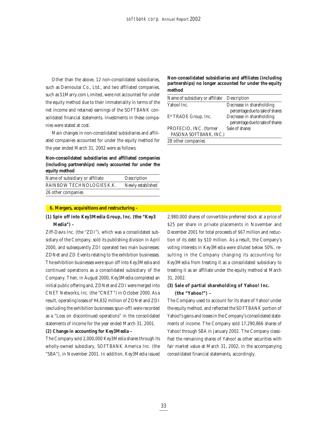Other than the above, 12 non-consolidated subsidiaries, such as Dennoutai Co., Ltd., and two affiliated companies, such as 51Marry.com Limited, were not accounted for under the equity method due to their immateriality in terms of the net income and retained earnings of the SOFTBANK consolidated financial statements. Investments in these companies were stated at cost.

Main changes in non-consolidated subsidiaries and affiliated companies accounted for under the equity method for the year ended March 31, 2002 were as follows:

## **Non-consolidated subsidiaries and affiliated companies (including partnerships) newly accounted for under the equity method**

| Name of subsidiary or affiliate | Description       |
|---------------------------------|-------------------|
| RAINBOW TECHNOLOGIES K.K.       | Newly established |
| 26 other companies              |                   |

## **6. Mergers, acquisitions and restructuring –**

## **(1) Spin off into Key3Media Group, Inc. (the "Key3 Media") –**

Ziff-Davis Inc. (the "ZDI"), which was a consolidated subsidiary of the Company, sold its publishing division in April 2000, and subsequently ZDI operated two main businesses: ZDNet and ZD Events relating to the exhibition businesses. The exhibition businesses were spun off into Key3Media and continued operations as a consolidated subsidiary of the Company. Then, in August 2000, Key3Media completed an initial public offering and, ZDNet and ZDI were merged into CNET Networks, Inc. (the "CNET") in October 2000. As a result, operating losses of ¥4,832 million of ZDNet and ZDI (excluding the exhibition businesses spun-off) were recorded as a "Loss on discontinued operations" in the consolidated statements of income for the year ended March 31, 2001.

## **(2) Change in accounting for Key3Media –**

The Company sold 2,000,000 Key3Media shares through its wholly-owned subsidiary, SOFTBANK America Inc. (the "SBA"), in November 2001. In addition, Key3Media issued **Non-consolidated subsidiaries and affiliates (including partnerships) no longer accounted for under the equity method**

| Name of subsidiary or affiliate | Description                      |
|---------------------------------|----------------------------------|
| Yahoo! Inc.                     | Decrease in shareholding         |
|                                 | percentage due to sale of shares |
| E* TRADE Group, Inc.            | Decrease in shareholding         |
|                                 | percentage due to sale of shares |
| PROFECIO, INC. (former          | Sale of shares                   |
| PASONA SOFTBANK, INC.)          |                                  |
| 28 other companies              |                                  |

2,980,000 shares of convertible preferred stock at a price of \$25 per share in private placements in November and December 2001 for total proceeds of \$67 million and reduction of its debt by \$10 million. As a result, the Company's voting interests in Key3Media were diluted below 50%, resulting in the Company changing its accounting for Key3Media from treating it as a consolidated subsidiary to treating it as an affiliate under the equity method at March 31, 2002.

## **(3) Sale of partial shareholding of Yahoo! Inc. (the "Yahoo!") –**

The Company used to account for its share of Yahoo! under the equity method, and reflected the SOFTBANK portion of Yahoo!'s gains and losses in the Company's consolidated statements of income. The Company sold 17,290,866 shares of Yahoo! through SBA in January 2002. The Company classified the remaining shares of Yahoo! as other securities with fair market value at March 31, 2002, in the accompanying consolidated financial statements, accordingly.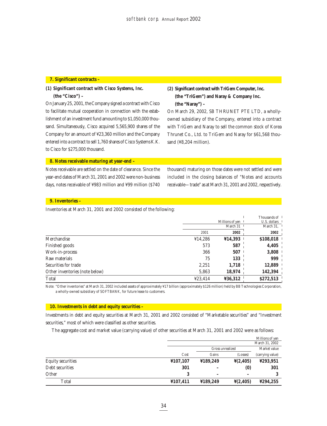#### **7. Significant contracts –**

## **(1) Significant contract with Cisco Systems, Inc.**

**(the "Cisco") –**

On January 25, 2001, the Company signed a contract with Cisco to facilitate mutual cooperation in connection with the establishment of an investment fund amounting to \$1,050,000 thousand. Simultaneously, Cisco acquired 5,565,900 shares of the Company for an amount of ¥23,360 million and the Company entered into a contract to sell 1,760 shares of Cisco Systems K.K. to Cisco for \$275,000 thousand.

## **(2) Significant contract with TriGem Computer, Inc. (the "TriGem") and Naray & Company Inc. (the "Naray") –**

On March 29, 2002, SB THRUNET PTE LTD, a whollyowned subsidiary of the Company, entered into a contract with TriGem and Naray to sell the common stock of Korea Thrunet Co., Ltd. to TriGem and Naray for \$61,568 thousand (¥8,204 million).

## **8. Notes receivable maturing at year-end –**

Notes receivable are settled on the date of clearance. Since the year-end dates of March 31, 2001 and 2002 were non-business days, notes receivable of ¥983 million and ¥99 million (\$740 thousand) maturing on those dates were not settled and were included in the closing balances of "Notes and accounts receivable—trade" as at March 31, 2001 and 2002, respectively.

## **9. Inventories –**

Inventories at March 31, 2001 and 2002 consisted of the following:

|                                |         | Millions of ven | Thousands of 1<br>U.S. dollars        |
|--------------------------------|---------|-----------------|---------------------------------------|
|                                |         | March 31        | March $31$ , $\overline{\phantom{1}}$ |
|                                | 2001    | 2002            | 2002                                  |
| Merchandise                    | ¥14,286 | ¥14,393         | \$108,018                             |
| Finished goods                 | 573     | 587             | 4,405                                 |
| Work-in-process                | 366     | 507             | 3,808                                 |
| Raw materials                  | 75      | 133             | 999                                   |
| Securities for trade           | 2,251   | 1,718           | 12,889                                |
| Other inventories (note below) | 5,863   | 18,974          | 142,394                               |
| Total                          | ¥23,414 | ¥36,312         | \$272,513                             |

Note: "Other inventories" at March 31, 2002 included assets of approximately ¥17 billion (approximately \$126 million) held by BB Technologies Corporation, a wholly-owned subsidiary of SOFTBANK, for future lease to customers.

### **10. Investments in debt and equity securities –**

Investments in debt and equity securities at March 31, 2001 and 2002 consisted of "Marketable securities" and "Investment securities," most of which were classified as other securities.

The aggregate cost and market value (carrying value) of other securities at March 31, 2001 and 2002 were as follows:

|                          |          |                   |                               | Millions of yen  |
|--------------------------|----------|-------------------|-------------------------------|------------------|
|                          |          |                   |                               | March 31, 2002   |
|                          |          | Gross unrealized  |                               | Market value     |
|                          | Cost     | Gains             | (Losses)                      | (carrying value) |
| <b>Equity securities</b> | ¥107,107 | ¥189,249          | $\frac{1}{2}(2,405)$          | ¥293,951         |
| Debt securities          | 301      |                   | $\boldsymbol{\left(0\right)}$ | 301              |
| Other                    |          | $\qquad \qquad -$ |                               |                  |
| Total                    | ¥107,411 | ¥189,249          | $\frac{1}{2}(2,405)$          | ¥294.255         |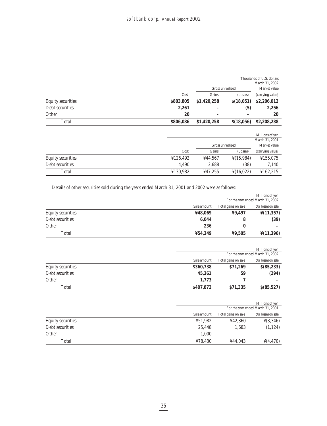| Thousands of U.S. dollars |  |  |
|---------------------------|--|--|
|                           |  |  |

|                          |           |                  |            | March 31, 2002   |
|--------------------------|-----------|------------------|------------|------------------|
|                          |           | Gross unrealized |            | Market value     |
|                          | Cost      | Gains            | (Losses)   | (carrying value) |
| <b>Equity securities</b> | \$803,805 | \$1,420,258      | \$(18,051) | \$2,206,012      |
| Debt securities          | 2.261     |                  | (5)        | 2,256            |
| Other                    | 20        | $\qquad \qquad$  | -          | 20               |
| Total                    | \$806,086 | \$1,420,258      | \$(18,056) | \$2,208,288      |

|                          |          |                  |                       | Millions of yen  |
|--------------------------|----------|------------------|-----------------------|------------------|
|                          |          |                  |                       | March 31, 2001   |
|                          |          | Gross unrealized |                       | Market value     |
|                          | Cost     | Gains            | (Losses)              | (carrying value) |
| <b>Equity securities</b> | 4126,492 | ¥44.567          | $\frac{1}{2}(15,984)$ | ¥155,075         |
| Debt securities          | 4.490    | 2.688            | (38)                  | 7,140            |
| Total                    | ¥130,982 | ¥47,255          | $\frac{1}{2}(16,022)$ | ¥162,215         |

Details of other securities sold during the years ended March 31, 2001 and 2002 were as follows:

|                          |             |                                   | Millions of yen               |  |
|--------------------------|-------------|-----------------------------------|-------------------------------|--|
|                          |             | For the year ended March 31, 2002 |                               |  |
|                          | Sale amount | Total gains on sale               | Total losses on sale          |  |
| <b>Equity securities</b> | ¥48,069     | ¥9.497                            | $\frac{\mathsf{Y}(11,357)}{}$ |  |
| Debt securities          | 6.044       |                                   | (39)                          |  |
| Other                    | 236         |                                   | -                             |  |
| Total                    | ¥54,349     | ¥9,505                            | $\frac{\gamma}{1,396}$        |  |

|                          |             |                     | Millions of yen                   |
|--------------------------|-------------|---------------------|-----------------------------------|
|                          |             |                     | For the year ended March 31, 2002 |
|                          | Sale amount | Total gains on sale | Total losses on sale              |
| <b>Equity securities</b> | \$360,738   | \$71,269            | $$$ (85,233)                      |
| Debt securities          | 45,361      | 59                  | (294)                             |
| Other                    | 1.773       |                     |                                   |
| Total                    | \$407,872   | \$71,335            | $$$ (85,527)                      |

|                                    | Millions of yen                   |         |                       |  |
|------------------------------------|-----------------------------------|---------|-----------------------|--|
|                                    | For the year ended March 31, 2001 |         |                       |  |
| Total gains on sale<br>Sale amount |                                   |         |                       |  |
| <b>Equity securities</b>           | ¥51,982                           | ¥42,360 | $\frac{1}{2}(3,346)$  |  |
| Debt securities                    | 25.448                            | 1,683   | (1, 124)              |  |
| Other                              | 1.000                             | -       |                       |  |
| Total                              | ¥78.430                           | ¥44.043 | $\frac{1}{2}(4, 470)$ |  |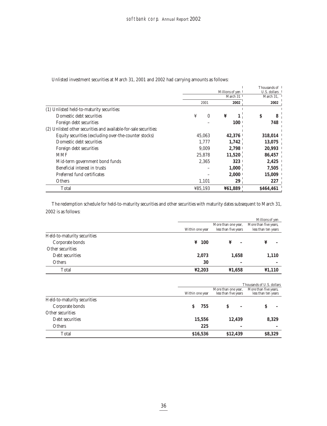| Unlisted investment securities at March 31, 2001 and 2002 had carrying amounts as follows: |  |
|--------------------------------------------------------------------------------------------|--|
|--------------------------------------------------------------------------------------------|--|

|                                                                  |                 |          |   |            |              | Thousands of |
|------------------------------------------------------------------|-----------------|----------|---|------------|--------------|--------------|
|                                                                  | Millions of yen |          |   |            | U.S. dollars |              |
|                                                                  |                 |          |   | March 31   |              | March 31,    |
|                                                                  |                 | 2001     |   | 2002       | 2002         |              |
| (1) Unlisted held-to-maturity securities:                        |                 |          |   |            |              |              |
| Domestic debt securities                                         | ¥               | $\Omega$ | ¥ |            | \$           | 8            |
| Foreign debt securities                                          |                 |          |   | <b>100</b> |              | 748          |
| (2) Unlisted other securities and available-for-sale securities: |                 |          |   |            |              |              |
| Equity securities (excluding over-the-counter stocks)            |                 | 45.063   |   | 42,376     |              | 318,014      |
| Domestic debt securities                                         |                 | 1.777    |   | 1,742      |              | 13,075       |
| Foreign debt securities                                          |                 | 9.009    |   | 2.798      |              | 20,993       |
| <b>MMF</b>                                                       |                 | 25.878   |   | 11,520     |              | 86,457       |
| Mid-term government bond funds                                   |                 | 2.365    |   | 323        |              | 2,425        |
| Beneficial interest in trusts                                    |                 |          |   | 1,000      |              | 7,505        |
| Preferred fund certificates                                      |                 |          |   | 2,000      |              | 15,009       |
| <b>Others</b>                                                    |                 | 1,101    |   | 29         |              | 227          |
| Total                                                            | ¥85,193         |          |   | ¥61,889    |              | \$464,461    |

The redemption schedule for held-to-maturity securities and other securities with maturity dates subsequent to March 31, 2002 is as follows:

|                             |                 |                      | Millions of yen                              |  |
|-----------------------------|-----------------|----------------------|----------------------------------------------|--|
|                             |                 | More than one year,  | More than five years,<br>less than ten years |  |
|                             | Within one year | less than five years |                                              |  |
| Held-to-maturity securities |                 |                      |                                              |  |
| Corporate bonds             | $\angle 100$    | ¥                    | ¥                                            |  |
| Other securities            |                 |                      |                                              |  |
| Debt securities             | 2,073           | 1,658                | 1,110                                        |  |
| <b>Others</b>               | 30              |                      |                                              |  |
| Total                       | 42,203          | ¥1,658               | $\textbf{\texttt{Y1,110}}$                   |  |

|                             |                 |                                             | Thousands of U.S. dollars |  |
|-----------------------------|-----------------|---------------------------------------------|---------------------------|--|
|                             | Within one year | More than one year,<br>less than five years |                           |  |
| Held-to-maturity securities |                 |                                             |                           |  |
| Corporate bonds             | 755<br>S.       | S                                           |                           |  |
| Other securities            |                 |                                             |                           |  |
| Debt securities             | 15,556          | 12,439                                      | 8,329                     |  |
| Others                      | 225             |                                             |                           |  |
| Total                       | \$16,536        | \$12,439                                    | \$8,329                   |  |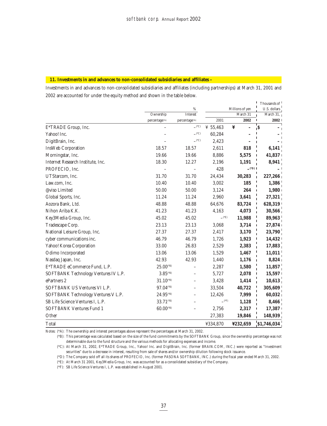#### **11. Investments in and advances to non-consolidated subsidiaries and affiliates –**

Investments in and advances to non-consolidated subsidiaries and affiliates (including partnerships) at March 31, 2001 and 2002 are accounted for under the equity method and shown in the table below.

|                                      |                         |                          |                     |                 | Thousands of           |
|--------------------------------------|-------------------------|--------------------------|---------------------|-----------------|------------------------|
|                                      |                         | %                        |                     | Millions of yen | U.S. dollars           |
|                                      | Ownership               | Interest                 | March 31            |                 | March $31, 1$          |
|                                      | percentage(*A)          | percentage(*A)           | 2001                | 2002            | 2002                   |
| E*TRADE Group, Inc.                  |                         | $\_{(^{\ast}C)}$         | ¥ 55,463            | ¥               | ¦\$                    |
| Yahoo! Inc.                          |                         | $($ <sup>*</sup> C)      | 60,284              |                 |                        |
| DigitBrain, Inc.                     |                         | $\angle$ <sup>(*C)</sup> | 2,423               |                 |                        |
| <b>InsWeb Corporation</b>            | 18.57                   | 18.57                    | 2,611               | 818             | 6,141                  |
| Morningstar, Inc.                    | 19.66                   | 19.66                    | 8,886               | 5,575           | 41,837                 |
| Internet Research Institute, Inc.    | 18.30                   | 12.27                    | 2,196               | 1,191           | 8,941                  |
| PROFECIO, Inc.                       |                         |                          | 428                 | $(2^{\circ}D)$  |                        |
| UTStarcom, Inc.                      | 31.70                   | 31.70                    | 24,434              | 30,283          | 227,266                |
| Law.com, Inc.                        | 10.40                   | 10.40                    | 3,002               | 185             | 1,386                  |
| @viso Limited                        | 50.00                   | 50.00                    | 3,124               | 264             | 1,980<br>$\mathbf{I}$  |
| Global Sports, Inc.                  | 11.24                   | 11.24                    | 2,960               | 3,641           | 27,321                 |
| Aozora Bank, Ltd.                    | 48.88                   | 48.88                    | 64,676              | 83,724          | 628,319                |
| Nihon Ariba K.K.                     | 41.23                   | 41.23                    | 4,163               | 4,073           | 30,566                 |
| Key3Media Group, Inc.                | 45.02                   | 45.02                    | $($ <sup>*</sup> E) | 11,988          | 89,963                 |
| Tradescape Corp.                     | 23.13                   | 23.13                    | 3,068               | 3,714           | 27,874<br>$\mathbf{I}$ |
| National Leisure Group, Inc.         | 27.37                   | 27.37                    | 2,417               | 3,170           | $23,790^+$             |
| cyber communications inc.            | 46.79                   | 46.79                    | 1,726               | 1,923           | 14,432                 |
| Yahoo! Korea Corporation             | 33.00                   | 26.83                    | 2,529               | 2,383           | $17,883$ <sup>1</sup>  |
| Odimo Incorporated                   | 13.06                   | 13.06                    | 1,529               | 1,467           | 11,011                 |
| Nasdaq Japan, Inc.                   | 42.93                   | 42.93                    | 1,440               | 1,176           | 8,824                  |
| E*TRADE eCommerce Fund, L.P.         | $25.00$ <sup>(*B)</sup> |                          | 2,287               | 1,580           | 11,857                 |
| SOFTBANK Technology Ventures IV L.P. | $3.85^{(B)}$            |                          | 5,727               | 2,078           | 15,597                 |
| ePartners 2                          | $31.10^{(B)}$           |                          | 3,428               | 1,414           | 10,613                 |
| SOFTBANK US Ventures VI L.P.         | $97.04^{(B)}$           |                          | 33,504              | 40,722          | 305,609                |
| SOFTBANK Technology Ventures V L.P.  | $24.95^{(4)}$           |                          | 12,426              | 7,999           | 60,032                 |
| SB Life Science Ventures I, L.P.     | $33.71^{(B)}$           |                          | $-$ <sup>(*F)</sup> | 1,128           | 8,466                  |
| <b>SOFTBANK Ventures Fund 1</b>      | $60.00$ <sup>(*B)</sup> |                          | 2,756               | 2,317           | 17,387                 |
| Other                                |                         |                          | 27,383              | 19,846          | 148,939                |
| Total                                |                         |                          | ¥334,870            | ¥232,659        | \$1,746,034            |

Notes: (\*A): The ownership and interest percentages above represent the percentages at March 31, 2002.

(\*B): This percentage was calculated based on the size of the fund commitments by the SOFTBANK Group, since the ownership percentage was not determinable due to the fund structure and the various methods for allocating expenses and income.

(\*C): At March 31, 2002, E\*TRADE Group, Inc., Yahoo! Inc. and DigitBrain, Inc. (former BRAIN.COM, INC.) were reported as "Investment securities" due to a decrease in interest, resulting from sale of shares and/or ownership dilution following stock issuance.

(\*D): The Company sold off all its shares of PROFECIO, Inc. (former PASONA SOFTBANK, INC.) during the fiscal year ended March 31, 2002.

(\*E): At March 31 2001, Key3Media Group, Inc. was accounted for as a consolidated subsidiary of the Company.

(\*F): SB Life Science Ventures I, L.P. was established in August 2001.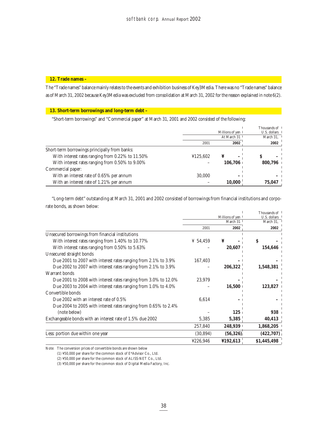## **12. Trade names –**

The "Trade names" balance mainly relates to the events and exhibition business of Key3Media. There was no "Trade names" balance as of March 31, 2002 because Key3Media was excluded from consolidation at March 31, 2002 for the reason explained in note 6(2).

### **13. Short-term borrowings and long-term debt –**

"Short-term borrowings" and "Commercial paper" at March 31, 2001 and 2002 consisted of the following:

|                                                  |          |                 | Thousands of 1                        |
|--------------------------------------------------|----------|-----------------|---------------------------------------|
|                                                  |          | Millions of yen | U.S. dollars 1                        |
|                                                  |          | At March 31     | March $31$ , $\overline{\phantom{1}}$ |
|                                                  | 2001     | 2002            | 2002                                  |
| Short-term borrowings principally from banks:    |          |                 |                                       |
| With interest rates ranging from 0.22% to 11.50% | ¥125,602 | ¥               | S                                     |
| With interest rates ranging from 0.50% to 9.00%  |          | 106.706         | 800.796                               |
| Commercial paper:                                |          |                 |                                       |
| With an interest rate of 0.65% per annum         | 30,000   | -               |                                       |
| With an interest rate of 1.21% per annum         |          | 10.000          | 75,047                                |

"Long-term debt" outstanding at March 31, 2001 and 2002 consisted of borrowings from financial institutions and corporate bonds, as shown below:

|                                                                       |           |                   | Thousands of |
|-----------------------------------------------------------------------|-----------|-------------------|--------------|
|                                                                       |           | Millions of yen 1 | U.S. dollars |
|                                                                       |           | March 31          | March 31.    |
|                                                                       | 2001      | 2002              | 2002         |
| Unsecured borrowings from financial institutions                      |           |                   |              |
| With interest rates ranging from 1.40% to 10.77%                      | ¥ 54,459  | ¥                 | S            |
| With interest rates ranging from 0.50% to 5.63%                       |           | 20,607            | 154,646      |
| Unsecured straight bonds                                              |           |                   |              |
| Due 2001 to 2007 with interest rates ranging from $2.1\%$ to $3.9\%$  | 167,403   |                   |              |
| Due 2002 to 2007 with interest rates ranging from 2.1% to 3.9%        |           | 206,322           | 1,548,381    |
| Warrant bonds                                                         |           |                   |              |
| Due 2001 to 2008 with interest rates ranging from $3.0\%$ to $12.0\%$ | 23,979    |                   |              |
| Due 2003 to 2004 with interest rates ranging from 1.0% to 4.0%        |           | 16,500            | 123,827      |
| Convertible bonds                                                     |           |                   |              |
| Due 2002 with an interest rate of 0.5%                                | 6,614     |                   |              |
| Due 2004 to 2005 with interest rates ranging from $0.65\%$ to 2.4%    |           |                   |              |
| (note below)                                                          |           | 125 <sub>1</sub>  | 938          |
| Exchangeable bonds with an interest rate of 1.5% due 2002             | 5,385     | 5,385             | 40,413       |
|                                                                       | 257,840   | 248,939           | 1,868,205    |
| Less: portion due within one year                                     | (30, 894) | (56, 326)         | (422, 707)   |
|                                                                       | ¥226,946  | ¥192,613          | \$1,445,498  |

Note: The conversion prices of convertible bonds are shown below

(1) ¥50,000 per share for the common stock of E\*Advisor Co., Ltd.

(2) ¥50,000 per share for the common stock of ALISS-NET Co., Ltd.

(3) ¥50,000 per share for the common stock of Digital Media Factory, Inc.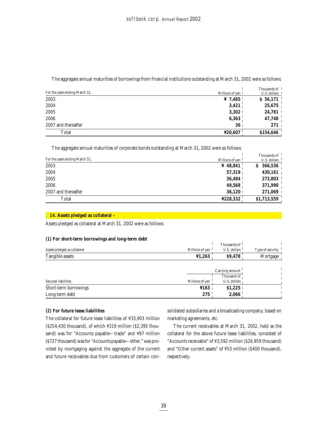|                                |                   | Thousands of 1 |
|--------------------------------|-------------------|----------------|
| For the years ending March 31, | Millions of yen 1 | U.S. dollars 1 |
| 2003                           | ¥ 7,485           | \$56,171       |
| 2004                           | 3,421             | 25,675         |
| 2005                           | 3,302             | 24,781         |
| 2006                           | 6,363             | 47,748         |
| 2007 and thereafter            | 36                | $271_1$        |
| Total                          | ¥20,607           | \$154,646      |

The aggregate annual maturities of borrowings from financial institutions outstanding at March 31, 2002 were as follows:

The aggregate annual maturities of corporate bonds outstanding at March 31, 2002 were as follows:

| For the years ending March 31. | Millions of yen | Thousands of <sup>1</sup><br>U.S. dollars $\frac{1}{2}$ |
|--------------------------------|-----------------|---------------------------------------------------------|
| 2003                           | ¥ 48,841        | 366,536                                                 |
| 2004                           | 57,319          | 430,161                                                 |
| 2005                           | 36.484          | 273,803                                                 |
| 2006                           | 49,568          | 371,990                                                 |
| 2007 and thereafter            | 36,120          | 271,069                                                 |
| Total                          | ¥228,332        | \$1,713,559                                             |

## **14. Assets pledged as collateral –**

Assets pledged as collateral at March 31, 2002 were as follows:

## **(1) For short-term borrowings and long-term debt**

| ້<br>. .                     |                 | Thousands of                          |                  |
|------------------------------|-----------------|---------------------------------------|------------------|
| Assets pledged as collateral | Millions of yen | U.S. dollars $\overline{\phantom{a}}$ | Type of security |
| Tangible assets              | ¥1,263          | \$9,478                               | Mortgage         |
|                              |                 |                                       |                  |
|                              |                 | Carrying amount                       |                  |
|                              |                 | Thousand of                           |                  |
| Secured liabilities          | Millions of yen | U.S. dollars                          |                  |
| Short-term borrowings        | \$163\$         | \$1,225                               |                  |
| Long-term debt               | 275             | 2,066                                 |                  |

## **(2) For future lease liabilities**

The collateral for future lease liabilities of ¥33,903 million (\$254,430 thousand), of which ¥319 million (\$2,395 thousand) was for "Accounts payable—trade" and ¥97 million (\$727 thousand) was for "Accounts payable—other," was provided by mortgaging against the aggregate of the current and future receivables due from customers of certain consolidated subsidiaries and a broadcasting company, based on marketing agreements, etc.

The current receivables at March 31, 2002, held as the collateral for the above future lease liabilities, consisted of "Accounts receivable" of ¥3,592 million (\$26,959 thousand) and "Other current assets" of ¥53 million (\$400 thousand), respectively.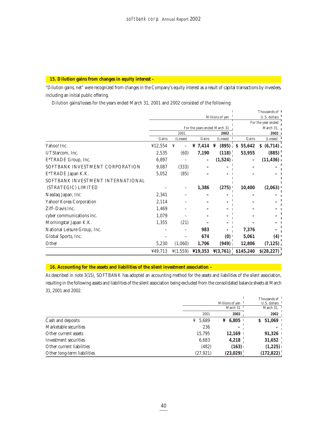## **15. Dilution gains from changes in equity interest –**

"Dilution gains, net" were recognized from changes in the Company's equity interest as a result of capital transactions by investees, including an initial public offering.

Dilution gains/losses for the years ended March 31, 2001 and 2002 consisted of the following:

|                                   |                 |                      |                              |                      |                    | Thousands of |  |
|-----------------------------------|-----------------|----------------------|------------------------------|----------------------|--------------------|--------------|--|
|                                   | Millions of yen |                      |                              |                      |                    | U.S. dollars |  |
|                                   |                 |                      |                              |                      | For the year ended |              |  |
|                                   |                 |                      | For the years ended March 31 |                      |                    | March 31,    |  |
|                                   |                 | 2001                 |                              | 2002                 |                    | 2002         |  |
|                                   | Gains           | (Losses)             | Gains                        | (Losses)             | Gains              | (Losses)     |  |
| Yahoo! Inc.                       | ¥12,554         | ¥                    | ¥ $7,414$                    | ¥<br>(895)           | 55,642<br>S        | (6,714)<br>S |  |
| UTStarcom, Inc.                   | 2,535           | (60)                 | 7,190                        | (118)                | 53,955             | (885)        |  |
| E*TRADE Group, Inc.               | 6,897           |                      |                              | (1,524)              |                    | (11, 436)    |  |
| SOFTBANK INVESTMENT CORPORATION   | 9,087           | (333)                |                              |                      |                    |              |  |
| E*TRADE Japan K.K.                | 5,052           | (85)                 |                              |                      |                    |              |  |
| SOFTBANK INVESTMENT INTERNATIONAL |                 |                      |                              |                      |                    |              |  |
| (STRATEGIC) LIMITED               |                 |                      | 1,386                        | (275)                | 10,400             | (2,063)      |  |
| Nasdaq Japan, Inc                 | 2,341           |                      |                              |                      |                    |              |  |
| Yahoo! Korea Corporation          | 2,114           |                      |                              |                      |                    |              |  |
| Ziff-Davis Inc.                   | 1,469           |                      |                              |                      |                    |              |  |
| cyber communications inc.         | 1,079           |                      |                              |                      |                    |              |  |
| Morningstar Japan K.K.            | 1,355           | (21)                 |                              |                      |                    |              |  |
| National Leisure Group, Inc.      |                 |                      | 983                          |                      | 7,376              |              |  |
| Global Sports, Inc.               |                 |                      | 674                          | $(0)$ <sup>1</sup>   | 5,061              | (4)          |  |
| Other                             | 5,230           | (1,060)              | 1,706                        | (949)                | 12,806             | (7, 125)     |  |
|                                   | 449,713         | $\frac{1}{2}(1,559)$ | $\textbf{\&}19.353$          | $\frac{1}{2}(3,761)$ | \$145,240          | \$(28, 227)  |  |

## **16. Accounting for the assets and liabilities of the silent investment association –**

As described in note 3(15), SOFTBANK has adopted an accounting method for the assets and liabilities of the silent association, resulting in the following assets and liabilities of the silent association being excluded from the consolidated balance sheets at March 31, 2001 and 2002.

|                             |            |                     | Thousands of |
|-----------------------------|------------|---------------------|--------------|
|                             |            | Millions of yen     | U.S. dollars |
|                             |            | March 31            | March 31.    |
|                             | 2001       | 2002                | 2002         |
| Cash and deposits           | 5,689<br>¥ | $\frac{1}{4}$ 6,805 | 51,069<br>S. |
| Marketable securities       | 236        |                     |              |
| Other current assets        | 15,795     | 12,169              | 91,326       |
| Investment securities       | 6,683      | 4,218               | 31,652       |
| Other current liabilities   | (482)      | (163)               | (1,225)      |
| Other long-term liabilities | (27, 921)  | (23, 029)           | (172, 822)   |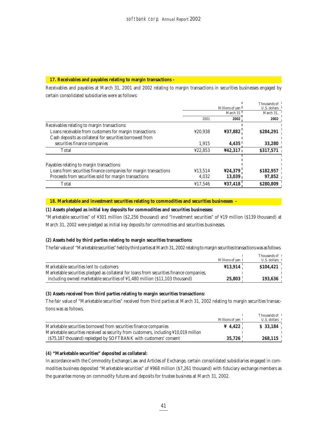## **17. Receivables and payables relating to margin transactions –**

Receivables and payables at March 31, 2001 and 2002 relating to margin transactions in securities businesses engaged by certain consolidated subsidiaries were as follows:

|                                                                 |         |                 | Thousands of |
|-----------------------------------------------------------------|---------|-----------------|--------------|
|                                                                 |         | Millions of yen | U.S. dollars |
|                                                                 |         | March 31        | March 31,    |
|                                                                 | 2001    | 2002            | 2002         |
| Receivables relating to margin transactions:                    |         |                 |              |
| Loans receivable from customers for margin transactions         | ¥20.938 | ¥37,882         | \$284,291    |
| Cash deposits as collateral for securities borrowed from        |         |                 |              |
| securities finance companies                                    | 1,915   | 4,435           | 33,280       |
| Total                                                           | ¥22.853 | 442.317         | \$317,571    |
|                                                                 |         |                 |              |
| Payables relating to margin transactions:                       |         |                 |              |
| Loans from securities finance companies for margin transactions | 413,514 | ¥24,379         | \$182,957    |
| Proceeds from securities sold for margin transactions           | 4.032   | 13,039          | 97,852       |
| Total                                                           | ¥17.546 | ¥37,418         | \$280,809    |

## **18. Marketable and investment securities relating to commodities and securities businesses –**

## **(1) Assets pledged as initial key deposits for commodities and securities businesses:**

"Marketable securities" of ¥301 million (\$2,256 thousand) and "Investment securities" of ¥19 million (\$139 thousand) at March 31, 2002 were pledged as initial key deposits for commodities and securities businesses.

## **(2) Assets held by third parties relating to margin securities transactions:**

The fair value of "Marketable securities" held by third parties at March 31, 2002 relating to margin securities transactions was as follows.

|                                                                                          | Millions of yen 1 | Thousands of 1<br>$U.S.$ dollars $\perp$ |
|------------------------------------------------------------------------------------------|-------------------|------------------------------------------|
| Marketable securities lent to customers                                                  | ¥13,914           | \$104,421                                |
| Marketable securities pledged as collateral for loans from securities finance companies, |                   |                                          |
| including owned marketable securities of $\frac{1}{4}1,480$ million (\$11,103 thousand)  | 25,803            | 193,636                                  |

### **(3) Assets received from third parties relating to margin securities transactions:**

The fair value of "Marketable securities" received from third parties at March 31, 2002 relating to margin securities transactions was as follows.

|                                                                                      |                   | Thousands of 1       |
|--------------------------------------------------------------------------------------|-------------------|----------------------|
|                                                                                      | Millions of yen   | U.S. dollars $\perp$ |
| Marketable securities borrowed from securities finance companies                     | $\frac{1}{4.422}$ | \$33,184             |
| Marketable securities received as security from customers, including ¥10,019 million |                   |                      |
| (\$75,187 thousand) repledged by SOFTBANK with customers' consent                    | 35.726            | 268,115              |

## **(4) "Marketable securities" deposited as collateral:**

In accordance with the Commodity Exchange Law and Articles of Exchange, certain consolidated subsidiaries engaged in commodities business deposited "Marketable securities" of ¥968 million (\$7,261 thousand) with fiduciary exchange members as the guarantee money on commodity futures and deposits for trustee business at March 31, 2002.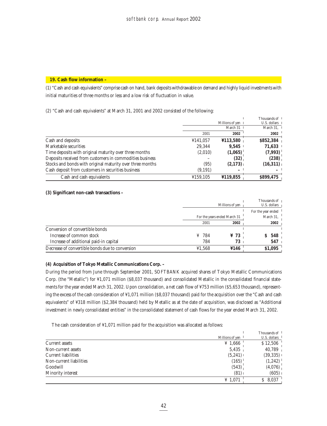## **19. Cash flow information –**

(1) "Cash and cash equivalents" comprise cash on hand, bank deposits withdrawable on demand and highly liquid investments with initial maturities of three months or less and a low risk of fluctuation in value.

(2) "Cash and cash equivalents" at March 31, 2001 and 2002 consisted of the following:

|                                                           |          |                   | Thousands of <sup>1</sup> |
|-----------------------------------------------------------|----------|-------------------|---------------------------|
|                                                           |          | Millions of yen 1 | $U.S.$ dollars $\top$     |
|                                                           |          | March 31          | March 31, $\blacksquare$  |
|                                                           | 2001     | 2002              | 2002                      |
| Cash and deposits                                         | ¥141,057 | 4113,580          | \$852,384                 |
| Marketable securities                                     | 29.344   | 9.545             | 71,633                    |
| Time deposits with original maturity over three months    | (2,010)  | (1,065)           | (7,993)                   |
| Deposits received from customers in commodities business  |          | (32)              | (238)                     |
| Stocks and bonds with original maturity over three months | (95)     | (2,173)           | (16,311)                  |
| Cash deposit from customers in securities business        | (9,191)  |                   |                           |
| Cash and cash equivalents                                 | ¥159,105 | ¥119,855          | \$899,475                 |

## **(3) Significant non-cash transactions –**

|                                                 |                              |                  | Thousands of                    |
|-------------------------------------------------|------------------------------|------------------|---------------------------------|
|                                                 |                              | Millions of yen  | U.S. dollars $\vert$            |
|                                                 |                              |                  | For the year ended <sup>1</sup> |
|                                                 | For the years ended March 31 |                  | March 31, $\frac{1}{2}$         |
|                                                 | 2001                         | 2002             | 2002 <sub>1</sub>               |
| Conversion of convertible bonds                 |                              |                  |                                 |
| Increase of common stock                        | $\frac{1}{2}$ 784            | $\frac{1}{2}$ 73 | 548                             |
| Increase of additional paid-in capital          | 784                          | 73               | 547 <sub>1</sub>                |
| Decrease of convertible bonds due to conversion | ¥1,568                       | ¥146             | \$1,095                         |

## **(4) Acquisition of Tokyo Metallic Communications Corp. –**

During the period from June through September 2001, SOFTBANK acquired shares of Tokyo Metallic Communications Corp. (the "Metallic") for ¥1,071 million (\$8,037 thousand) and consolidated Metallic in the consolidated financial statements for the year ended March 31, 2002. Upon consolidation, a net cash flow of ¥753 million (\$5,653 thousand), representing the excess of the cash consideration of ¥1,071 million (\$8,037 thousand) paid for the acquisition over the "Cash and cash equivalents" of ¥318 million (\$2,384 thousand) held by Metallic as at the date of acquisition, was disclosed as "Additional investment in newly consolidated entities" in the consolidated statement of cash flows for the year ended March 31, 2002.

The cash consideration of ¥1,071 million paid for the acquisition was allocated as follows:

|                            |                 | Thousands of <sup>1</sup>            |
|----------------------------|-----------------|--------------------------------------|
|                            | Millions of yen | U.S. dollars $\vert$                 |
| <b>Current assets</b>      | ¥ 1,666         | \$12,506                             |
| Non-current assets         | 5,435           | 40,789                               |
| <b>Current liabilities</b> | (5,241)         | $(39, 335)$ $\overline{\phantom{0}}$ |
| Non-current liabilities    | (165)           | $(1,242)$ <sup>1</sup>               |
| Goodwill                   | (543)           | (4,076)                              |
| Minority interest          | (81)            | $(605)$ 1                            |
|                            | ¥ 1,071         | 8,037                                |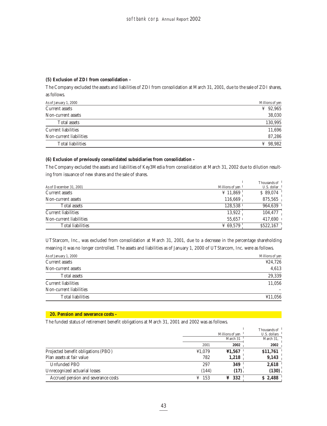## **(5) Exclusion of ZDI from consolidation –**

The Company excluded the assets and liabilities of ZDI from consolidation at March 31, 2001, due to the sale of ZDI shares, as follows.

| As of January 1, 2000      | Millions of yen |
|----------------------------|-----------------|
| Current assets             | ¥ 92,965        |
| Non-current assets         | 38,030          |
| <b>Total assets</b>        | 130,995         |
| <b>Current liabilities</b> | 11,696          |
| Non-current liabilities    | 87,286          |
| <b>Total liabilities</b>   | 98.982<br>¥     |

## **(6) Exclusion of previously consolidated subsidiaries from consolidation –**

The Company excluded the assets and liabilities of Key3Media from consolidation at March 31, 2002 due to dilution resulting from issuance of new shares and the sale of shares.

|                            |                 | Thousands of <sup>1</sup> |
|----------------------------|-----------------|---------------------------|
| As of December 31, 2001    | Millions of yen | U.S. dollar               |
| Current assets             | ¥ 11,869        | \$89,074                  |
| Non-current assets         | 116.669         | 875,565                   |
| Total assets               | 128,538         | 964,639                   |
| <b>Current liabilities</b> | 13,922          | 104,477                   |
| Non-current liabilities    | $55.657$ +      | 417.690                   |
| <b>Total liabilities</b>   | ¥ 69,579        | \$522,167                 |

UTStarcom, Inc., was excluded from consolidation at March 31, 2001, due to a decrease in the percentage shareholding meaning it was no longer controlled. The assets and liabilities as of January 1, 2000 of UTStarcom, Inc. were as follows.

| As of January 1, 2000      | Millions of yen |
|----------------------------|-----------------|
| Current assets             | 424,726         |
| Non-current assets         | 4,613           |
| <b>Total assets</b>        | 29,339          |
| <b>Current liabilities</b> | 11,056          |
| Non-current liabilities    |                 |
| <b>Total liabilities</b>   | ¥11,056         |

## **20. Pension and severance costs –**

The funded status of retirement benefit obligations at March 31, 2001 and 2002 was as follows.

|                                     |        |                   | Thousands of <sup>1</sup>     |
|-------------------------------------|--------|-------------------|-------------------------------|
|                                     |        | Millions of yen   | $U.S.$ dollars $\overline{1}$ |
|                                     |        | March 31          | March 31,                     |
|                                     | 2001   | 2002              | 2002                          |
| Projected benefit obligations (PBO) | ¥1,079 | 41,567            | \$11,761                      |
| Plan assets at fair value           | 782    | 1,218             | 9,143                         |
| Unfunded PBO                        | 297    | 349               | 2,618                         |
| Unrecognized actuarial losses       | (144)  | (17)              | (130)                         |
| Accrued pension and severance costs | 153    | $\frac{1}{2}$ 332 | \$2,488                       |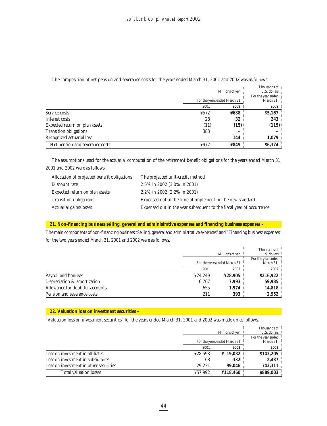|                                 |      | Millions of ven<br>For the years ended March 31 |                  |
|---------------------------------|------|-------------------------------------------------|------------------|
|                                 | 2001 | 2002                                            | $2002$           |
| Service costs                   | ¥572 | ¥688                                            | \$5,167          |
| Interest costs                  | 28   | 32                                              | 243 <sub>1</sub> |
| Expected return on plan assets  | (11) | (15)                                            | (115)            |
| <b>Transition obligations</b>   | 383  |                                                 |                  |
| Recognized actuarial loss       |      | 144                                             | 1,079            |
| Net pension and severance costs | ¥972 | ¥849                                            | \$6,374          |

## The composition of net pension and severance costs for the years ended March 31, 2001 and 2002 was as follows.

The assumptions used for the actuarial computation of the retirement benefit obligations for the years ended March 31, 2001 and 2002 were as follows.

| Allocation of projected benefit obligations | The projected unit-credit method                                     |
|---------------------------------------------|----------------------------------------------------------------------|
| Discount rate                               | 2.5% in 2002 (3.0% in 2001)                                          |
| Expected return on plan assets              | 2.2% in 2002 (2.2% in 2001)                                          |
| <b>Transition obligations</b>               | Expensed out at the time of implementing the new standard            |
| Actuarial gains/losses                      | Expensed out in the year subsequent to the fiscal year of occurrence |

## **21. Non-financing business selling, general and administrative expenses and financing business expenses –**

The main components of non-financing business "Selling, general and administrative expenses" and "Financing business expenses" for the two years ended March 31, 2001 and 2002 were as follows.

|                                 |         | Millions of ven              | Thousands of<br>U.S. dollars    |
|---------------------------------|---------|------------------------------|---------------------------------|
|                                 |         | For the years ended March 31 | For the year ended<br>March 31. |
|                                 | 2001    | 2002                         | 2002                            |
| Payroll and bonuses             | 424.249 | ¥28,905                      | \$216,922                       |
| Depreciation & amortization     | 6,767   | 7,993                        | 59,985                          |
| Allowance for doubtful accounts | 655     | 1.974                        | 14,818                          |
| Pension and severance costs     | 211     | 393                          | 2,952                           |

## **22. Valuation loss on investment securities –**

"Valuation loss on investment securities" for the years ended March 31, 2001 and 2002 was made up as follows.

|                                        |         | Thousands of <sup>1</sup>    |                    |
|----------------------------------------|---------|------------------------------|--------------------|
|                                        |         | Millions of ven              | U.S. dollars       |
|                                        |         |                              | For the year ended |
|                                        |         | For the years ended March 31 | March 31.          |
|                                        | 2001    | 2002                         | 2002               |
| Loss on investment in affiliates       | ¥28.593 | $*19.082$                    | \$143,205          |
| Loss on investment in subsidiaries     | 168     | 332                          | 2,487              |
| Loss on investment in other securities | 29.231  | 99.046                       | 743,311            |
| <b>Total valuation losses</b>          | ¥57.992 | ¥118,460                     | \$889,003          |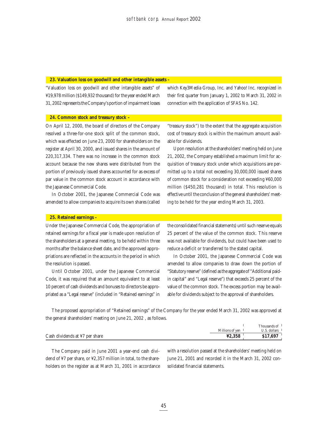#### **23. Valuation loss on goodwill and other intangible assets –**

"Valuation loss on goodwill and other intangible assets" of ¥19,978 million (\$149,932 thousand) for the year ended March 31, 2002 represents the Company's portion of impairment losses

which Key3Media Group, Inc. and Yahoo! Inc. recognized in their first quarter from January 1, 2002 to March 31, 2002 in connection with the application of SFAS No. 142.

## **24. Common stock and treasury stock –**

On April 12, 2000, the board of directors of the Company resolved a three-for-one stock split of the common stock, which was effected on June 23, 2000 for shareholders on the register at April 30, 2000, and issued shares in the amount of 220,317,334. There was no increase in the common stock account because the new shares were distributed from the portion of previously issued shares accounted for as excess of par value in the common stock account in accordance with the Japanese Commercial Code.

In October 2001, the Japanese Commercial Code was amended to allow companies to acquire its own shares (called

"treasury stock") to the extent that the aggregate acquisition cost of treasury stock is within the maximum amount available for dividends.

Upon resolution at the shareholders' meeting held on June 21, 2002, the Company established a maximum limit for acquisition of treasury stock under which acquisitions are permitted up to a total not exceeding 30,000,000 issued shares of common stock for a consideration not exceeding ¥60,000 million (\$450,281 thousand) in total. This resolution is effective until the conclusion of the general shareholders' meeting to be held for the year ending March 31, 2003.

## **25. Retained earnings –**

Under the Japanese Commercial Code, the appropriation of retained earnings for a fiscal year is made upon resolution of the shareholders at a general meeting, to be held within three months after the balance sheet date, and the approved appropriations are reflected in the accounts in the period in which the resolution is passed.

Until October 2001, under the Japanese Commercial Code, it was required that an amount equivalent to at least 10 percent of cash dividends and bonuses to directors be appropriated as a "Legal reserve" (included in "Retained earnings" in the consolidated financial statements) until such reserve equals 25 percent of the value of the common stock. This reserve was not available for dividends, but could have been used to reduce a deficit or transferred to the stated capital.

In October 2001, the Japanese Commercial Code was amended to allow companies to draw down the portion of "Statutory reserve" (defined as the aggregate of "Additional paidin capital" and "Legal reserve") that exceeds 25 percent of the value of the common stock. The excess portion may be available for dividends subject to the approval of shareholders.

The proposed appropriation of "Retained earnings" of the Company for the year ended March 31, 2002 was approved at the general shareholders' meeting on June 21, 2002 , as follows.

|                                |                 | Thousands of                        |
|--------------------------------|-----------------|-------------------------------------|
|                                | Millions of ven | $\mathcal{L}$ $\mathcal{L}$ collars |
| Cash dividends at ¥7 per share | ¥2.358          | \$17,697                            |

The Company paid in June 2001 a year-end cash dividend of ¥7 per share, or ¥2,357 million in total, to the shareholders on the register as at March 31, 2001 in accordance with a resolution passed at the shareholders' meeting held on June 21, 2001 and recorded it in the March 31, 2002 consolidated financial statements.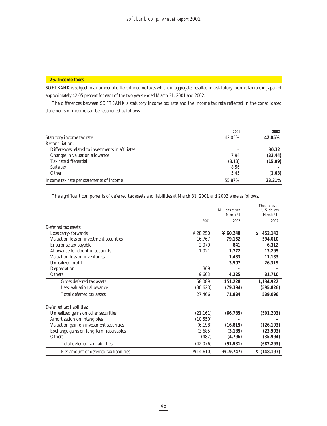## **26. Income taxes –**

SOFTBANK is subject to a number of different income taxes which, in aggregate, resulted in a statutory income tax rate in Japan of approximately 42.05 percent for each of the two years ended March 31, 2001 and 2002.

The differences between SOFTBANK's statutory income tax rate and the income tax rate reflected in the consolidated statements of income can be reconciled as follows.

|                                                  | 2001   | 2002    |
|--------------------------------------------------|--------|---------|
| Statutory income tax rate                        | 42.05% | 42.05%  |
| Reconciliation:                                  |        |         |
| Differences related to investments in affiliates |        | 30.32   |
| Changes in valuation allowance                   | 7.94   | (32.44) |
| Tax rate differential                            | (8.13) | (15.09) |
| State tax                                        | 8.56   |         |
| Other                                            | 5.45   | (1.63)  |
| Income tax rate per statements of income         | 55.87% | 23.21%  |

The significant components of deferred tax assets and liabilities at March 31, 2001 and 2002 were as follows.

|                                         |                       |                       | Thousands of  |
|-----------------------------------------|-----------------------|-----------------------|---------------|
|                                         |                       | Millions of yen       | U.S. dollars  |
|                                         |                       | March 31              | March 31.     |
|                                         | 2001                  | 2002                  | 2002          |
| Deferred tax assets:                    |                       |                       |               |
| Loss carry-forwards                     | ¥ 28,250              | ¥ $60,248$            | 452,143<br>S. |
| Valuation loss on investment securities | 16,767                | 79,152                | 594,010       |
| Enterprise tax payable                  | 2,079                 | 841                   | 6,312         |
| Allowance for doubtful accounts         | 1,021                 | 1,772                 | 13,295        |
| Valuation loss on inventories           |                       | 1,483                 | 11,133        |
| Unrealized profit                       |                       | 3,507                 | 26,319        |
| Depreciation                            | 369                   |                       |               |
| Others                                  | 9,603                 | 4,225                 | 31,710        |
| Gross deferred tax assets               | 58,089                | 151,228               | 1,134,922     |
| Less: valuation allowance               | (30,623)              | (79, 394)             | (595, 826)    |
| Total deferred tax assets               | 27,466                | 71,834                | 539,096       |
| Deferred tax liabilities:               |                       |                       |               |
| Unrealized gains on other securities    | (21, 161)             | (66,785)              | (501, 203)    |
| Amortization on intangibles             | (10, 550)             |                       |               |
| Valuation gain on investment securities | (6.198)               | (16, 815)             | (126, 193)    |
| Exchange gains on long-term receivables | (3,685)               | (3,185)               | (23,903)      |
| Others                                  | (482)                 | (4,796)               | (35, 994)     |
| Total deferred tax liabilities          | (42,076)              | (91, 581)             | (687, 293)    |
| Net amount of deferred tax liabilities  | $\frac{1}{2}(14,610)$ | $\frac{1}{2}(19,747)$ | \$(148,197)   |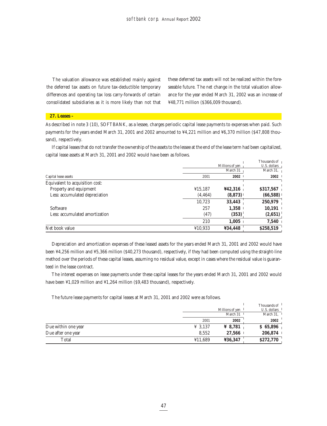The valuation allowance was established mainly against the deferred tax assets on future tax-deductible temporary differences and operating tax loss carry-forwards of certain consolidated subsidiaries as it is more likely than not that these deferred tax assets will not be realized within the foreseeable future. The net change in the total valuation allowance for the year ended March 31, 2002 was an increase of ¥48,771 million (\$366,009 thousand).

## **27. Leases –**

As described in note 3 (10), SOFTBANK, as a lessee, charges periodic capital lease payments to expenses when paid. Such payments for the years ended March 31, 2001 and 2002 amounted to ¥4,221 million and ¥6,370 million (\$47,808 thousand), respectively.

If capital leases that do not transfer the ownership of the assets to the lessee at the end of the lease term had been capitalized, capital lease assets at March 31, 2001 and 2002 would have been as follows.

|                                 |          |                 | Thousands of 1           |
|---------------------------------|----------|-----------------|--------------------------|
|                                 |          | Millions of yen | U.S. dollars             |
|                                 |          | March 31        | March 31, $\overline{1}$ |
| Capital lease assets            | 2001     | 2002            | 2002                     |
| Equivalent to acquisition cost: |          |                 |                          |
| Property and equipment          | ¥15,187  | ¥42,316         | \$317,567                |
| Less: accumulated depreciation  | (4, 464) | (8, 873)        | (66,588)                 |
|                                 | 10,723   | 33,443          | 250,979                  |
| Software                        | 257      | 1,358           | 10,191                   |
| Less: accumulated amortization  | (47)     | (353)           | (2,651)                  |
|                                 | 210      | 1,005           | 7,540                    |
| Net book value                  | ¥10,933  | ¥34,448         | \$258,519                |

Depreciation and amortization expenses of these leased assets for the years ended March 31, 2001 and 2002 would have been ¥4,256 million and ¥5,366 million (\$40,273 thousand), respectively, if they had been computed using the straight-line method over the periods of these capital leases, assuming no residual value, except in cases where the residual value is guaranteed in the lease contract.

The interest expenses on lease payments under these capital leases for the years ended March 31, 2001 and 2002 would have been ¥1,029 million and ¥1,264 million (\$9,483 thousand), respectively.

The future lease payments for capital leases at March 31, 2001 and 2002 were as follows.

|                     |                     |                     | Thousands of <sup>1</sup>               |
|---------------------|---------------------|---------------------|-----------------------------------------|
|                     |                     | Millions of ven     | $U.S.$ dollars $\overline{\phantom{a}}$ |
|                     |                     | March 31            | March 31, $\vert$                       |
|                     | 2001                | 2002                | 2002                                    |
| Due within one year | $\frac{1}{2}$ 3.137 | $\frac{1}{2}$ 8.781 | \$65,896                                |
| Due after one year  | 8.552               | 27.566              | 206,874                                 |
| Total               | ¥11,689             | ¥36,347             | \$272,770                               |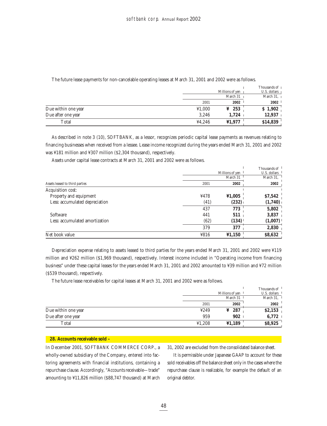|                     |        | Millions of yen   | Thousands of 1<br>U.S. dollars |
|---------------------|--------|-------------------|--------------------------------|
|                     |        | March 31          | March 31, $\vert$              |
|                     | 2001   | 2002              | 2002                           |
| Due within one year | 41,000 | $\frac{1}{2}$ 253 | \$1,902                        |
| Due after one year  | 3.246  | 1,724             | 12,937                         |
| Total               | ¥4.246 | ¥1,977            | \$14,839                       |

The future lease payments for non-cancelable operating leases at March 31, 2001 and 2002 were as follows.

As described in note 3 (10), SOFTBANK, as a lessor, recognizes periodic capital lease payments as revenues relating to financing businesses when received from a lessee. Lease income recognized during the years ended March 31, 2001 and 2002 was ¥181 million and ¥307 million (\$2,304 thousand), respectively.

Assets under capital lease contracts at March 31, 2001 and 2002 were as follows.

|                                |      |                 | Thousands of |
|--------------------------------|------|-----------------|--------------|
|                                |      | Millions of yen | U.S. dollars |
|                                |      | March 31        | March 31.    |
| Assets leased to third parties | 2001 | 2002            | 2002         |
| Acquisition cost:              |      |                 |              |
| Property and equipment         | ¥478 | $*1,005$        | \$7,542      |
| Less: accumulated depreciation | (41) | (232)           | (1,740)      |
|                                | 437  | 773             | 5,802        |
| Software                       | 441  | 511             | 3,837        |
| Less: accumulated amortization | (62) | (134)           | (1,007)      |
|                                | 379  | 377             | 2,830        |
| Net book value                 | ¥816 | 41,150          | \$8,632      |

Depreciation expense relating to assets leased to third parties for the years ended March 31, 2001 and 2002 were ¥119 million and ¥262 million (\$1,969 thousand), respectively. Interest income included in "Operating income from financing business" under these capital leases for the years ended March 31, 2001 and 2002 amounted to ¥39 million and ¥72 million (\$539 thousand), respectively.

The future lease receivables for capital leases at March 31, 2001 and 2002 were as follows.

|                     |        |                                      | Thousands of <sup>1</sup>             |
|---------------------|--------|--------------------------------------|---------------------------------------|
|                     |        | Millions of yen                      | U.S. dollars                          |
|                     |        | March $31$ <sup><math>1</math></sup> | March $31$ , $\overline{\phantom{a}}$ |
|                     | 2001   | 2002                                 | 2002                                  |
| Due within one year | 4249   | $\frac{1}{2}$ 287                    | \$2,153                               |
| Due after one year  | 959    | 902                                  | 6.772                                 |
| Total               | 41,208 | 41,189                               | \$8,925                               |

## **28. Accounts receivable sold –**

In December 2001, SOFTBANK COMMERCE CORP., a wholly-owned subsidiary of the Company, entered into factoring agreements with financial institutions, containing a repurchase clause. Accordingly, "Accounts receivable—trade" amounting to ¥11,826 million (\$88,747 thousand) at March 31, 2002 are excluded from the consolidated balance sheet.

It is permissible under Japanese GAAP to account for these sold receivables off the balance sheet only in the cases where the repurchase clause is realizable, for example the default of an original debtor.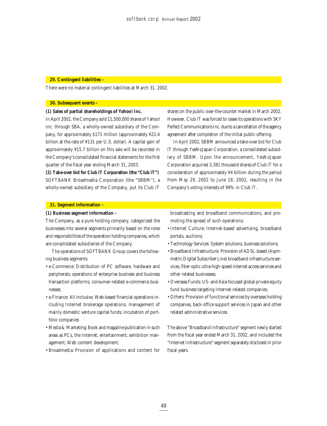#### **29. Contingent liabilities –**

There were no material contingent liabilities at March 31, 2002.

## **30. Subsequent events –**

## **(1) Sales of partial shareholdings of Yahoo! Inc.**

In April 2002, the Company sold 11,500,000 shares of Yahoo! Inc. through SBA, a wholly-owned subsidiary of the Company, for approximately \$171 million (approximately ¥22.4 billion at the rate of ¥131 per U.S. dollar). A capital gain of approximately ¥15.7 billion on this sale will be recorded in the Company's consolidated financial statements for the first quarter of the fiscal year ending March 31, 2003.

**(2) Take-over bid for Club iT Corporation (the "Club iT")** SOFTBANK Broadmedia Corporation (the "SBBM"), a wholly-owned subsidiary of the Company, put its Club iT shares on the public over-the-counter market in March 2002. However, Club iT was forced to cease its operations with SKY Perfect Communications Inc. due to a cancellation of the agency agreement after completion of the initial public offering.

In April 2002, SBBM announced a take-over bid for Club iT through YesNoJapan Corporation, a consolidated subsidiary of SBBM. Upon the announcement, YesNoJapan Corporation acquired 3,381 thousand shares of Club iT for a consideration of approximately ¥4 billion during the period from May 29, 2002 to June 18, 2002, resulting in the Company's voting interests of 99% in Club iT.

## **31. Segment information –**

## **(1) Business segment information –**

The Company, as a pure holding company, categorized the businesses into several segments primarily based on the roles and responsibilities of the operation holding companies, which are consolidated subsidiaries of the Company.

The operations of SOFTBANK Group covers the following business segments:

- e-Commerce: Distribution of PC software, hardware and peripherals; operations of enterprise business and business transaction platforms, consumer-related e-commerce businesses;
- e-Finance: All inclusive, Web-based financial operations including Internet brokerage operations; management of mainly domestic venture capital funds; incubation of portfolio companies
- Media & Marketing: Book and magazine publication in such areas as PCs, the Internet, entertainment; exhibition management; Web content development;
- Broadmedia: Provision of applications and content for

broadcasting and broadband communications, and promoting the spread of such operations;

- Internet Culture: Internet-based advertising, broadband portals, auctions;
- Technology Services: System solutions, business solutions;
- Broadband Infrastructure: Provision of ADSL-based (Asymmetric Digital Subscriber Line) broadband infrastructure services, fiber-optic ultra-high-speed internet access services and other related businesses;
- Overseas Funds: US- and Asia-focused global private equity fund business targeting Internet-related companies;
- Others: Provision of functional services by overseas holding companies, back-office support services in Japan and other related administrative services.

The above "Broadband Infrastructure" segment newly started from the fiscal year ended March 31, 2002, and included the "Internet Infrastructure" segment separately disclosed in prior fiscal years.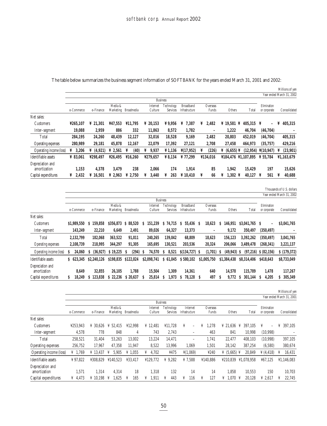|                                  |            |                       |                      |                     |                     |                                 |                             |   |                   |                           |             |                             |   | Millions of yen           |
|----------------------------------|------------|-----------------------|----------------------|---------------------|---------------------|---------------------------------|-----------------------------|---|-------------------|---------------------------|-------------|-----------------------------|---|---------------------------|
|                                  |            |                       |                      |                     |                     |                                 |                             |   |                   |                           |             |                             |   | Year ended March 31, 2002 |
|                                  |            |                       |                      |                     |                     | <b>Business</b>                 |                             |   |                   |                           |             |                             |   |                           |
|                                  | e-Commerce | e-Finance             | Media &<br>Marketing | Broadmedia          | Internet<br>Culture | Technology<br><b>Services</b>   | Broadband<br>Infrastructure |   | Overseas<br>Funds | Others                    | Total       | Elimination<br>or corporate |   | Consolidated              |
| Net sales:                       |            |                       |                      |                     |                     |                                 |                             |   |                   |                           |             |                             |   |                           |
| <b>Customers</b>                 | ¥265.107   | $\frac{1}{2}$ 21.301  | ¥47.553              | ¥11,795             | ¥ 20,153            | $\boldsymbol{\Psi}$ 9,956       | 7.387<br>¥                  | ¥ | 2,482             | $\frac{1}{2}$ 19.581<br>¥ | $405.315$ ¥ | $\overline{\phantom{0}}$    | ¥ | 405,315                   |
| Inter-segment                    | 19.088     | 2,959                 | 886                  | 332                 | 11,863              | 8,572                           | 1,782                       |   | $\qquad \qquad -$ | 1,222                     | 46.704      | (46,704)                    |   |                           |
| Total                            | 284,195    | 24,260                | 48,439               | 12,127              | 32,016              | 18,528                          | 9,169                       |   | 2,482             | 20,803                    | 452,019     | (46,704)                    |   | 405,315                   |
| <b>Operating expenses</b>        | 280,989    | 29,181                | 45,878               | 12,167              | 22,079              | 17.392                          | 27,121                      |   | 2,708             | 27.458                    | 464.973     | (35,757)                    |   | 429,216                   |
| Operating income (loss)          | 3.206<br>¥ | $\frac{1}{4}$ (4,921) | $\textbf{\&} 2.561$  | (40)<br>¥           | 9.937<br>¥          | $\frac{\text{V}}{\text{1.136}}$ | $\frac{\gamma}{17,952}$     | ¥ | (226)             |                           | (12.954)    | $\frac{\gamma}{10.947}$     |   | (23,901)                  |
| Identifiable assets              | ¥ $83.061$ | ¥298.497              | 426.495              | ¥16.260             | ¥279.657            | $\frac{1}{2}$ 8,134             | ¥77.299                     |   | ¥134.016          | ¥184.476 ¥1.107.895       |             | ¥ 55.784                    |   | ¥1.163.679                |
| Depreciation and<br>amortization | 1,153      | 4,378                 | 3.479                | 238                 | 2,066               | 174                             | 1,914                       |   | 85                | 1,942                     | 15,429      | 197                         |   | 15,626                    |
| Capital expenditures             | 2.432      | ¥ 16.501              | $\frac{1}{2}$ 2.963  | $\frac{1}{2}$ 2.750 | 3.440<br>¥          | 263<br>¥                        | $\frac{1}{2}10.410$         | ¥ | 66                | $1.302 \text{ } Y$<br>¥   | 40.127      | 561<br>¥                    | ¥ | 40,688                    |

The table below summarizes the business segment information of SOFTBANK for the years ended March 31, 2001 and 2002:

| Thousands of U.S. dollars |  |  |
|---------------------------|--|--|
|                           |  |  |

|                         |             |              |                      |              |    |                     |                               |                                    |     |                              |          |              |                |                             | Year ended March 31, 2002 |
|-------------------------|-------------|--------------|----------------------|--------------|----|---------------------|-------------------------------|------------------------------------|-----|------------------------------|----------|--------------|----------------|-----------------------------|---------------------------|
|                         |             |              |                      |              |    |                     | <b>Business</b>               |                                    |     |                              |          |              |                |                             |                           |
|                         | e-Commerce  | e-Finance    | Media &<br>Marketing | Broadmedia   |    | Internet<br>Culture | Technology<br><b>Services</b> | <b>Broadband</b><br>Infrastructure |     | Overseas<br>Funds            |          | Others       | Total          | Elimination<br>or corporate | Consolidated              |
| Net sales:              |             |              |                      |              |    |                     |                               |                                    |     |                              |          |              |                |                             |                           |
| Customers               | \$1.989,550 | 159.858<br>S | \$356,873            | 88.520<br>S. | s  | 151.239             | 74.715<br>S                   | 55.436<br>S                        | -S  | 18,623                       | s        | 146.951      | \$3,041,765 \$ | $\overline{\phantom{a}}$    | \$3,041,765               |
| Inter-segment           | 143,249     | 22,210       | 6,649                | 2,491        |    | 89,026              | 64.327                        | 13,373                             |     | $\qquad \qquad \blacksquare$ |          | 9,172        | 350.497        | (350, 497)                  |                           |
| Total                   | 2,132,799   | 182,068      | 363.522              | 91,011       |    | 240,265             | 139.042                       | 68,809                             |     | 18,623                       |          | 156.123      | 3,392,262      | (350, 497)                  | 3,041,765                 |
| Operating expenses      | 2.108.739   | 218.995      | 344.297              | 91.305       |    | 165.695             | 130.521                       | 203.536                            |     | 20,324                       |          | 206.066      | 3.489,478      | (268, 341)                  | 3,221,137                 |
| Operating income (loss) | 24.060<br>S | (36.927)     | $S$ 19.225           | (294)<br>S   | -S | 74.570              | 8.521<br>-S                   | $$(134, 727)$ \, S                 |     | (1,701)                      | <b>S</b> | $(49.943)$ S | (97,216)       | \$ (82,156)                 | \$(179, 372)              |
| Identifiable assets     | \$623.345   | \$2,240,126  | \$198.835            | \$122,024    |    | \$2,098,741         | 61.045<br>S                   | \$580,102                          |     | \$1,005,750                  |          | \$1.384.438  | \$8,314,406    | \$418,643                   | \$8,733,049               |
| Depreciation and        |             |              |                      |              |    |                     |                               |                                    |     |                              |          |              |                |                             |                           |
| amortization            | 8.649       | 32.855       | 26.105               | 1.788        |    | 15.504              | 1.309                         | 14.361                             |     | 640                          |          | 14.578       | 115.789        | 1.478                       | 117.267                   |
| Capital expenditures    | 18.249      | 123,838<br>S | 22,236<br>S          | \$20.637     |    | 25.814              | 1.973<br><b>S</b>             | 78.128<br>s                        | - S | 497                          | S        | 9.772        | 301,144<br>S.  | 4.205<br>S                  | 305,349                   |

## Millions of yen

| ended March 31, 2001 : |  |  |  |  |  |
|------------------------|--|--|--|--|--|
|------------------------|--|--|--|--|--|

|                                  |                     |                      |                      |                     |                     |                               |                            |                   |                           |                               | Year ended March 31, 2001 |
|----------------------------------|---------------------|----------------------|----------------------|---------------------|---------------------|-------------------------------|----------------------------|-------------------|---------------------------|-------------------------------|---------------------------|
|                                  | <b>Business</b>     |                      |                      |                     |                     |                               |                            |                   |                           |                               |                           |
|                                  | e-Commerce          | e-Finance            | Media &<br>Marketing | Broadmedia          | Internet<br>Culture | Technology<br><b>Services</b> | Internet<br>Infrastructure | Overseas<br>Funds | Total<br>Others           | Elimination<br>or corporate   | Consolidated              |
| Net sales:                       |                     |                      |                      |                     |                     |                               |                            |                   |                           |                               |                           |
| <b>Customers</b>                 | ¥253,943            | ¥ 30.626             | $\frac{1}{2}$ 52.415 | ¥12.998             | ¥ 12.481            | ¥11,728                       | ¥<br>Ξ.                    | 1,278<br>¥        | ¥ 21.636<br>397.105<br>¥  | ¥<br>$\overline{\phantom{0}}$ | 397,105<br>¥              |
| Inter-segment                    | 4,578               | 778                  | 848                  | 4                   | 743                 | 2.743                         | $\overline{\phantom{0}}$   | 463               | 841<br>10.998             | (10,998)                      |                           |
| Total                            | 258,521             | 31,404               | 53.263               | 13,002              | 13,224              | 14,471                        |                            | 1,741             | 22,477<br>408.103         | (10,998)                      | 397,105                   |
| Operating expenses               | 256,752             | 17.967               | 47.358               | 11,947              | 8,522               | 13,996                        | 1,069                      | 1,501             | 387,254<br>28,142         | (6,580)                       | 380,674                   |
| Operating income (loss)          | .769<br>¥           | ¥ 13.437             | 5.905<br>¥           | $\frac{1}{2}$ 1.055 | 4.702<br>¥          | ¥475                          | $*(1,069)$                 | ¥240              | ¥ $(5.665)$ ¥<br>20.849   | $\frac{1}{2}(4, 418)$         | 16,431                    |
| Identifiable assets              | ¥97.822             | ¥308.829             | ¥140.523             | ¥33.417             | ¥129.772            | ¥ $9,282$                     | ¥7,588                     | ¥140.886          | ¥1.078.958<br>¥210.839    | ¥67,125                       | ¥1,146,083                |
| Depreciation and<br>amortization | 1,571               | 1,314                | 4,314                | 18                  | 1,318               | 132                           | 14                         | 14                | 1,858<br>10.553           | 150                           | 10,703                    |
| Capital expenditures             | $\frac{1}{4}$ 4.473 | $\frac{1}{2}$ 10.198 | 1.625<br>¥           | 165<br>¥            | 1.911<br>¥          | 443<br>¥                      | 116<br>¥                   | 127<br>¥          | 1.070<br>20.128<br>¥<br>¥ | ¥ 2.617                       | 22.745                    |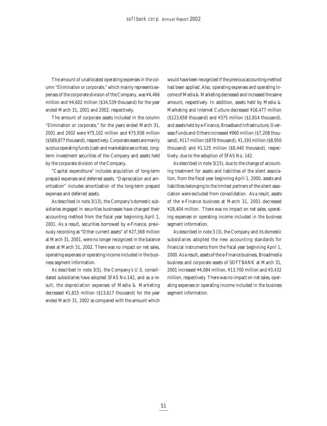The amount of unallocated operating expenses in the column "Elimination or corporate," which mainly represents expenses of the corporate division of the Company, was ¥4,466 million and ¥4,602 million (\$34,539 thousand) for the year ended March 31, 2001 and 2002, respectively.

The amount of corporate assets included in the column "Elimination or corporate," for the years ended March 31, 2001 and 2002 were ¥75,102 million and ¥75,936 million (\$569,877 thousand), respectively. Corporate assets are mainly surplus operating funds (cash and marketable securities), longterm investment securities of the Company and assets held by the corporate division of the Company.

"Capital expenditure" includes acquisition of long-term prepaid expenses and deferred assets. "Depreciation and amortization" includes amortization of the long-term prepaid expenses and deferred assets.

As described in note 3(13), the Company's domestic subsidiaries engaged in securities businesses have changed their accounting method from the fiscal year beginning April 1, 2001. As a result, securities borrowed by e-Finance, previously recording as "Other current assets" of ¥27,368 million at March 31, 2001, were no longer recognized in the balance sheet at March 31, 2002. There was no impact on net sales, operating expenses or operating income included in the business segment information.

As described in note 3(5), the Company's U.S. consolidated subsidiaries have adopted SFAS No.142, and as a result, the depreciation expenses of Media & Marketing decreased ¥1,815 million (\$13,617 thousand) for the year ended March 31, 2002 as compared with the amount which would have been recognized if the previous accounting method had been applied. Also, operating expenses and operating income of Media & Marketing decreased and increased the same amount, respectively. In addition, assets held by Media & Marketing and Internet Culture decreased ¥16,477 million (\$123,658 thousand) and ¥375 million (\$2,814 thousand), and assets held by e-Finance, Broadband Infrastructure, Overseas Funds and Others increased ¥960 million (\$7,208 thousand), ¥117 million (\$878 thousand), ¥1,193 million (\$8,950 thousand) and ¥1,125 million (\$8,440 thousand), respectively, due to the adoption of SFAS No. 142.

As described in note 3(15), due to the change of accounting treatment for assets and liabilities of the silent association, from the fiscal year beginning April 1, 2000, assets and liabilities belonging to the limited partners of the silent association were excluded from consolidation. As a result, assets of the e-Finance business at March 31, 2001 decreased ¥28,404 million. There was no impact on net sales, operating expenses or operating income included in the business segment information.

As described in note 3 (3), the Company and its domestic subsidiaries adopted the new accounting standards for financial instruments from the fiscal year beginning April 1, 2000. As a result, assets of the e-Finance business, Broadmedia business and corporate assets of SOFTBANK at March 31, 2001 increased ¥4,084 million, ¥13,700 million and ¥3,432 million, respectively. There was no impact on net sales, operating expenses or operating income included in the business segment information.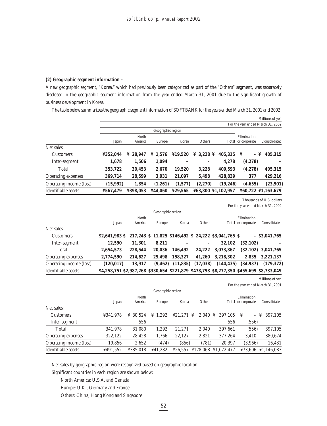## **(2) Geographic segment information –**

A new geographic segment, "Korea," which had previously been categorized as part of the "Others" segment, was separately disclosed in the geographic segment information from the year ended March 31, 2001 due to the significant growth of business development in Korea.

The table below summarizes the geographic segment information of SOFTBANK for the years ended March 31, 2001 and 2002:

|                           |                |          |                     |         |                         |                                                      |                    | Millions of yen                   |
|---------------------------|----------------|----------|---------------------|---------|-------------------------|------------------------------------------------------|--------------------|-----------------------------------|
|                           |                |          |                     |         |                         |                                                      |                    | For the year ended March 31, 2002 |
|                           |                |          | Geographic region   |         |                         |                                                      |                    |                                   |
|                           |                | North    |                     |         |                         |                                                      | Elimination        |                                   |
|                           | Japan          | America  | Europe              | Korea   | Others                  |                                                      | Total or corporate | Consolidated                      |
| Net sales:                |                |          |                     |         |                         |                                                      |                    |                                   |
| <b>Customers</b>          | ¥352,044       | ¥ 28.947 | $\frac{1}{2}$ 1,576 | ¥19,520 | $\angle 3,228 \angle 2$ | 405,315                                              | ¥<br>– ¥           | 405,315                           |
| Inter-segment             | 1,678          | 1,506    | 1,094               |         |                         | 4,278                                                | (4, 278)           |                                   |
| Total                     | 353,722        | 30,453   | 2,670               | 19,520  | 3,228                   | 409,593                                              | (4,278)            | 405,315                           |
| <b>Operating expenses</b> | 369,714        | 28,599   | 3,931               | 21,097  | 5,498                   | 428,839                                              | 377                | 429,216                           |
| Operating income (loss)   | (15,992)       | 1,854    | (1,261)             | (1,577) | (2,270)                 | (19, 246)                                            | (4,655)            | (23,901)                          |
| Identifiable assets       | ¥567,479       | ¥398,053 | ¥44,060             | ¥29,565 |                         | ¥63,800 ¥1,102,957                                   |                    | ¥60,722 ¥1,163,679                |
|                           |                |          |                     |         |                         |                                                      |                    | Thousands of U.S. dollars         |
|                           |                |          |                     |         |                         |                                                      |                    | For the year ended March 31, 2002 |
|                           |                |          | Geographic region   |         |                         |                                                      |                    |                                   |
|                           |                | North    |                     |         |                         |                                                      | Elimination        |                                   |
|                           | Japan          | America  | Europe              | Korea   | Others                  |                                                      | Total or corporate | Consolidated                      |
| Net sales:                |                |          |                     |         |                         |                                                      |                    |                                   |
| <b>Customers</b>          | \$2,641,983 \$ |          |                     |         |                         | 217,243 \$ 11,825 \$146,492 \$ 24,222 \$3,041,765 \$ |                    | $-$ \$3,041,765                   |
| Inter-segment             | 12,590         | 11,301   | 8,211               |         |                         | 32,102                                               | (32, 102)          |                                   |
| Total                     | 2,654,573      | 228,544  | 20,036              | 146,492 | 24,222                  | 3,073,867                                            | (32, 102)          | 3,041,765                         |
| <b>Operating expenses</b> | 2,774,590      | 214,627  | 29,498              | 158,327 | 41,260                  | 3,218,302                                            | 2,835              | 3,221,137                         |

Millions of yen

For the year ended March 31, 2001

|                           |          | North    |                     |         |                      |              | Elimination        |                      |
|---------------------------|----------|----------|---------------------|---------|----------------------|--------------|--------------------|----------------------|
|                           | Japan    | America  | Europe              | Korea   | Others               |              | Total or corporate | Consolidated         |
| Net sales:                |          |          |                     |         |                      |              |                    |                      |
| <b>Customers</b>          | ¥341.978 | ¥ 30.524 | $\frac{1}{2}$ 1.292 | 421.271 | 2.040<br>¥           | 397.105<br>¥ | ¥<br>$-$           | 397,105<br>¥         |
| Inter-segment             |          | 556      |                     |         |                      | 556          | (556)              |                      |
| Total                     | 341,978  | 31,080   | 1,292               | 21,271  | 2,040                | 397,661      | (556)              | 397,105              |
| <b>Operating expenses</b> | 322,122  | 28,428   | 1,766               | 22,127  | 2,821                | 377,264      | 3,410              | 380,674              |
| Operating income (loss)   | 19,856   | 2,652    | (474)               | (856)   | (781)                | 20.397       | (3,966)            | 16,431               |
| Identifiable assets       | ¥491,552 | ¥385.018 | ¥41.282             |         | $426,557$ $4128,068$ | ¥1.072.477   |                    | $¥73.606$ ¥1.146.083 |
|                           |          |          |                     |         |                      |              |                    |                      |

Operating income (loss) **(120,017) 13,917 (9,462) (11,835) (17,038) (144,435) (34,937) (179,372)** Identifiable assets **\$4,258,751 \$2,987,268 \$330,654 \$221,879 \$478,798 \$8,277,350 \$455,699 \$8,733,049**

Net sales by geographic region were recognized based on geographic location.

Significant countries in each region are shown below:

North America: U.S.A. and Canada

Europe: U.K., Germany and France

Others: China, Hong Kong and Singapore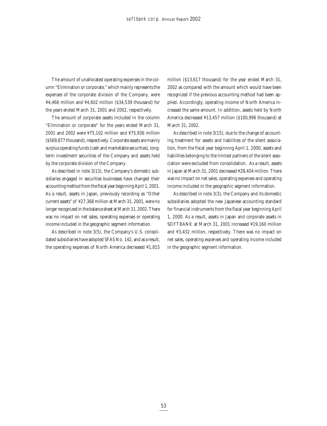The amount of unallocated operating expenses in the column "Elimination or corporate," which mainly represents the expenses of the corporate division of the Company, were ¥4,466 million and ¥4,602 million (\$34,539 thousand) for the years ended March 31, 2001 and 2002, respectively.

The amount of corporate assets included in the column "Elimination or corporate" for the years ended March 31, 2001 and 2002 were ¥75,102 million and ¥75,936 million (\$569,877 thousand), respectively. Corporate assets are mainly surplus operating funds (cash and marketable securities), longterm investment securities of the Company and assets held by the corporate division of the Company.

As described in note 3(13), the Company's domestic subsidiaries engaged in securities businesses have changed their accounting method from the fiscal year beginning April 1, 2001. As a result, assets in Japan, previously recording as "Other current assets" of ¥27,368 million at March 31, 2001, were no longer recognized in the balance sheet at March 31, 2002. There was no impact on net sales, operating expenses or operating income included in the geographic segment information.

As described in note 3(5), the Company's U.S. consolidated subsidiaries have adopted SFAS No. 142, and as a result, the operating expenses of North America decreased ¥1,815

million (\$13,617 thousand) for the year ended March 31, 2002 as compared with the amount which would have been recognized if the previous accounting method had been applied. Accordingly, operating income of North America increased the same amount. In addition, assets held by North America decreased ¥13,457 million (\$100,996 thousand) at March 31, 2002.

As described in note 3(15), due to the change of accounting treatment for assets and liabilities of the silent association, from the fiscal year beginning April 1, 2000, assets and liabilities belonging to the limited partners of the silent association were excluded from consolidation. As a result, assets in Japan at March 31, 2001 decreased ¥28,404 million. There was no impact on net sales, operating expenses and operating income included in the geographic segment information.

As described in note 3(3), the Company and its domestic subsidiaries adopted the new Japanese accounting standard for financial instruments from the fiscal year beginning April 1, 2000. As a result, assets in Japan and corporate assets in SOFTBANK at March 31, 2001 increased ¥19,160 million and ¥3,432 million, respectively. There was no impact on net sales, operating expenses and operating income included in the geographic segment information.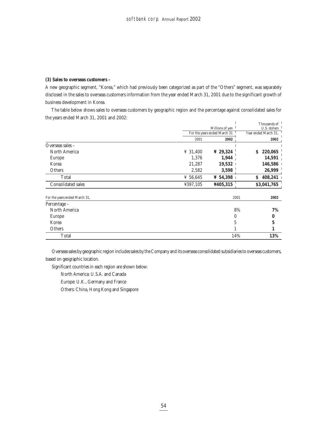## **(3) Sales to overseas customers –**

A new geographic segment, "Korea," which had previously been categorized as part of the "Others" segment, was separately disclosed in the sales to overseas customers information from the year ended March 31, 2001 due to the significant growth of business development in Korea.

The table below shows sales to overseas customers by geographic region and the percentage against consolidated sales for the years ended March 31, 2001 and 2002:

|                               |          |                              | Thousands of         |
|-------------------------------|----------|------------------------------|----------------------|
|                               |          | Millions of yen              | U.S. dollars         |
|                               |          | For the years ended March 31 | Year ended March 31, |
|                               | 2001     | 2002                         | 2002                 |
| Overseas sales -              |          |                              |                      |
| North America                 | ¥ 31,400 | ¥ 29,324                     | 220,065<br>S.        |
| Europe                        | 1,376    | 1,944                        | 14,591               |
| Korea                         | 21,287   | 19,532                       | 146,586              |
| Others                        | 2,582    | 3,598                        | 26,999               |
| Total                         | ¥ 56,645 | $\frac{1}{2}$ 54,398         | 408,241<br>S.        |
| <b>Consolidated sales</b>     | ¥397,105 | ¥405,315                     | \$3,041,765          |
|                               |          |                              |                      |
| For the years ended March 31, |          | 2001                         | 2002                 |
| Percentage -                  |          |                              |                      |
| North America                 |          |                              | 8%<br>7%             |
| Europe                        |          | 0                            | 0                    |
| Korea                         |          | 5                            | 5                    |
| Others                        |          |                              |                      |
| Total                         |          | 14%                          | 13%                  |

Overseas sales by geographic region includes sales by the Company and its overseas consolidated subsidiaries to overseas customers, based on geographic location.

Significant countries in each region are shown below:

North America: U.S.A. and Canada

Europe: U.K., Germany and France

Others: China, Hong Kong and Singapore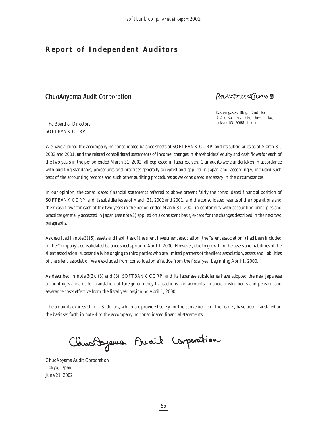## **Report of Independent Auditors**

## **ChuoAoyama Audit Corporation**

## PRICEWATERHOUSE COPERS

The Board of Directors SOFTBANK CORP.

Kasumigaseki Bldg. 32nd Floor 3-2-5, Kasumigaseki, Chiyoda-ku, Tokyo 100-6088, Japan

We have audited the accompanying consolidated balance sheets of SOFTBANK CORP. and its subsidiaries as of March 31, 2002 and 2001, and the related consolidated statements of income, changes in shareholders' equity and cash flows for each of the two years in the period ended March 31, 2002, all expressed in Japanese yen. Our audits were undertaken in accordance with auditing standards, procedures and practices generally accepted and applied in Japan and, accordingly, included such tests of the accounting records and such other auditing procedures as we considered necessary in the circumstances.

In our opinion, the consolidated financial statements referred to above present fairly the consolidated financial position of SOFTBANK CORP. and its subsidiaries as of March 31, 2002 and 2001, and the consolidated results of their operations and their cash flows for each of the two years in the period ended March 31, 2002 in conformity with accounting principles and practices generally accepted in Japan (see note 2) applied on a consistent basis, except for the changes described in the next two paragraphs.

As described in note 3(15), assets and liabilities of the silent investment association (the "silent association") had been included in the Company's consolidated balance sheets prior to April 1, 2000. However, due to growth in the assets and liabilities of the silent association, substantially belonging to third parties who are limited partners of the silent association, assets and liabilities of the silent association were excluded from consolidation effective from the fiscal year beginning April 1, 2000.

As described in note 3(2), (3) and (8), SOFTBANK CORP. and its Japanese subsidiaries have adopted the new Japanese accounting standards for translation of foreign currency transactions and accounts, financial instruments and pension and severance costs effective from the fiscal year beginning April 1, 2000.

The amounts expressed in U.S. dollars, which are provided solely for the convenience of the reader, have been translated on the basis set forth in note 4 to the accompanying consolidated financial statements.

Chus Doysma Avait Corporation

ChuoAoyama Audit Corporation Tokyo, Japan June 21, 2002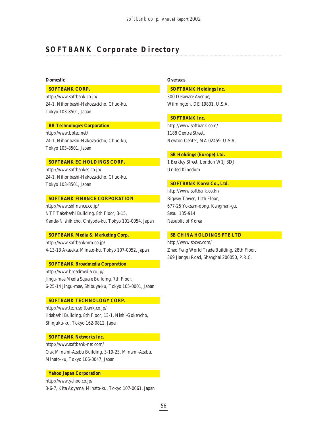## **SOFTBANK Corporate Directory**

## **Domestic**

## **SOFTBANK CORP.**

http://www.softbank.co.jp/ 24-1, Nihonbashi-Hakozakicho, Chuo-ku, Tokyo 103-8501, Japan

#### **BB Technologies Corporation**

http://www.bbtec.net/ 24-1, Nihonbashi-Hakozakicho, Chuo-ku, Tokyo 103-8501, Japan

## **SOFTBANK EC HOLDINGS CORP.**

http://www.softbankec.co.jp/ 24-1, Nihonbashi-Hakozakicho, Chuo-ku, Tokyo 103-8501, Japan

## **SOFTBANK FINANCE CORPORATION**

http://www.sbfinance.co.jp/ NTF Takebashi Building, 8th Floor, 3-15, Kanda-Nishikicho, Chiyoda-ku, Tokyo 101-0054, Japan

## **SOFTBANK Media & Marketing Corp.**

http://www.softbankmm.co.jp/ 4-13-13 Akasaka, Minato-ku, Tokyo 107-0052, Japan

### **SOFTBANK Broadmedia Corporation**

http://www.broadmedia.co.jp/ Jingu-mae Media Square Building, 7th Floor, 6-25-14 Jingu-mae, Shibuya-ku, Tokyo 105-0001, Japan

## **SOFTBANK TECHNOLOGY CORP.**

http://www.tech.softbank.co.jp/ Iidabashi Building, 8th Floor, 13-1, Nishi-Gokencho, Shinjuku-ku, Tokyo 162-0812, Japan

## **SOFTBANK Networks Inc.**

http://www.softbank-net com/ Oak Minami-Azabu Building, 3-19-23, Minami-Azabu, Minato-ku, Tokyo 106-0047, Japan

## **Yahoo Japan Corporation**

http://www.yahoo.co.jp/ 3-6-7, Kita Aoyama, Minato-ku, Tokyo 107-0061, Japan

#### **Overseas**

## **SOFTBANK Holdings Inc.**

300 Delaware Avenue, Wilmington, DE 19801, U.S.A.

## **SOFTBANK Inc.**

http://www.softbank.com/ 1188 Centre Street, Newton Center, MA 02459, U.S.A.

## **SB Holdings (Europe) Ltd.**

1 Berkley Street, London W1J 8DJ, United Kingdom

## **SOFTBANK Korea Co., Ltd.**

http://www.softbank.co.kr/ Bigway Tower, 11th Floor, 677-25 Yoksam-dong, Kangman-gu, Seoul 135-914 Republic of Korea

## **SB CHINA HOLDINGS PTE LTD**

http://www.sbcvc.com/ Zhao Feng World Trade Building, 28th Floor, 369 Jiangsu Road, Shanghai 200050, P.R.C.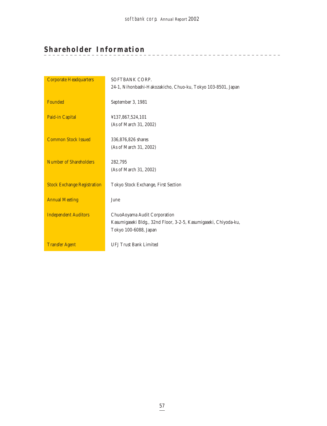\_\_\_\_\_\_\_\_\_\_\_\_\_\_\_\_\_\_\_\_\_\_\_\_\_\_\_

# **Shareholder Information**

| <b>Corporate Headquarters</b>      | SOFTBANK CORP.                                                   |
|------------------------------------|------------------------------------------------------------------|
|                                    | 24-1, Nihonbashi-Hakozakicho, Chuo-ku, Tokyo 103-8501, Japan     |
| Founded                            | September 3, 1981                                                |
| Paid-in Capital                    | ¥137,867,524,101                                                 |
|                                    | (As of March 31, 2002)                                           |
|                                    |                                                                  |
| <b>Common Stock Issued</b>         | 336,876,826 shares                                               |
|                                    | (As of March 31, 2002)                                           |
| <b>Number of Shareholders</b>      | 282,795                                                          |
|                                    | (As of March 31, 2002)                                           |
|                                    |                                                                  |
| <b>Stock Exchange Registration</b> | Tokyo Stock Exchange, First Section                              |
|                                    |                                                                  |
| <b>Annual Meeting</b>              | June                                                             |
|                                    |                                                                  |
| <b>Independent Auditors</b>        | ChuoAoyama Audit Corporation                                     |
|                                    | Kasumigaseki Bldg., 32nd Floor, 3-2-5, Kasumigaseki, Chiyoda-ku, |
|                                    | Tokyo 100-6088, Japan                                            |
|                                    |                                                                  |
| <b>Transfer Agent</b>              | <b>UFJ Trust Bank Limited</b>                                    |